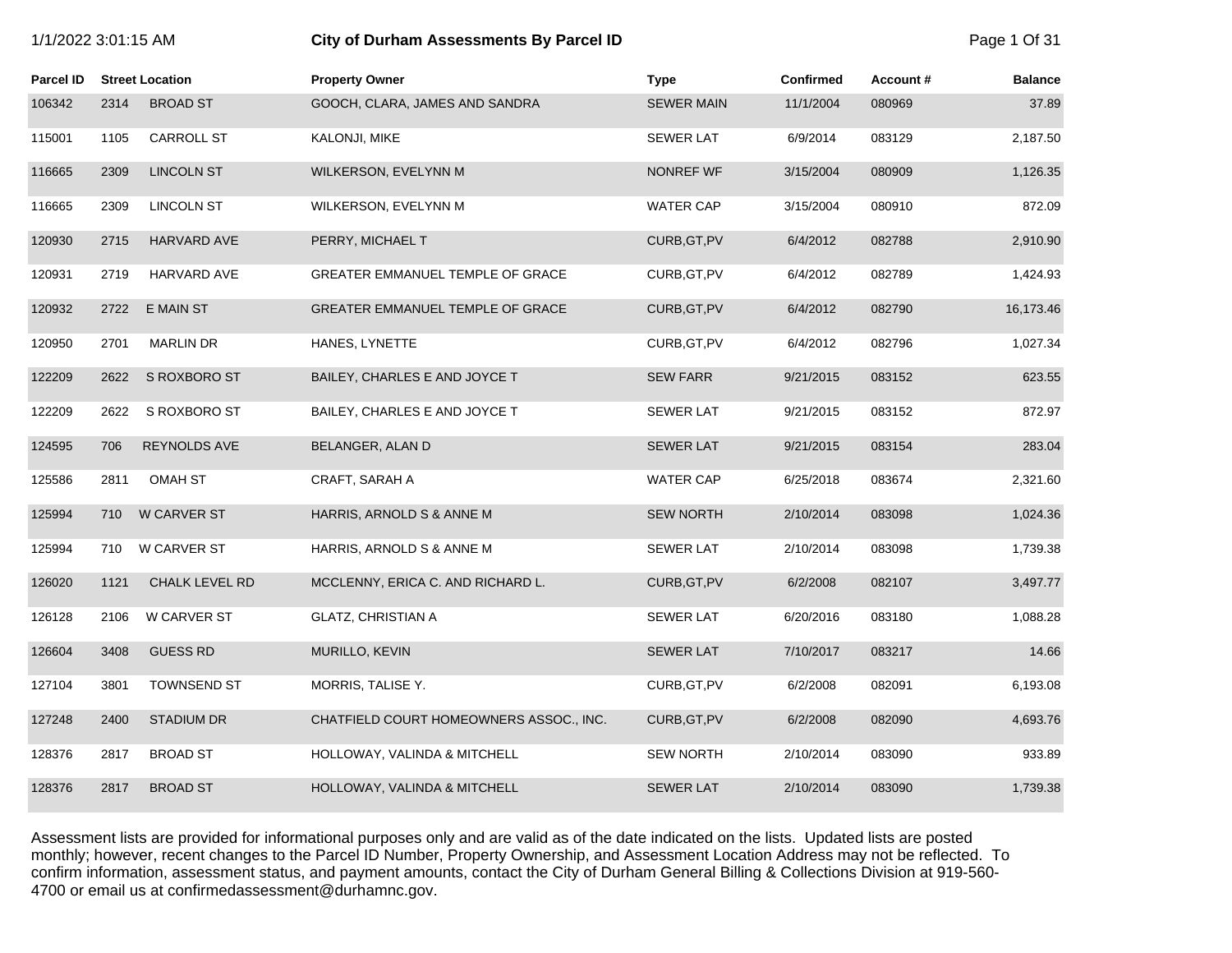| 1/1/2022 3:01:15 AM |  |  |
|---------------------|--|--|
|---------------------|--|--|

# **1/2022 3:01:15 City of Durham Assessments By Parcel ID** Page 1 Of 31

| Parcel ID |      | <b>Street Location</b> | <b>Property Owner</b>                   | <b>Type</b>       | <b>Confirmed</b> | Account# | <b>Balance</b> |
|-----------|------|------------------------|-----------------------------------------|-------------------|------------------|----------|----------------|
| 106342    | 2314 | <b>BROAD ST</b>        | GOOCH, CLARA, JAMES AND SANDRA          | <b>SEWER MAIN</b> | 11/1/2004        | 080969   | 37.89          |
| 115001    | 1105 | CARROLL ST             | KALONJI, MIKE                           | <b>SEWER LAT</b>  | 6/9/2014         | 083129   | 2,187.50       |
| 116665    | 2309 | <b>LINCOLN ST</b>      | WILKERSON, EVELYNN M                    | NONREF WF         | 3/15/2004        | 080909   | 1,126.35       |
| 116665    | 2309 | <b>LINCOLN ST</b>      | WILKERSON, EVELYNN M                    | <b>WATER CAP</b>  | 3/15/2004        | 080910   | 872.09         |
| 120930    | 2715 | HARVARD AVE            | PERRY, MICHAEL T                        | CURB, GT, PV      | 6/4/2012         | 082788   | 2,910.90       |
| 120931    | 2719 | <b>HARVARD AVE</b>     | GREATER EMMANUEL TEMPLE OF GRACE        | CURB, GT, PV      | 6/4/2012         | 082789   | 1,424.93       |
| 120932    | 2722 | <b>E MAIN ST</b>       | GREATER EMMANUEL TEMPLE OF GRACE        | CURB, GT, PV      | 6/4/2012         | 082790   | 16,173.46      |
| 120950    | 2701 | <b>MARLIN DR</b>       | HANES, LYNETTE                          | CURB, GT, PV      | 6/4/2012         | 082796   | 1,027.34       |
| 122209    | 2622 | S ROXBORO ST           | BAILEY, CHARLES E AND JOYCE T           | <b>SEW FARR</b>   | 9/21/2015        | 083152   | 623.55         |
| 122209    | 2622 | S ROXBORO ST           | BAILEY, CHARLES E AND JOYCE T           | <b>SEWER LAT</b>  | 9/21/2015        | 083152   | 872.97         |
| 124595    | 706  | <b>REYNOLDS AVE</b>    | BELANGER, ALAN D                        | <b>SEWER LAT</b>  | 9/21/2015        | 083154   | 283.04         |
| 125586    | 2811 | <b>OMAH ST</b>         | CRAFT, SARAH A                          | <b>WATER CAP</b>  | 6/25/2018        | 083674   | 2,321.60       |
| 125994    | 710  | <b>W CARVER ST</b>     | HARRIS, ARNOLD S & ANNE M               | <b>SEW NORTH</b>  | 2/10/2014        | 083098   | 1,024.36       |
| 125994    | 710  | W CARVER ST            | HARRIS, ARNOLD S & ANNE M               | <b>SEWER LAT</b>  | 2/10/2014        | 083098   | 1,739.38       |
| 126020    | 1121 | CHALK LEVEL RD         | MCCLENNY, ERICA C. AND RICHARD L.       | CURB, GT, PV      | 6/2/2008         | 082107   | 3,497.77       |
| 126128    | 2106 | W CARVER ST            | <b>GLATZ, CHRISTIAN A</b>               | <b>SEWER LAT</b>  | 6/20/2016        | 083180   | 1,088.28       |
| 126604    | 3408 | <b>GUESS RD</b>        | MURILLO, KEVIN                          | <b>SEWER LAT</b>  | 7/10/2017        | 083217   | 14.66          |
| 127104    | 3801 | <b>TOWNSEND ST</b>     | MORRIS, TALISE Y.                       | CURB, GT, PV      | 6/2/2008         | 082091   | 6,193.08       |
| 127248    | 2400 | <b>STADIUM DR</b>      | CHATFIELD COURT HOMEOWNERS ASSOC., INC. | CURB, GT, PV      | 6/2/2008         | 082090   | 4,693.76       |
| 128376    | 2817 | <b>BROAD ST</b>        | HOLLOWAY, VALINDA & MITCHELL            | <b>SEW NORTH</b>  | 2/10/2014        | 083090   | 933.89         |
| 128376    | 2817 | <b>BROAD ST</b>        | HOLLOWAY, VALINDA & MITCHELL            | <b>SEWER LAT</b>  | 2/10/2014        | 083090   | 1,739.38       |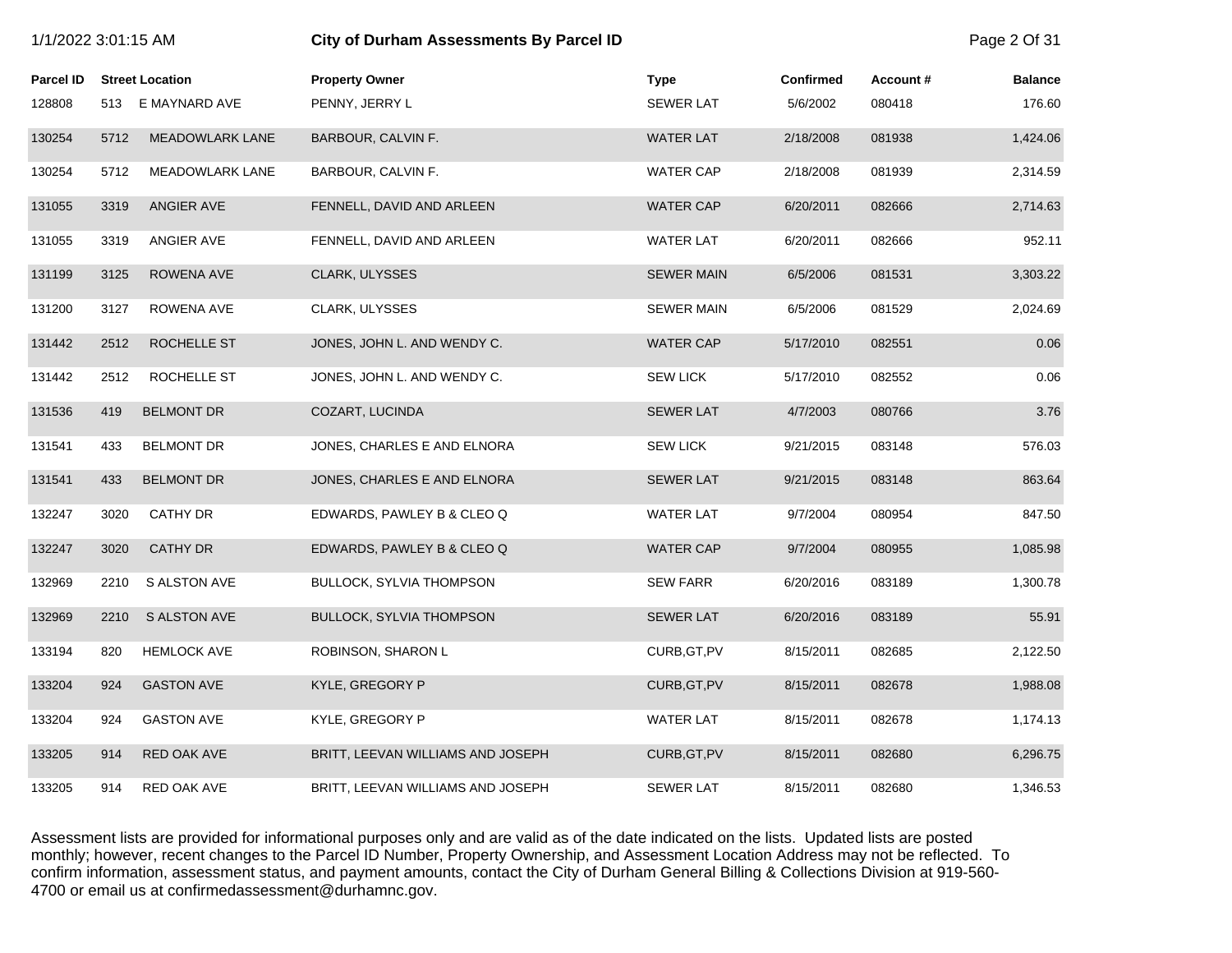|                  | 1/1/2022 3:01:15 AM |                        | City of Durham Assessments By Parcel ID |                   |           | Page 2 Of 31 |                |
|------------------|---------------------|------------------------|-----------------------------------------|-------------------|-----------|--------------|----------------|
| <b>Parcel ID</b> |                     | <b>Street Location</b> | <b>Property Owner</b>                   | <b>Type</b>       | Confirmed | Account#     | <b>Balance</b> |
| 128808           |                     | 513 E MAYNARD AVE      | PENNY, JERRY L                          | <b>SEWER LAT</b>  | 5/6/2002  | 080418       | 176.60         |
| 130254           | 5712                | <b>MEADOWLARK LANE</b> | BARBOUR, CALVIN F.                      | <b>WATER LAT</b>  | 2/18/2008 | 081938       | 1,424.06       |
| 130254           | 5712                | <b>MEADOWLARK LANE</b> | BARBOUR, CALVIN F.                      | <b>WATER CAP</b>  | 2/18/2008 | 081939       | 2,314.59       |
| 131055           | 3319                | ANGIER AVE             | FENNELL, DAVID AND ARLEEN               | <b>WATER CAP</b>  | 6/20/2011 | 082666       | 2,714.63       |
| 131055           | 3319                | ANGIER AVE             | FENNELL, DAVID AND ARLEEN               | <b>WATER LAT</b>  | 6/20/2011 | 082666       | 952.11         |
| 131199           | 3125                | ROWENA AVE             | CLARK, ULYSSES                          | <b>SEWER MAIN</b> | 6/5/2006  | 081531       | 3,303.22       |
| 131200           | 3127                | ROWENA AVE             | CLARK, ULYSSES                          | <b>SEWER MAIN</b> | 6/5/2006  | 081529       | 2,024.69       |
| 131442           | 2512                | ROCHELLE ST            | JONES, JOHN L. AND WENDY C.             | <b>WATER CAP</b>  | 5/17/2010 | 082551       | 0.06           |
| 131442           | 2512                | ROCHELLE ST            | JONES, JOHN L. AND WENDY C.             | <b>SEW LICK</b>   | 5/17/2010 | 082552       | 0.06           |
| 131536           | 419                 | <b>BELMONT DR</b>      | COZART, LUCINDA                         | <b>SEWER LAT</b>  | 4/7/2003  | 080766       | 3.76           |
| 131541           | 433                 | <b>BELMONT DR</b>      | JONES, CHARLES E AND ELNORA             | <b>SEW LICK</b>   | 9/21/2015 | 083148       | 576.03         |
| 131541           | 433                 | <b>BELMONT DR</b>      | JONES, CHARLES E AND ELNORA             | <b>SEWER LAT</b>  | 9/21/2015 | 083148       | 863.64         |
| 132247           | 3020                | <b>CATHY DR</b>        | EDWARDS, PAWLEY B & CLEO Q              | <b>WATER LAT</b>  | 9/7/2004  | 080954       | 847.50         |
| 132247           | 3020                | <b>CATHY DR</b>        | EDWARDS, PAWLEY B & CLEO Q              | <b>WATER CAP</b>  | 9/7/2004  | 080955       | 1,085.98       |
| 132969           | 2210                | <b>S ALSTON AVE</b>    | <b>BULLOCK, SYLVIA THOMPSON</b>         | <b>SEW FARR</b>   | 6/20/2016 | 083189       | 1,300.78       |
| 132969           | 2210                | <b>S ALSTON AVE</b>    | <b>BULLOCK, SYLVIA THOMPSON</b>         | <b>SEWER LAT</b>  | 6/20/2016 | 083189       | 55.91          |
| 133194           | 820                 | <b>HEMLOCK AVE</b>     | ROBINSON, SHARON L                      | CURB, GT, PV      | 8/15/2011 | 082685       | 2,122.50       |
| 133204           | 924                 | <b>GASTON AVE</b>      | KYLE, GREGORY P                         | CURB, GT, PV      | 8/15/2011 | 082678       | 1,988.08       |
| 133204           | 924                 | <b>GASTON AVE</b>      | KYLE, GREGORY P                         | <b>WATER LAT</b>  | 8/15/2011 | 082678       | 1,174.13       |
| 133205           | 914                 | RED OAK AVE            | BRITT, LEEVAN WILLIAMS AND JOSEPH       | CURB, GT, PV      | 8/15/2011 | 082680       | 6,296.75       |
| 133205           | 914                 | RED OAK AVE            | BRITT, LEEVAN WILLIAMS AND JOSEPH       | <b>SEWER LAT</b>  | 8/15/2011 | 082680       | 1,346.53       |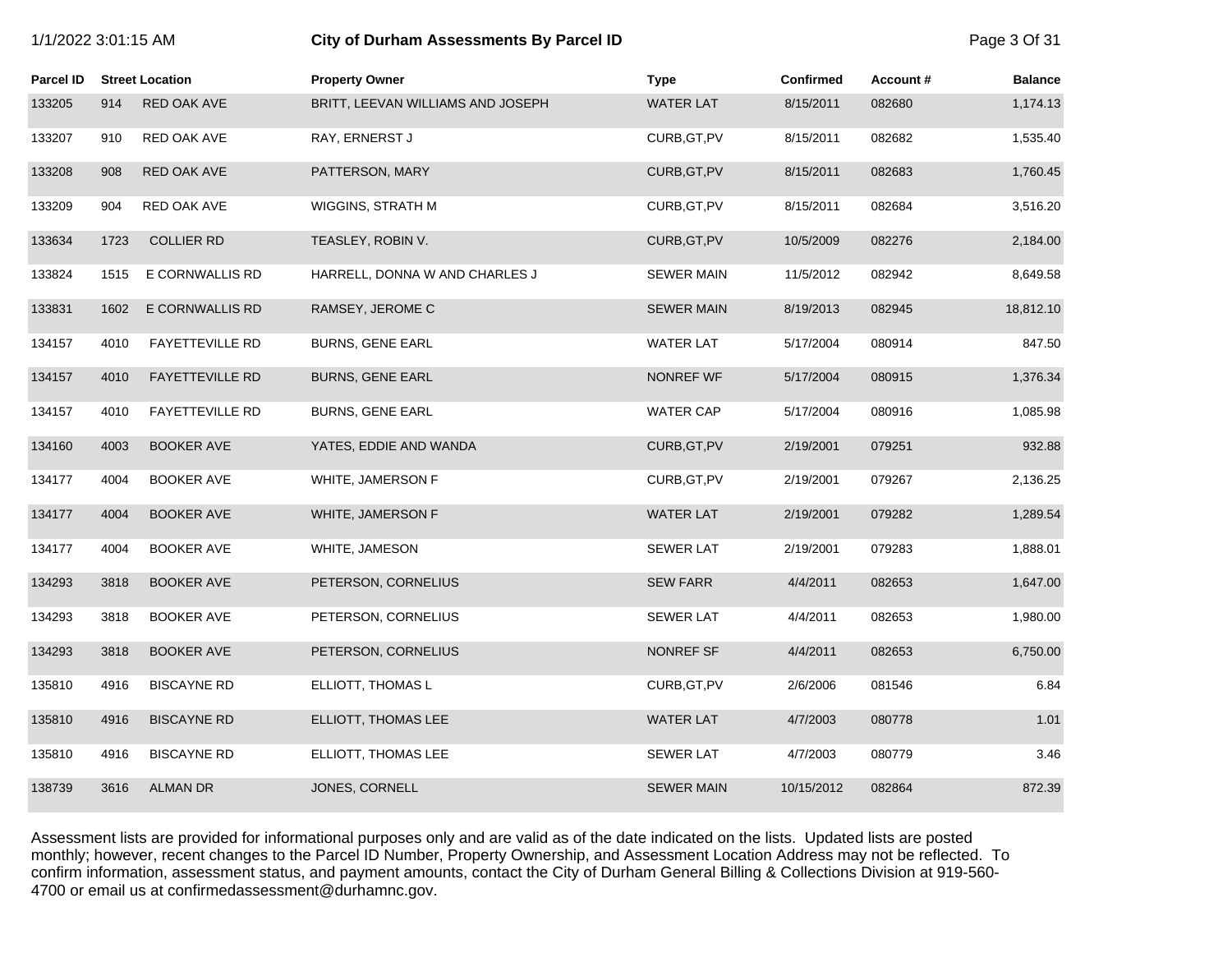|                  | 1/1/2022 3:01:15 AM |                        | City of Durham Assessments By Parcel ID |                   |                  | Page 3 Of 31 |                |
|------------------|---------------------|------------------------|-----------------------------------------|-------------------|------------------|--------------|----------------|
| <b>Parcel ID</b> |                     | <b>Street Location</b> | <b>Property Owner</b>                   | <b>Type</b>       | <b>Confirmed</b> | Account#     | <b>Balance</b> |
| 133205           | 914                 | RED OAK AVE            | BRITT, LEEVAN WILLIAMS AND JOSEPH       | <b>WATER LAT</b>  | 8/15/2011        | 082680       | 1,174.13       |
| 133207           | 910                 | RED OAK AVE            | RAY, ERNERST J                          | CURB, GT, PV      | 8/15/2011        | 082682       | 1,535.40       |
| 133208           | 908                 | RED OAK AVE            | PATTERSON, MARY                         | CURB, GT, PV      | 8/15/2011        | 082683       | 1,760.45       |
| 133209           | 904                 | RED OAK AVE            | WIGGINS, STRATH M                       | CURB, GT, PV      | 8/15/2011        | 082684       | 3,516.20       |
| 133634           | 1723                | <b>COLLIER RD</b>      | TEASLEY, ROBIN V.                       | CURB, GT, PV      | 10/5/2009        | 082276       | 2,184.00       |
| 133824           | 1515                | E CORNWALLIS RD        | HARRELL, DONNA W AND CHARLES J          | <b>SEWER MAIN</b> | 11/5/2012        | 082942       | 8,649.58       |
| 133831           | 1602                | E CORNWALLIS RD        | RAMSEY, JEROME C                        | <b>SEWER MAIN</b> | 8/19/2013        | 082945       | 18,812.10      |
| 134157           | 4010                | <b>FAYETTEVILLE RD</b> | <b>BURNS, GENE EARL</b>                 | <b>WATER LAT</b>  | 5/17/2004        | 080914       | 847.50         |
| 134157           | 4010                | <b>FAYETTEVILLE RD</b> | <b>BURNS, GENE EARL</b>                 | <b>NONREF WF</b>  | 5/17/2004        | 080915       | 1,376.34       |
| 134157           | 4010                | <b>FAYETTEVILLE RD</b> | <b>BURNS, GENE EARL</b>                 | WATER CAP         | 5/17/2004        | 080916       | 1,085.98       |
| 134160           | 4003                | <b>BOOKER AVE</b>      | YATES, EDDIE AND WANDA                  | CURB, GT, PV      | 2/19/2001        | 079251       | 932.88         |
| 134177           | 4004                | <b>BOOKER AVE</b>      | WHITE, JAMERSON F                       | CURB, GT, PV      | 2/19/2001        | 079267       | 2,136.25       |
| 134177           | 4004                | <b>BOOKER AVE</b>      | WHITE, JAMERSON F                       | <b>WATER LAT</b>  | 2/19/2001        | 079282       | 1,289.54       |
| 134177           | 4004                | <b>BOOKER AVE</b>      | WHITE, JAMESON                          | <b>SEWER LAT</b>  | 2/19/2001        | 079283       | 1,888.01       |
| 134293           | 3818                | <b>BOOKER AVE</b>      | PETERSON, CORNELIUS                     | <b>SEW FARR</b>   | 4/4/2011         | 082653       | 1,647.00       |
| 134293           | 3818                | <b>BOOKER AVE</b>      | PETERSON, CORNELIUS                     | <b>SEWER LAT</b>  | 4/4/2011         | 082653       | 1,980.00       |
| 134293           | 3818                | <b>BOOKER AVE</b>      | PETERSON, CORNELIUS                     | <b>NONREF SF</b>  | 4/4/2011         | 082653       | 6,750.00       |
| 135810           | 4916                | <b>BISCAYNE RD</b>     | ELLIOTT, THOMAS L                       | CURB, GT, PV      | 2/6/2006         | 081546       | 6.84           |
| 135810           | 4916                | <b>BISCAYNE RD</b>     | ELLIOTT, THOMAS LEE                     | <b>WATER LAT</b>  | 4/7/2003         | 080778       | 1.01           |
| 135810           | 4916                | <b>BISCAYNE RD</b>     | ELLIOTT, THOMAS LEE                     | <b>SEWER LAT</b>  | 4/7/2003         | 080779       | 3.46           |
| 138739           | 3616                | <b>ALMAN DR</b>        | JONES, CORNELL                          | <b>SEWER MAIN</b> | 10/15/2012       | 082864       | 872.39         |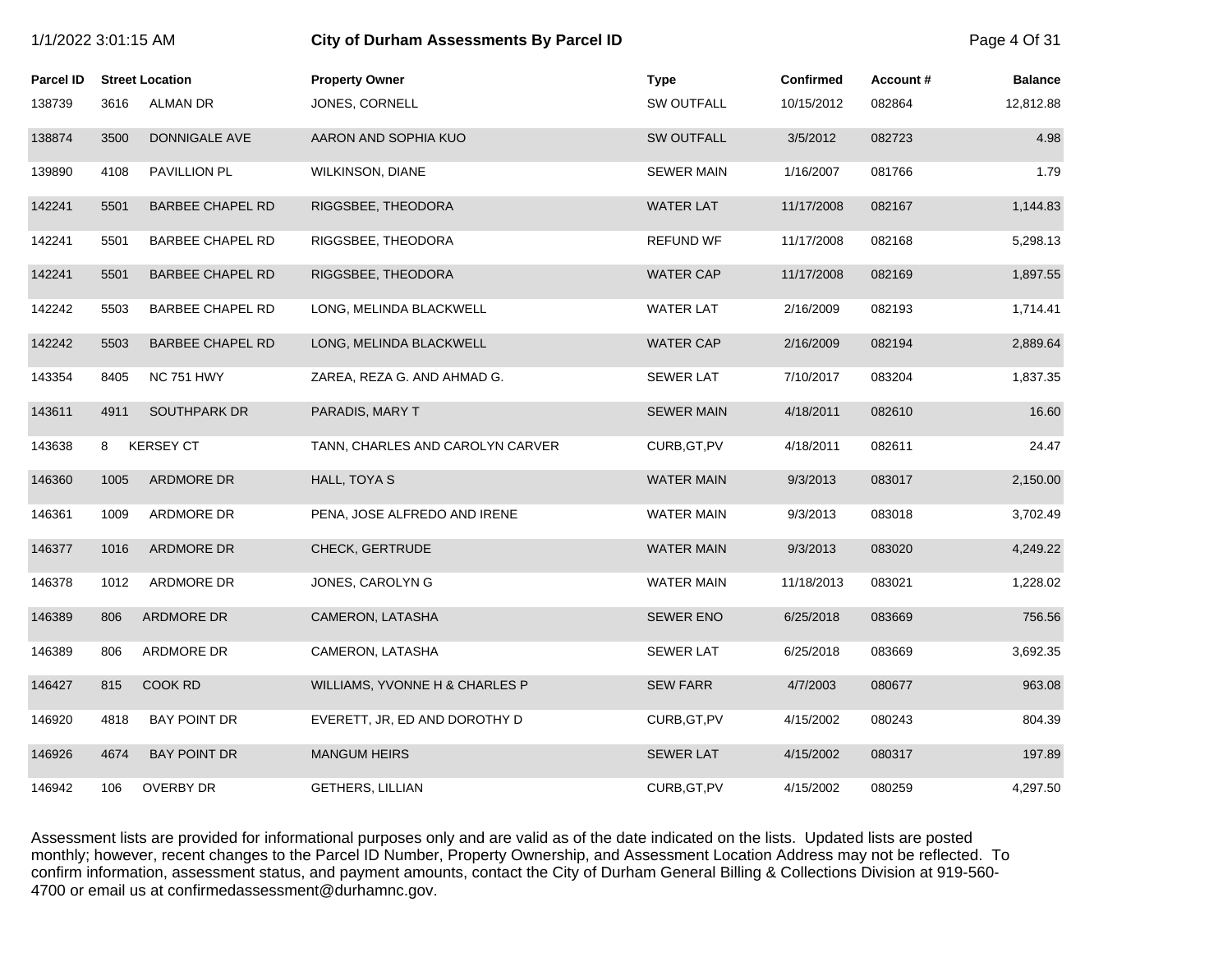|           | 1/1/2022 3:01:15 AM |                         | <b>City of Durham Assessments By Parcel ID</b> |                   |                  | Page 4 Of 31 |                |
|-----------|---------------------|-------------------------|------------------------------------------------|-------------------|------------------|--------------|----------------|
| Parcel ID |                     | <b>Street Location</b>  | <b>Property Owner</b>                          | <b>Type</b>       | <b>Confirmed</b> | Account#     | <b>Balance</b> |
| 138739    | 3616                | <b>ALMAN DR</b>         | JONES, CORNELL                                 | <b>SW OUTFALL</b> | 10/15/2012       | 082864       | 12,812.88      |
| 138874    | 3500                | DONNIGALE AVE           | AARON AND SOPHIA KUO                           | <b>SW OUTFALL</b> | 3/5/2012         | 082723       | 4.98           |
| 139890    | 4108                | PAVILLION PL            | <b>WILKINSON, DIANE</b>                        | <b>SEWER MAIN</b> | 1/16/2007        | 081766       | 1.79           |
| 142241    | 5501                | <b>BARBEE CHAPEL RD</b> | RIGGSBEE, THEODORA                             | <b>WATER LAT</b>  | 11/17/2008       | 082167       | 1,144.83       |
| 142241    | 5501                | <b>BARBEE CHAPEL RD</b> | RIGGSBEE, THEODORA                             | <b>REFUND WF</b>  | 11/17/2008       | 082168       | 5,298.13       |
| 142241    | 5501                | <b>BARBEE CHAPEL RD</b> | RIGGSBEE, THEODORA                             | <b>WATER CAP</b>  | 11/17/2008       | 082169       | 1,897.55       |
| 142242    | 5503                | <b>BARBEE CHAPEL RD</b> | LONG, MELINDA BLACKWELL                        | <b>WATER LAT</b>  | 2/16/2009        | 082193       | 1,714.41       |
| 142242    | 5503                | <b>BARBEE CHAPEL RD</b> | LONG, MELINDA BLACKWELL                        | <b>WATER CAP</b>  | 2/16/2009        | 082194       | 2,889.64       |
| 143354    | 8405                | <b>NC 751 HWY</b>       | ZAREA, REZA G. AND AHMAD G.                    | <b>SEWER LAT</b>  | 7/10/2017        | 083204       | 1,837.35       |
| 143611    | 4911                | SOUTHPARK DR            | PARADIS, MARY T                                | <b>SEWER MAIN</b> | 4/18/2011        | 082610       | 16.60          |
| 143638    | 8                   | <b>KERSEY CT</b>        | TANN, CHARLES AND CAROLYN CARVER               | CURB, GT, PV      | 4/18/2011        | 082611       | 24.47          |
| 146360    | 1005                | ARDMORE DR              | HALL, TOYA S                                   | <b>WATER MAIN</b> | 9/3/2013         | 083017       | 2,150.00       |
| 146361    | 1009                | ARDMORE DR              | PENA, JOSE ALFREDO AND IRENE                   | WATER MAIN        | 9/3/2013         | 083018       | 3,702.49       |
| 146377    | 1016                | ARDMORE DR              | <b>CHECK, GERTRUDE</b>                         | <b>WATER MAIN</b> | 9/3/2013         | 083020       | 4,249.22       |
| 146378    | 1012                | ARDMORE DR              | JONES, CAROLYN G                               | <b>WATER MAIN</b> | 11/18/2013       | 083021       | 1,228.02       |
| 146389    | 806                 | ARDMORE DR              | CAMERON, LATASHA                               | <b>SEWER ENO</b>  | 6/25/2018        | 083669       | 756.56         |
| 146389    | 806                 | ARDMORE DR              | CAMERON, LATASHA                               | <b>SEWER LAT</b>  | 6/25/2018        | 083669       | 3,692.35       |
| 146427    | 815                 | COOK RD                 | WILLIAMS, YVONNE H & CHARLES P                 | <b>SEW FARR</b>   | 4/7/2003         | 080677       | 963.08         |
| 146920    | 4818                | <b>BAY POINT DR</b>     | EVERETT, JR, ED AND DOROTHY D                  | CURB, GT, PV      | 4/15/2002        | 080243       | 804.39         |
| 146926    | 4674                | <b>BAY POINT DR</b>     | <b>MANGUM HEIRS</b>                            | <b>SEWER LAT</b>  | 4/15/2002        | 080317       | 197.89         |
| 146942    | 106                 | <b>OVERBY DR</b>        | <b>GETHERS, LILLIAN</b>                        | CURB, GT, PV      | 4/15/2002        | 080259       | 4,297.50       |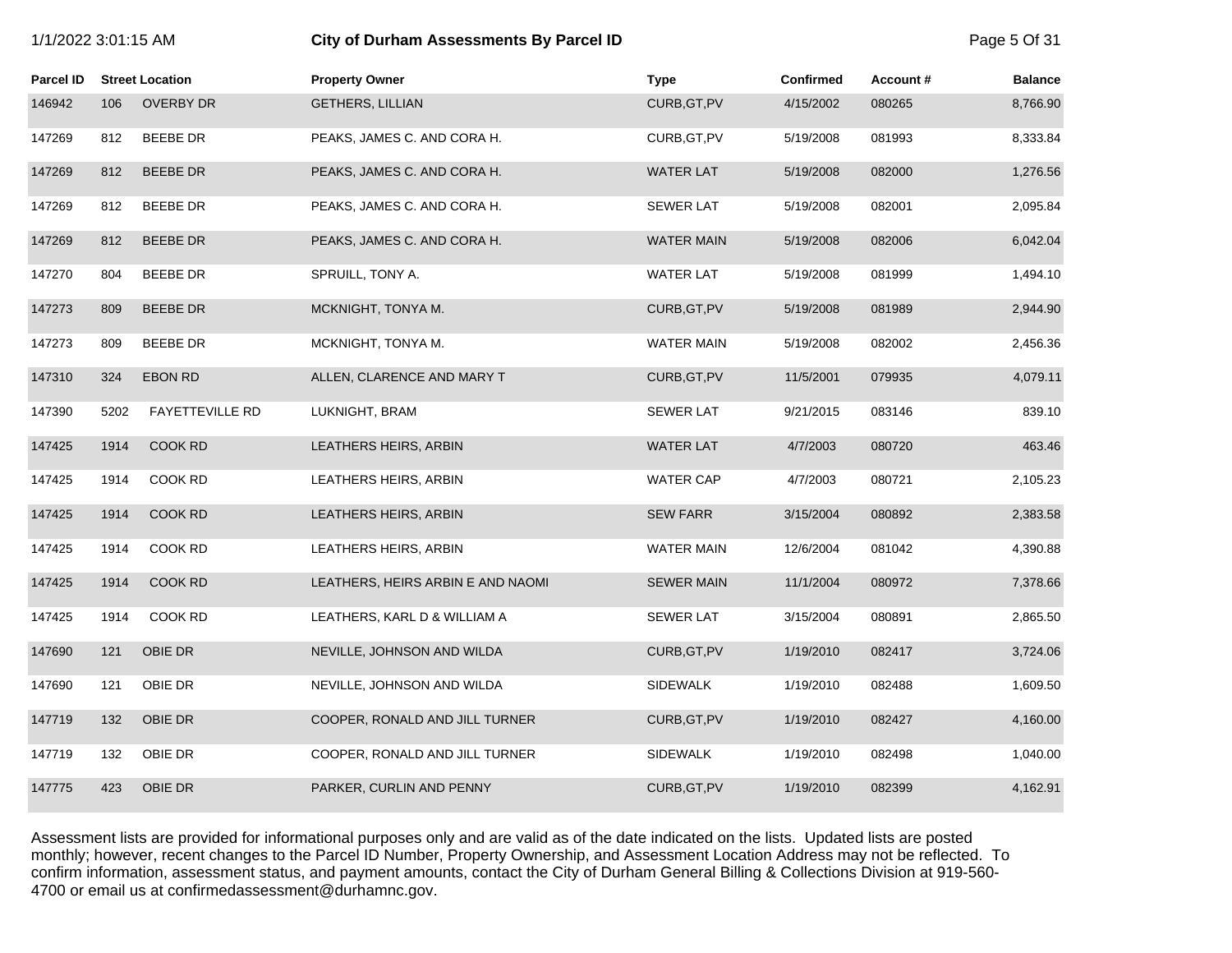|                  | 1/1/2022 3:01:15 AM |                        | City of Durham Assessments By Parcel ID |                   |                  | Page 5 Of 31 |                |
|------------------|---------------------|------------------------|-----------------------------------------|-------------------|------------------|--------------|----------------|
| <b>Parcel ID</b> |                     | <b>Street Location</b> | <b>Property Owner</b>                   | <b>Type</b>       | <b>Confirmed</b> | Account#     | <b>Balance</b> |
| 146942           | 106                 | <b>OVERBY DR</b>       | <b>GETHERS, LILLIAN</b>                 | CURB, GT, PV      | 4/15/2002        | 080265       | 8,766.90       |
| 147269           | 812                 | <b>BEEBE DR</b>        | PEAKS, JAMES C. AND CORA H.             | CURB, GT, PV      | 5/19/2008        | 081993       | 8,333.84       |
| 147269           | 812                 | <b>BEEBE DR</b>        | PEAKS, JAMES C. AND CORA H.             | <b>WATER LAT</b>  | 5/19/2008        | 082000       | 1,276.56       |
| 147269           | 812                 | <b>BEEBE DR</b>        | PEAKS, JAMES C. AND CORA H.             | <b>SEWER LAT</b>  | 5/19/2008        | 082001       | 2,095.84       |
| 147269           | 812                 | <b>BEEBE DR</b>        | PEAKS, JAMES C. AND CORA H.             | <b>WATER MAIN</b> | 5/19/2008        | 082006       | 6,042.04       |
| 147270           | 804                 | <b>BEEBE DR</b>        | SPRUILL, TONY A.                        | <b>WATER LAT</b>  | 5/19/2008        | 081999       | 1,494.10       |
| 147273           | 809                 | <b>BEEBE DR</b>        | MCKNIGHT, TONYA M.                      | CURB, GT, PV      | 5/19/2008        | 081989       | 2,944.90       |
| 147273           | 809                 | <b>BEEBE DR</b>        | MCKNIGHT, TONYA M.                      | <b>WATER MAIN</b> | 5/19/2008        | 082002       | 2,456.36       |
| 147310           | 324                 | <b>EBON RD</b>         | ALLEN, CLARENCE AND MARY T              | CURB, GT, PV      | 11/5/2001        | 079935       | 4,079.11       |
| 147390           | 5202                | <b>FAYETTEVILLE RD</b> | LUKNIGHT, BRAM                          | <b>SEWER LAT</b>  | 9/21/2015        | 083146       | 839.10         |
| 147425           | 1914                | COOK RD                | LEATHERS HEIRS, ARBIN                   | <b>WATER LAT</b>  | 4/7/2003         | 080720       | 463.46         |
| 147425           | 1914                | COOK RD                | LEATHERS HEIRS, ARBIN                   | <b>WATER CAP</b>  | 4/7/2003         | 080721       | 2,105.23       |
| 147425           | 1914                | <b>COOK RD</b>         | LEATHERS HEIRS, ARBIN                   | <b>SEW FARR</b>   | 3/15/2004        | 080892       | 2,383.58       |
| 147425           | 1914                | <b>COOK RD</b>         | LEATHERS HEIRS, ARBIN                   | <b>WATER MAIN</b> | 12/6/2004        | 081042       | 4,390.88       |
| 147425           | 1914                | COOK RD                | LEATHERS, HEIRS ARBIN E AND NAOMI       | <b>SEWER MAIN</b> | 11/1/2004        | 080972       | 7,378.66       |
| 147425           | 1914                | COOK RD                | LEATHERS, KARL D & WILLIAM A            | <b>SEWER LAT</b>  | 3/15/2004        | 080891       | 2,865.50       |
| 147690           | 121                 | OBIE DR                | NEVILLE, JOHNSON AND WILDA              | CURB, GT, PV      | 1/19/2010        | 082417       | 3,724.06       |
| 147690           | 121                 | OBIE DR                | NEVILLE, JOHNSON AND WILDA              | <b>SIDEWALK</b>   | 1/19/2010        | 082488       | 1,609.50       |
| 147719           | 132                 | OBIE DR                | COOPER, RONALD AND JILL TURNER          | CURB, GT, PV      | 1/19/2010        | 082427       | 4,160.00       |
| 147719           | 132                 | OBIE DR                | COOPER, RONALD AND JILL TURNER          | <b>SIDEWALK</b>   | 1/19/2010        | 082498       | 1,040.00       |
| 147775           | 423                 | OBIE DR                | PARKER, CURLIN AND PENNY                | CURB, GT, PV      | 1/19/2010        | 082399       | 4,162.91       |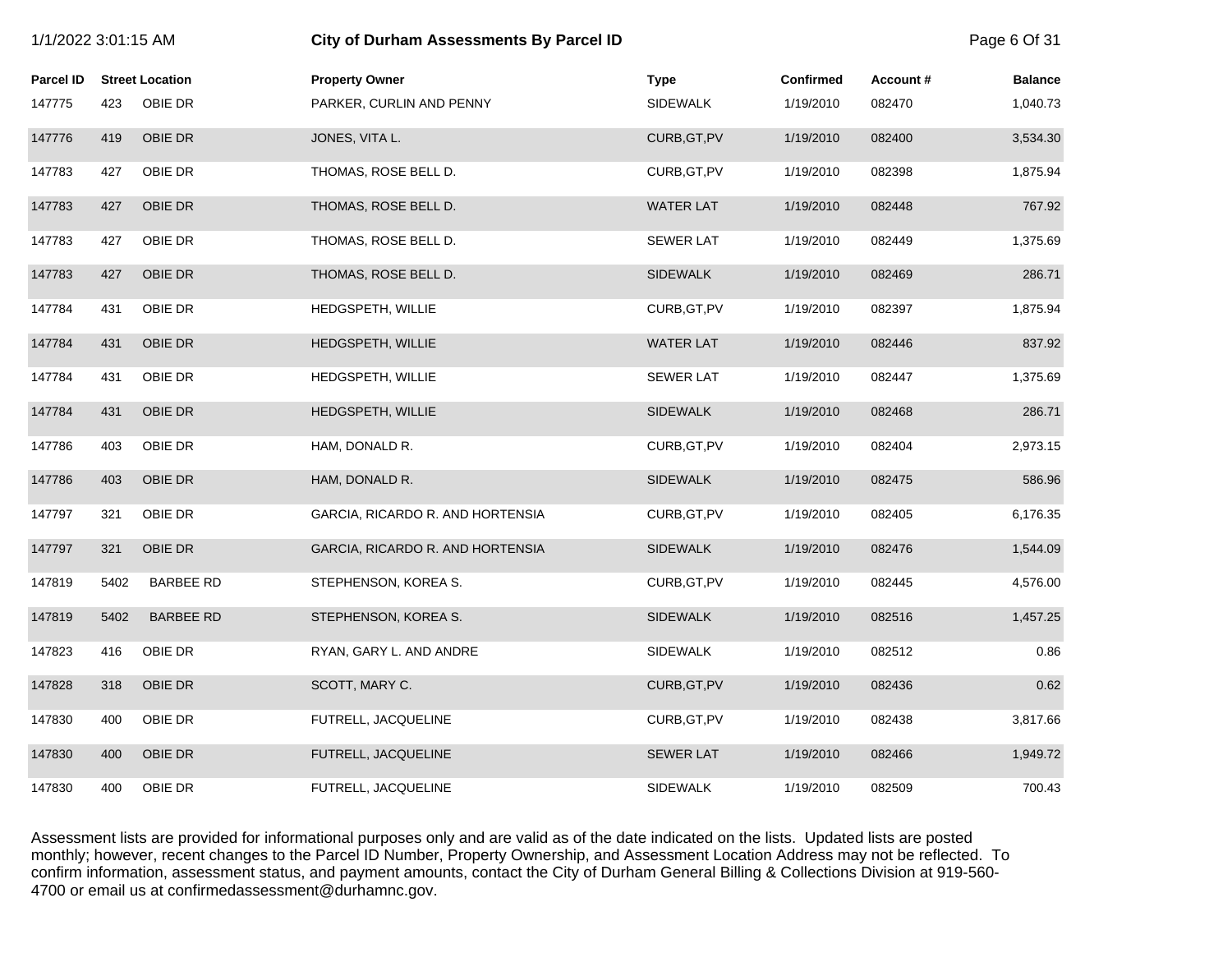|                  | 1/1/2022 3:01:15 AM |                        | City of Durham Assessments By Parcel ID |                  |                  |          | Page 6 Of 31   |
|------------------|---------------------|------------------------|-----------------------------------------|------------------|------------------|----------|----------------|
| <b>Parcel ID</b> |                     | <b>Street Location</b> | <b>Property Owner</b>                   | <b>Type</b>      | <b>Confirmed</b> | Account# | <b>Balance</b> |
| 147775           | 423                 | OBIE DR                | PARKER, CURLIN AND PENNY                | <b>SIDEWALK</b>  | 1/19/2010        | 082470   | 1,040.73       |
| 147776           | 419                 | OBIE DR                | JONES, VITA L.                          | CURB, GT, PV     | 1/19/2010        | 082400   | 3,534.30       |
| 147783           | 427                 | OBIE DR                | THOMAS, ROSE BELL D.                    | CURB, GT, PV     | 1/19/2010        | 082398   | 1,875.94       |
| 147783           | 427                 | OBIE DR                | THOMAS, ROSE BELL D.                    | <b>WATER LAT</b> | 1/19/2010        | 082448   | 767.92         |
| 147783           | 427                 | OBIE DR                | THOMAS, ROSE BELL D.                    | <b>SEWER LAT</b> | 1/19/2010        | 082449   | 1,375.69       |
| 147783           | 427                 | OBIE DR                | THOMAS, ROSE BELL D.                    | <b>SIDEWALK</b>  | 1/19/2010        | 082469   | 286.71         |
| 147784           | 431                 | OBIE DR                | HEDGSPETH, WILLIE                       | CURB, GT, PV     | 1/19/2010        | 082397   | 1,875.94       |
| 147784           | 431                 | <b>OBIE DR</b>         | HEDGSPETH, WILLIE                       | <b>WATER LAT</b> | 1/19/2010        | 082446   | 837.92         |
| 147784           | 431                 | OBIE DR                | HEDGSPETH, WILLIE                       | <b>SEWER LAT</b> | 1/19/2010        | 082447   | 1,375.69       |
| 147784           | 431                 | OBIE DR                | HEDGSPETH, WILLIE                       | <b>SIDEWALK</b>  | 1/19/2010        | 082468   | 286.71         |
| 147786           | 403                 | OBIE DR                | HAM, DONALD R.                          | CURB, GT, PV     | 1/19/2010        | 082404   | 2,973.15       |
| 147786           | 403                 | OBIE DR                | HAM, DONALD R.                          | <b>SIDEWALK</b>  | 1/19/2010        | 082475   | 586.96         |
| 147797           | 321                 | OBIE DR                | GARCIA, RICARDO R. AND HORTENSIA        | CURB, GT, PV     | 1/19/2010        | 082405   | 6,176.35       |
| 147797           | 321                 | OBIE DR                | GARCIA, RICARDO R. AND HORTENSIA        | <b>SIDEWALK</b>  | 1/19/2010        | 082476   | 1,544.09       |
| 147819           | 5402                | <b>BARBEE RD</b>       | STEPHENSON, KOREA S.                    | CURB, GT, PV     | 1/19/2010        | 082445   | 4,576.00       |
| 147819           | 5402                | <b>BARBEE RD</b>       | STEPHENSON, KOREA S.                    | <b>SIDEWALK</b>  | 1/19/2010        | 082516   | 1,457.25       |
| 147823           | 416                 | OBIE DR                | RYAN, GARY L. AND ANDRE                 | <b>SIDEWALK</b>  | 1/19/2010        | 082512   | 0.86           |
| 147828           | 318                 | OBIE DR                | SCOTT, MARY C.                          | CURB, GT, PV     | 1/19/2010        | 082436   | 0.62           |
| 147830           | 400                 | OBIE DR                | FUTRELL, JACQUELINE                     | CURB, GT, PV     | 1/19/2010        | 082438   | 3,817.66       |
| 147830           | 400                 | OBIE DR                | FUTRELL, JACQUELINE                     | <b>SEWER LAT</b> | 1/19/2010        | 082466   | 1,949.72       |
| 147830           | 400                 | OBIE DR                | FUTRELL, JACQUELINE                     | <b>SIDEWALK</b>  | 1/19/2010        | 082509   | 700.43         |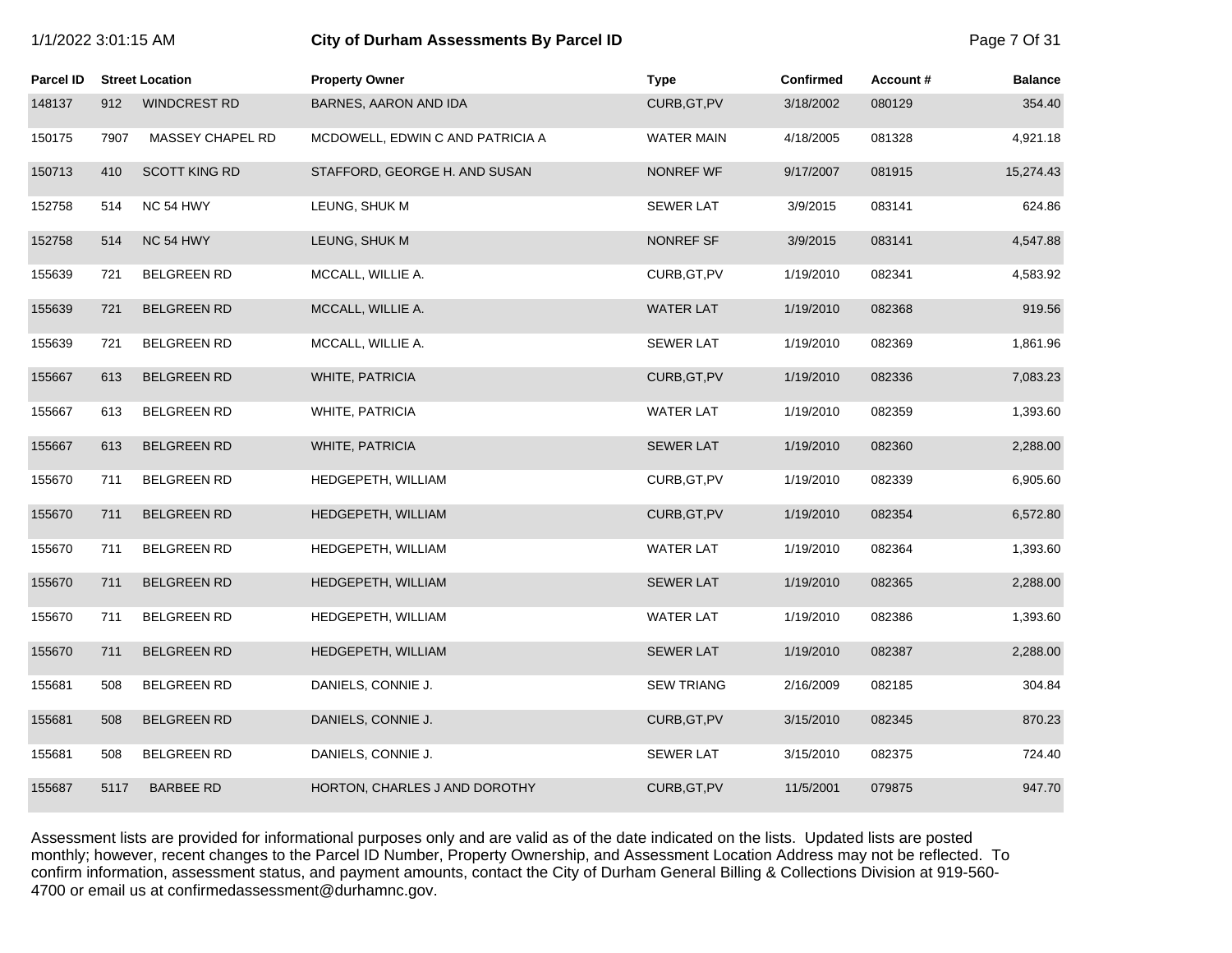| 1/1/2022 3:01:15 AM |      |                        | City of Durham Assessments By Parcel ID |                   |                  |          | Page 7 Of 31   |
|---------------------|------|------------------------|-----------------------------------------|-------------------|------------------|----------|----------------|
| Parcel ID           |      | <b>Street Location</b> | <b>Property Owner</b>                   | <b>Type</b>       | <b>Confirmed</b> | Account# | <b>Balance</b> |
| 148137              | 912  | <b>WINDCREST RD</b>    | BARNES, AARON AND IDA                   | CURB, GT, PV      | 3/18/2002        | 080129   | 354.40         |
| 150175              | 7907 | MASSEY CHAPEL RD       | MCDOWELL, EDWIN C AND PATRICIA A        | <b>WATER MAIN</b> | 4/18/2005        | 081328   | 4,921.18       |
| 150713              | 410  | <b>SCOTT KING RD</b>   | STAFFORD, GEORGE H. AND SUSAN           | NONREF WF         | 9/17/2007        | 081915   | 15,274.43      |
| 152758              | 514  | NC 54 HWY              | LEUNG, SHUK M                           | <b>SEWER LAT</b>  | 3/9/2015         | 083141   | 624.86         |
| 152758              | 514  | NC 54 HWY              | LEUNG, SHUK M                           | NONREF SF         | 3/9/2015         | 083141   | 4,547.88       |
| 155639              | 721  | <b>BELGREEN RD</b>     | MCCALL, WILLIE A.                       | CURB, GT, PV      | 1/19/2010        | 082341   | 4,583.92       |
| 155639              | 721  | <b>BELGREEN RD</b>     | MCCALL, WILLIE A.                       | <b>WATER LAT</b>  | 1/19/2010        | 082368   | 919.56         |
| 155639              | 721  | <b>BELGREEN RD</b>     | MCCALL, WILLIE A.                       | <b>SEWER LAT</b>  | 1/19/2010        | 082369   | 1,861.96       |
| 155667              | 613  | <b>BELGREEN RD</b>     | <b>WHITE, PATRICIA</b>                  | CURB, GT, PV      | 1/19/2010        | 082336   | 7,083.23       |
| 155667              | 613  | <b>BELGREEN RD</b>     | WHITE, PATRICIA                         | <b>WATER LAT</b>  | 1/19/2010        | 082359   | 1,393.60       |
| 155667              | 613  | <b>BELGREEN RD</b>     | WHITE, PATRICIA                         | <b>SEWER LAT</b>  | 1/19/2010        | 082360   | 2,288.00       |
| 155670              | 711  | <b>BELGREEN RD</b>     | HEDGEPETH, WILLIAM                      | CURB, GT, PV      | 1/19/2010        | 082339   | 6,905.60       |
| 155670              | 711  | <b>BELGREEN RD</b>     | HEDGEPETH, WILLIAM                      | CURB, GT, PV      | 1/19/2010        | 082354   | 6,572.80       |
| 155670              | 711  | <b>BELGREEN RD</b>     | HEDGEPETH, WILLIAM                      | <b>WATER LAT</b>  | 1/19/2010        | 082364   | 1,393.60       |
| 155670              | 711  | <b>BELGREEN RD</b>     | HEDGEPETH, WILLIAM                      | <b>SEWER LAT</b>  | 1/19/2010        | 082365   | 2,288.00       |
| 155670              | 711  | <b>BELGREEN RD</b>     | HEDGEPETH, WILLIAM                      | <b>WATER LAT</b>  | 1/19/2010        | 082386   | 1,393.60       |
| 155670              | 711  | <b>BELGREEN RD</b>     | HEDGEPETH, WILLIAM                      | <b>SEWER LAT</b>  | 1/19/2010        | 082387   | 2,288.00       |
| 155681              | 508  | <b>BELGREEN RD</b>     | DANIELS, CONNIE J.                      | <b>SEW TRIANG</b> | 2/16/2009        | 082185   | 304.84         |
| 155681              | 508  | <b>BELGREEN RD</b>     | DANIELS, CONNIE J.                      | CURB, GT, PV      | 3/15/2010        | 082345   | 870.23         |
| 155681              | 508  | <b>BELGREEN RD</b>     | DANIELS, CONNIE J.                      | <b>SEWER LAT</b>  | 3/15/2010        | 082375   | 724.40         |
| 155687              | 5117 | <b>BARBEE RD</b>       | HORTON, CHARLES J AND DOROTHY           | CURB, GT, PV      | 11/5/2001        | 079875   | 947.70         |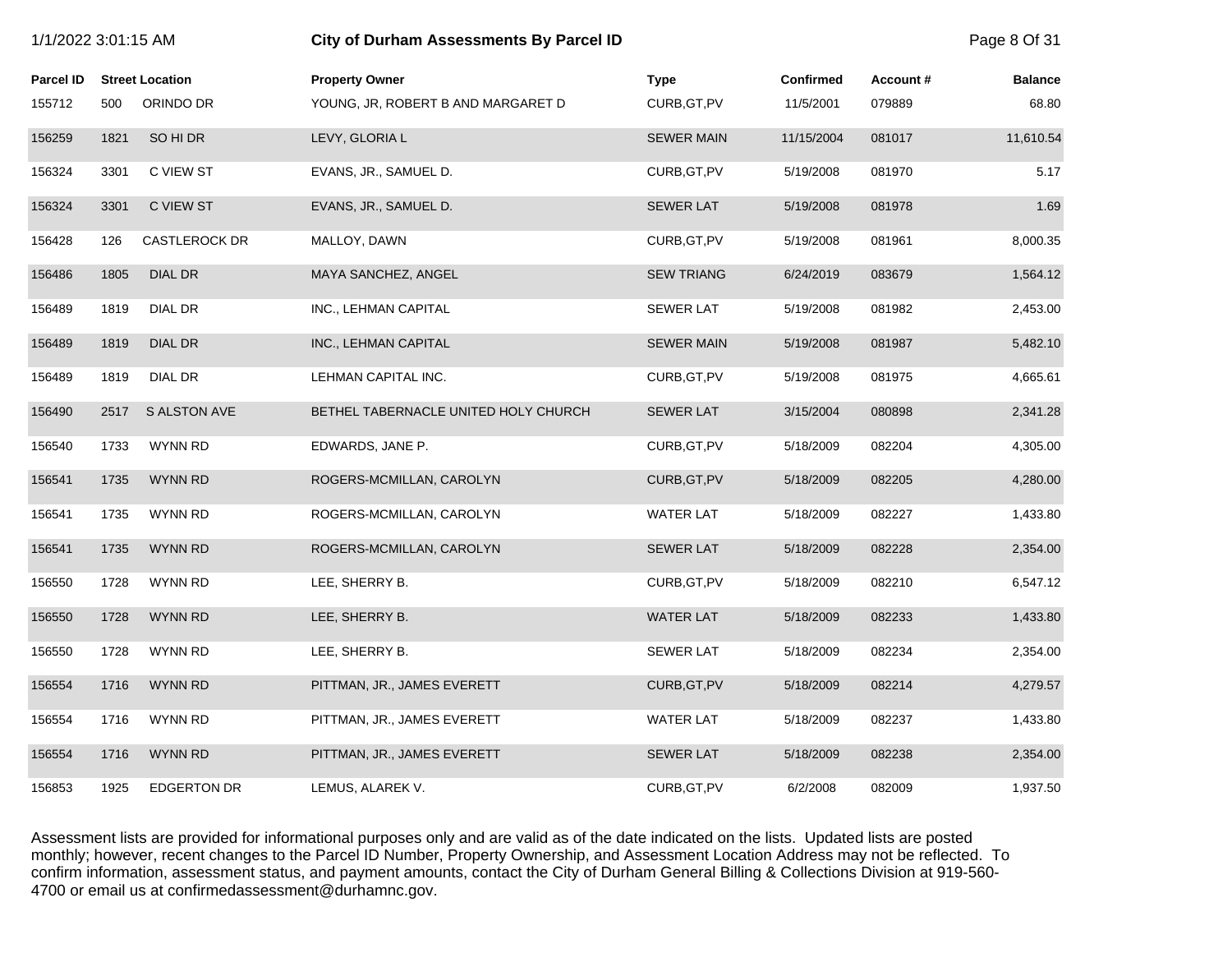|                  | 1/1/2022 3:01:15 AM |                        | City of Durham Assessments By Parcel ID |                   |                  |          | Page 8 Of 31   |
|------------------|---------------------|------------------------|-----------------------------------------|-------------------|------------------|----------|----------------|
| <b>Parcel ID</b> |                     | <b>Street Location</b> | <b>Property Owner</b>                   | <b>Type</b>       | <b>Confirmed</b> | Account# | <b>Balance</b> |
| 155712           | 500                 | ORINDO DR              | YOUNG, JR, ROBERT B AND MARGARET D      | CURB, GT, PV      | 11/5/2001        | 079889   | 68.80          |
| 156259           | 1821                | SO HI DR               | LEVY, GLORIA L                          | <b>SEWER MAIN</b> | 11/15/2004       | 081017   | 11,610.54      |
| 156324           | 3301                | C VIEW ST              | EVANS, JR., SAMUEL D.                   | CURB, GT, PV      | 5/19/2008        | 081970   | 5.17           |
| 156324           | 3301                | C VIEW ST              | EVANS, JR., SAMUEL D.                   | <b>SEWER LAT</b>  | 5/19/2008        | 081978   | 1.69           |
| 156428           | 126                 | <b>CASTLEROCK DR</b>   | MALLOY, DAWN                            | CURB, GT, PV      | 5/19/2008        | 081961   | 8,000.35       |
| 156486           | 1805                | <b>DIAL DR</b>         | MAYA SANCHEZ, ANGEL                     | <b>SEW TRIANG</b> | 6/24/2019        | 083679   | 1,564.12       |
| 156489           | 1819                | DIAL DR                | INC., LEHMAN CAPITAL                    | <b>SEWER LAT</b>  | 5/19/2008        | 081982   | 2,453.00       |
| 156489           | 1819                | <b>DIAL DR</b>         | INC., LEHMAN CAPITAL                    | <b>SEWER MAIN</b> | 5/19/2008        | 081987   | 5,482.10       |
| 156489           | 1819                | DIAL DR                | LEHMAN CAPITAL INC.                     | CURB, GT, PV      | 5/19/2008        | 081975   | 4,665.61       |
| 156490           | 2517                | S ALSTON AVE           | BETHEL TABERNACLE UNITED HOLY CHURCH    | <b>SEWER LAT</b>  | 3/15/2004        | 080898   | 2,341.28       |
| 156540           | 1733                | WYNN RD                | EDWARDS, JANE P.                        | CURB, GT, PV      | 5/18/2009        | 082204   | 4,305.00       |
| 156541           | 1735                | <b>WYNN RD</b>         | ROGERS-MCMILLAN, CAROLYN                | CURB, GT, PV      | 5/18/2009        | 082205   | 4,280.00       |
| 156541           | 1735                | WYNN RD                | ROGERS-MCMILLAN, CAROLYN                | <b>WATER LAT</b>  | 5/18/2009        | 082227   | 1,433.80       |
| 156541           | 1735                | <b>WYNN RD</b>         | ROGERS-MCMILLAN, CAROLYN                | <b>SEWER LAT</b>  | 5/18/2009        | 082228   | 2,354.00       |
| 156550           | 1728                | WYNN RD                | LEE, SHERRY B.                          | CURB, GT, PV      | 5/18/2009        | 082210   | 6,547.12       |
| 156550           | 1728                | <b>WYNN RD</b>         | LEE, SHERRY B.                          | <b>WATER LAT</b>  | 5/18/2009        | 082233   | 1,433.80       |
| 156550           | 1728                | WYNN RD                | LEE, SHERRY B.                          | <b>SEWER LAT</b>  | 5/18/2009        | 082234   | 2,354.00       |
| 156554           | 1716                | WYNN RD                | PITTMAN, JR., JAMES EVERETT             | CURB, GT, PV      | 5/18/2009        | 082214   | 4,279.57       |
| 156554           | 1716                | WYNN RD                | PITTMAN, JR., JAMES EVERETT             | <b>WATER LAT</b>  | 5/18/2009        | 082237   | 1,433.80       |
| 156554           | 1716                | <b>WYNN RD</b>         | PITTMAN, JR., JAMES EVERETT             | <b>SEWER LAT</b>  | 5/18/2009        | 082238   | 2,354.00       |
| 156853           | 1925                | <b>EDGERTON DR</b>     | LEMUS, ALAREK V.                        | CURB, GT, PV      | 6/2/2008         | 082009   | 1,937.50       |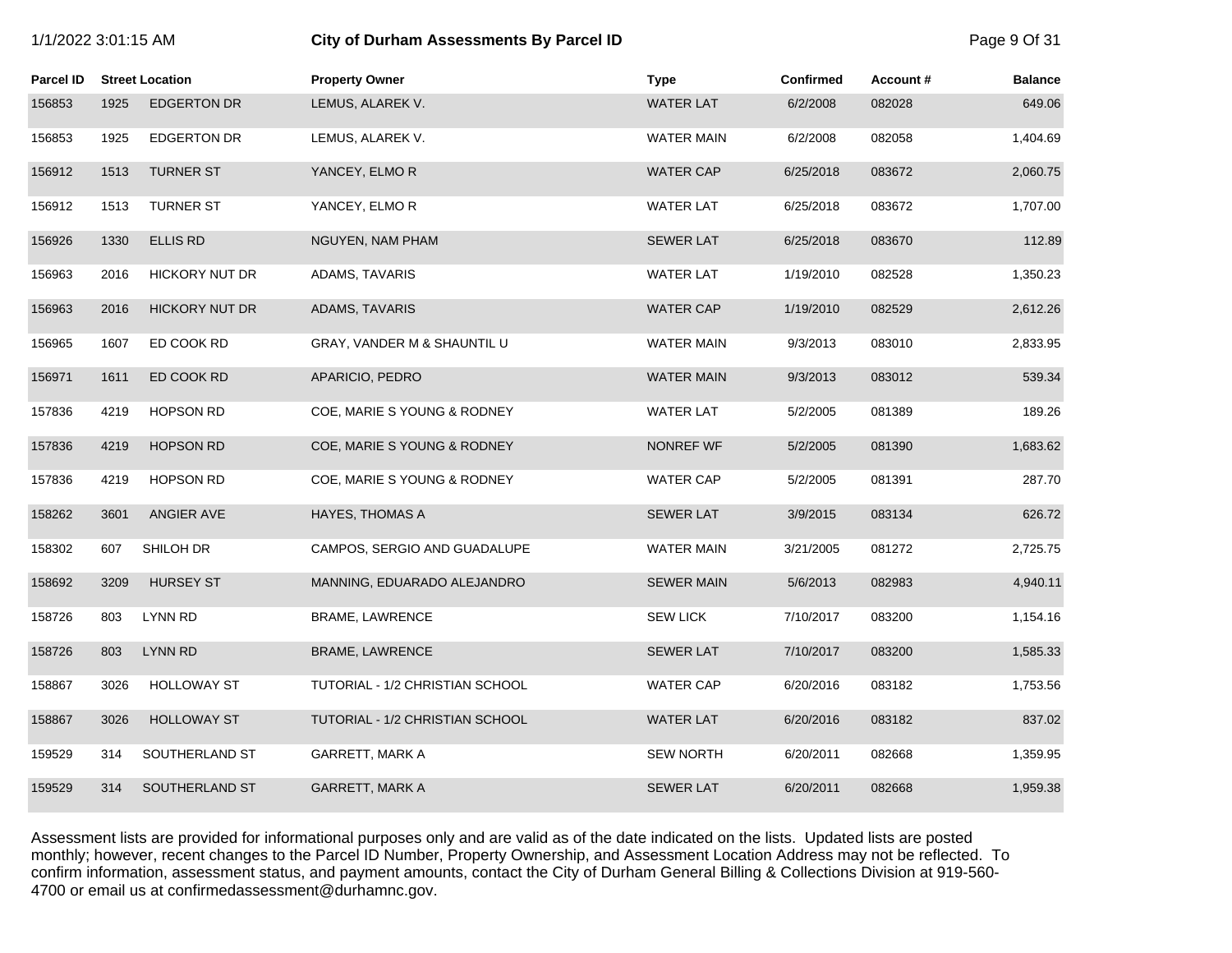# 1/1/2022 3:01:15 AM **City of Durham Assessments By Parcel ID** Page 9 Of 31

| <b>Parcel ID</b> |      | <b>Street Location</b> | <b>Property Owner</b>           | <b>Type</b>       | <b>Confirmed</b> | Account# | <b>Balance</b> |
|------------------|------|------------------------|---------------------------------|-------------------|------------------|----------|----------------|
| 156853           | 1925 | <b>EDGERTON DR</b>     | LEMUS, ALAREK V.                | <b>WATER LAT</b>  | 6/2/2008         | 082028   | 649.06         |
| 156853           | 1925 | <b>EDGERTON DR</b>     | LEMUS, ALAREK V.                | <b>WATER MAIN</b> | 6/2/2008         | 082058   | 1,404.69       |
| 156912           | 1513 | <b>TURNER ST</b>       | YANCEY, ELMOR                   | <b>WATER CAP</b>  | 6/25/2018        | 083672   | 2,060.75       |
| 156912           | 1513 | <b>TURNER ST</b>       | YANCEY, ELMO R                  | <b>WATER LAT</b>  | 6/25/2018        | 083672   | 1,707.00       |
| 156926           | 1330 | <b>ELLIS RD</b>        | NGUYEN, NAM PHAM                | <b>SEWER LAT</b>  | 6/25/2018        | 083670   | 112.89         |
| 156963           | 2016 | <b>HICKORY NUT DR</b>  | ADAMS, TAVARIS                  | <b>WATER LAT</b>  | 1/19/2010        | 082528   | 1,350.23       |
| 156963           | 2016 | <b>HICKORY NUT DR</b>  | ADAMS, TAVARIS                  | <b>WATER CAP</b>  | 1/19/2010        | 082529   | 2,612.26       |
| 156965           | 1607 | ED COOK RD             | GRAY, VANDER M & SHAUNTIL U     | <b>WATER MAIN</b> | 9/3/2013         | 083010   | 2,833.95       |
| 156971           | 1611 | ED COOK RD             | APARICIO, PEDRO                 | <b>WATER MAIN</b> | 9/3/2013         | 083012   | 539.34         |
| 157836           | 4219 | <b>HOPSON RD</b>       | COE, MARIE S YOUNG & RODNEY     | <b>WATER LAT</b>  | 5/2/2005         | 081389   | 189.26         |
| 157836           | 4219 | <b>HOPSON RD</b>       | COE, MARIE S YOUNG & RODNEY     | NONREF WF         | 5/2/2005         | 081390   | 1,683.62       |
| 157836           | 4219 | <b>HOPSON RD</b>       | COE, MARIE S YOUNG & RODNEY     | <b>WATER CAP</b>  | 5/2/2005         | 081391   | 287.70         |
| 158262           | 3601 | ANGIER AVE             | HAYES, THOMAS A                 | <b>SEWER LAT</b>  | 3/9/2015         | 083134   | 626.72         |
| 158302           | 607  | SHILOH DR              | CAMPOS, SERGIO AND GUADALUPE    | <b>WATER MAIN</b> | 3/21/2005        | 081272   | 2,725.75       |
| 158692           | 3209 | <b>HURSEY ST</b>       | MANNING, EDUARADO ALEJANDRO     | <b>SEWER MAIN</b> | 5/6/2013         | 082983   | 4,940.11       |
| 158726           | 803  | <b>LYNN RD</b>         | BRAME, LAWRENCE                 | <b>SEW LICK</b>   | 7/10/2017        | 083200   | 1,154.16       |
| 158726           | 803  | <b>LYNN RD</b>         | BRAME, LAWRENCE                 | <b>SEWER LAT</b>  | 7/10/2017        | 083200   | 1,585.33       |
| 158867           | 3026 | <b>HOLLOWAY ST</b>     | TUTORIAL - 1/2 CHRISTIAN SCHOOL | <b>WATER CAP</b>  | 6/20/2016        | 083182   | 1,753.56       |
| 158867           | 3026 | <b>HOLLOWAY ST</b>     | TUTORIAL - 1/2 CHRISTIAN SCHOOL | <b>WATER LAT</b>  | 6/20/2016        | 083182   | 837.02         |
| 159529           | 314  | SOUTHERLAND ST         | GARRETT, MARK A                 | <b>SEW NORTH</b>  | 6/20/2011        | 082668   | 1,359.95       |
| 159529           | 314  | SOUTHERLAND ST         | <b>GARRETT, MARK A</b>          | <b>SEWER LAT</b>  | 6/20/2011        | 082668   | 1,959.38       |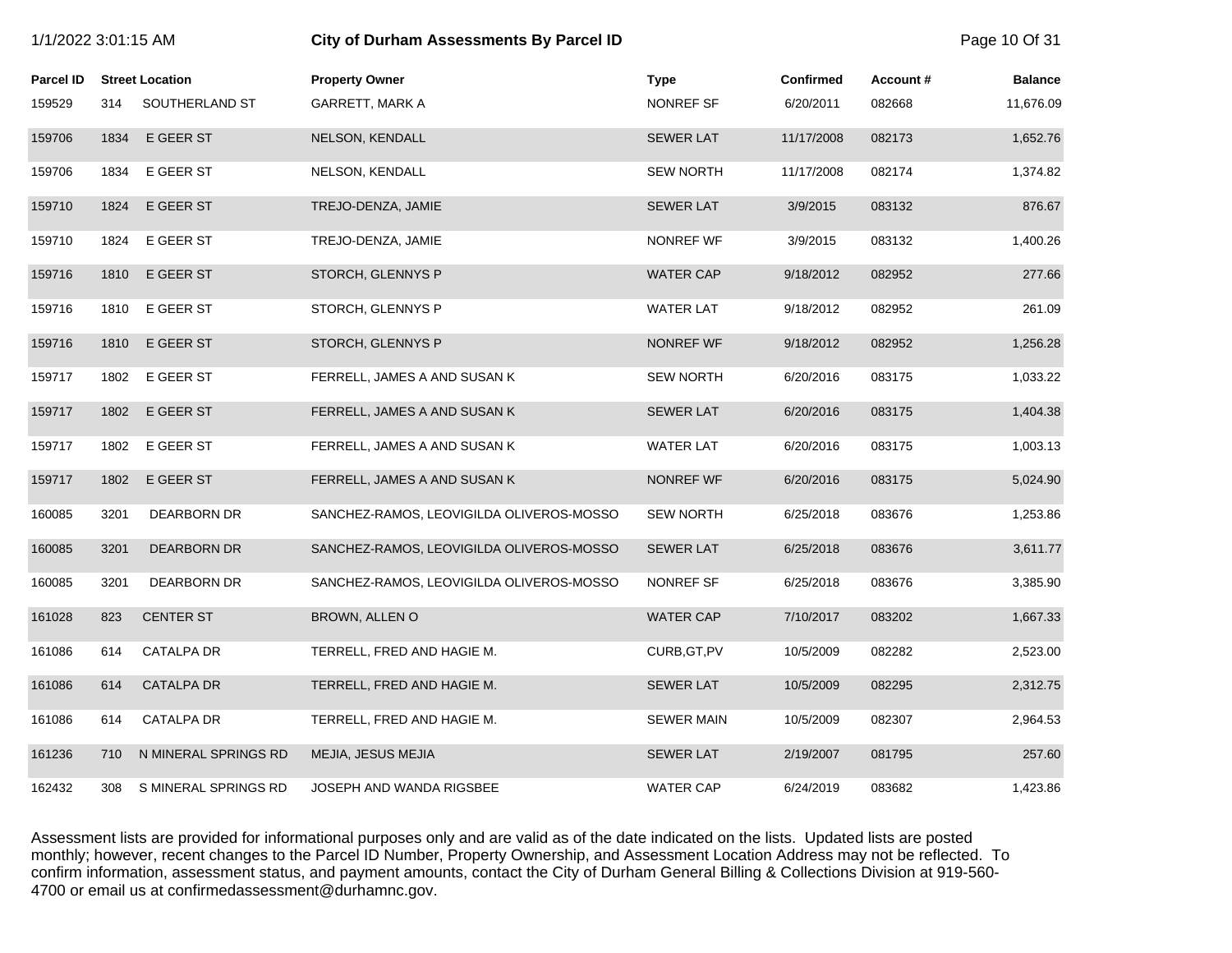|                  | 1/1/2022 3:01:15 AM |                        | City of Durham Assessments By Parcel ID  |                   |                  |          | Page 10 Of 31  |
|------------------|---------------------|------------------------|------------------------------------------|-------------------|------------------|----------|----------------|
| <b>Parcel ID</b> |                     | <b>Street Location</b> | <b>Property Owner</b>                    | <b>Type</b>       | <b>Confirmed</b> | Account# | <b>Balance</b> |
| 159529           | 314                 | SOUTHERLAND ST         | <b>GARRETT, MARK A</b>                   | NONREF SF         | 6/20/2011        | 082668   | 11,676.09      |
| 159706           | 1834                | E GEER ST              | NELSON, KENDALL                          | <b>SEWER LAT</b>  | 11/17/2008       | 082173   | 1,652.76       |
| 159706           | 1834                | E GEER ST              | NELSON, KENDALL                          | <b>SEW NORTH</b>  | 11/17/2008       | 082174   | 1,374.82       |
| 159710           | 1824                | E GEER ST              | TREJO-DENZA, JAMIE                       | <b>SEWER LAT</b>  | 3/9/2015         | 083132   | 876.67         |
| 159710           | 1824                | E GEER ST              | TREJO-DENZA, JAMIE                       | NONREF WF         | 3/9/2015         | 083132   | 1,400.26       |
| 159716           | 1810                | E GEER ST              | STORCH, GLENNYS P                        | <b>WATER CAP</b>  | 9/18/2012        | 082952   | 277.66         |
| 159716           | 1810                | E GEER ST              | STORCH, GLENNYS P                        | <b>WATER LAT</b>  | 9/18/2012        | 082952   | 261.09         |
| 159716           | 1810                | E GEER ST              | STORCH, GLENNYS P                        | NONREF WF         | 9/18/2012        | 082952   | 1,256.28       |
| 159717           | 1802                | E GEER ST              | FERRELL, JAMES A AND SUSAN K             | <b>SEW NORTH</b>  | 6/20/2016        | 083175   | 1,033.22       |
| 159717           | 1802                | E GEER ST              | FERRELL, JAMES A AND SUSAN K             | <b>SEWER LAT</b>  | 6/20/2016        | 083175   | 1,404.38       |
| 159717           | 1802                | E GEER ST              | FERRELL, JAMES A AND SUSAN K             | <b>WATER LAT</b>  | 6/20/2016        | 083175   | 1,003.13       |
| 159717           | 1802                | E GEER ST              | FERRELL, JAMES A AND SUSAN K             | NONREF WF         | 6/20/2016        | 083175   | 5,024.90       |
| 160085           | 3201                | DEARBORN DR            | SANCHEZ-RAMOS, LEOVIGILDA OLIVEROS-MOSSO | <b>SEW NORTH</b>  | 6/25/2018        | 083676   | 1,253.86       |
| 160085           | 3201                | <b>DEARBORN DR</b>     | SANCHEZ-RAMOS, LEOVIGILDA OLIVEROS-MOSSO | <b>SEWER LAT</b>  | 6/25/2018        | 083676   | 3,611.77       |
| 160085           | 3201                | <b>DEARBORN DR</b>     | SANCHEZ-RAMOS, LEOVIGILDA OLIVEROS-MOSSO | NONREF SF         | 6/25/2018        | 083676   | 3,385.90       |
| 161028           | 823                 | <b>CENTER ST</b>       | BROWN, ALLEN O                           | <b>WATER CAP</b>  | 7/10/2017        | 083202   | 1,667.33       |
| 161086           | 614                 | <b>CATALPA DR</b>      | TERRELL, FRED AND HAGIE M.               | CURB, GT, PV      | 10/5/2009        | 082282   | 2,523.00       |
| 161086           | 614                 | <b>CATALPA DR</b>      | TERRELL, FRED AND HAGIE M.               | <b>SEWER LAT</b>  | 10/5/2009        | 082295   | 2,312.75       |
| 161086           | 614                 | CATALPA DR             | TERRELL, FRED AND HAGIE M.               | <b>SEWER MAIN</b> | 10/5/2009        | 082307   | 2,964.53       |
| 161236           | 710                 | N MINERAL SPRINGS RD   | MEJIA, JESUS MEJIA                       | <b>SEWER LAT</b>  | 2/19/2007        | 081795   | 257.60         |
| 162432           | 308                 | S MINERAL SPRINGS RD   | JOSEPH AND WANDA RIGSBEE                 | <b>WATER CAP</b>  | 6/24/2019        | 083682   | 1,423.86       |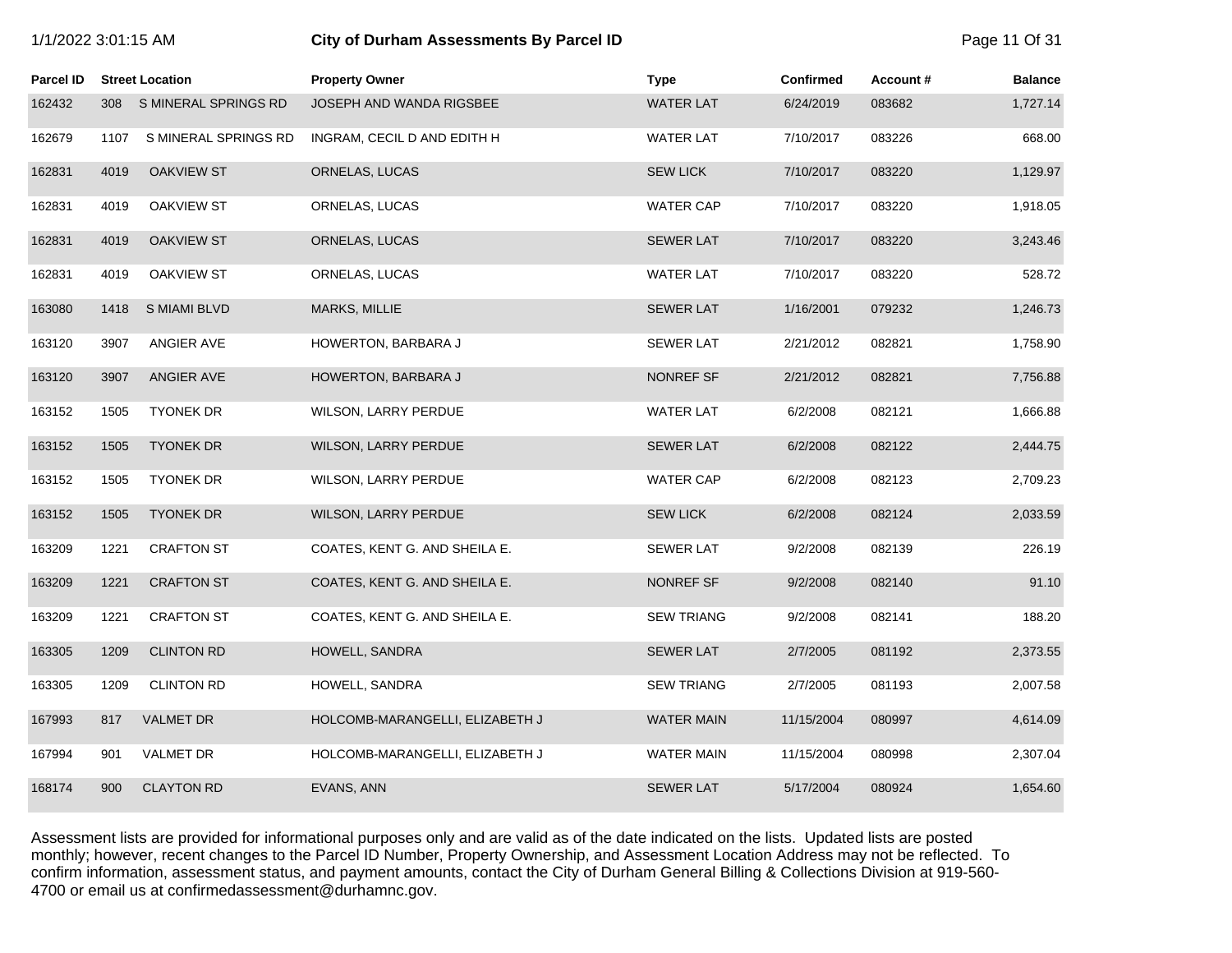|  |  | 1/1/2022 3:01:15 AM |  |
|--|--|---------------------|--|
|--|--|---------------------|--|

# **1/2022 3:01:15 City of Durham Assessments By Parcel ID** Page 11 Of 31

| Parcel ID |      | <b>Street Location</b> | <b>Property Owner</b>           | <b>Type</b>       | <b>Confirmed</b> | Account# | <b>Balance</b> |
|-----------|------|------------------------|---------------------------------|-------------------|------------------|----------|----------------|
| 162432    | 308  | S MINERAL SPRINGS RD   | JOSEPH AND WANDA RIGSBEE        | <b>WATER LAT</b>  | 6/24/2019        | 083682   | 1,727.14       |
| 162679    | 1107 | S MINERAL SPRINGS RD   | INGRAM, CECIL D AND EDITH H     | <b>WATER LAT</b>  | 7/10/2017        | 083226   | 668.00         |
| 162831    | 4019 | OAKVIEW ST             | ORNELAS, LUCAS                  | <b>SEW LICK</b>   | 7/10/2017        | 083220   | 1,129.97       |
| 162831    | 4019 | OAKVIEW ST             | ORNELAS, LUCAS                  | <b>WATER CAP</b>  | 7/10/2017        | 083220   | 1,918.05       |
| 162831    | 4019 | <b>OAKVIEW ST</b>      | ORNELAS, LUCAS                  | <b>SEWER LAT</b>  | 7/10/2017        | 083220   | 3,243.46       |
| 162831    | 4019 | OAKVIEW ST             | ORNELAS, LUCAS                  | <b>WATER LAT</b>  | 7/10/2017        | 083220   | 528.72         |
| 163080    | 1418 | <b>S MIAMI BLVD</b>    | <b>MARKS, MILLIE</b>            | <b>SEWER LAT</b>  | 1/16/2001        | 079232   | 1,246.73       |
| 163120    | 3907 | ANGIER AVE             | HOWERTON, BARBARA J             | <b>SEWER LAT</b>  | 2/21/2012        | 082821   | 1,758.90       |
| 163120    | 3907 | ANGIER AVE             | HOWERTON, BARBARA J             | NONREF SF         | 2/21/2012        | 082821   | 7,756.88       |
| 163152    | 1505 | <b>TYONEK DR</b>       | WILSON, LARRY PERDUE            | <b>WATER LAT</b>  | 6/2/2008         | 082121   | 1,666.88       |
| 163152    | 1505 | <b>TYONEK DR</b>       | WILSON, LARRY PERDUE            | <b>SEWER LAT</b>  | 6/2/2008         | 082122   | 2,444.75       |
| 163152    | 1505 | <b>TYONEK DR</b>       | <b>WILSON, LARRY PERDUE</b>     | <b>WATER CAP</b>  | 6/2/2008         | 082123   | 2,709.23       |
| 163152    | 1505 | <b>TYONEK DR</b>       | WILSON, LARRY PERDUE            | <b>SEW LICK</b>   | 6/2/2008         | 082124   | 2,033.59       |
| 163209    | 1221 | <b>CRAFTON ST</b>      | COATES, KENT G. AND SHEILA E.   | <b>SEWER LAT</b>  | 9/2/2008         | 082139   | 226.19         |
| 163209    | 1221 | <b>CRAFTON ST</b>      | COATES, KENT G. AND SHEILA E.   | <b>NONREF SF</b>  | 9/2/2008         | 082140   | 91.10          |
| 163209    | 1221 | <b>CRAFTON ST</b>      | COATES, KENT G. AND SHEILA E.   | <b>SEW TRIANG</b> | 9/2/2008         | 082141   | 188.20         |
| 163305    | 1209 | <b>CLINTON RD</b>      | HOWELL, SANDRA                  | <b>SEWER LAT</b>  | 2/7/2005         | 081192   | 2,373.55       |
| 163305    | 1209 | <b>CLINTON RD</b>      | HOWELL, SANDRA                  | <b>SEW TRIANG</b> | 2/7/2005         | 081193   | 2,007.58       |
| 167993    | 817  | <b>VALMET DR</b>       | HOLCOMB-MARANGELLI, ELIZABETH J | <b>WATER MAIN</b> | 11/15/2004       | 080997   | 4,614.09       |
| 167994    | 901  | <b>VALMET DR</b>       | HOLCOMB-MARANGELLI, ELIZABETH J | WATER MAIN        | 11/15/2004       | 080998   | 2,307.04       |
| 168174    | 900  | <b>CLAYTON RD</b>      | EVANS, ANN                      | <b>SEWER LAT</b>  | 5/17/2004        | 080924   | 1,654.60       |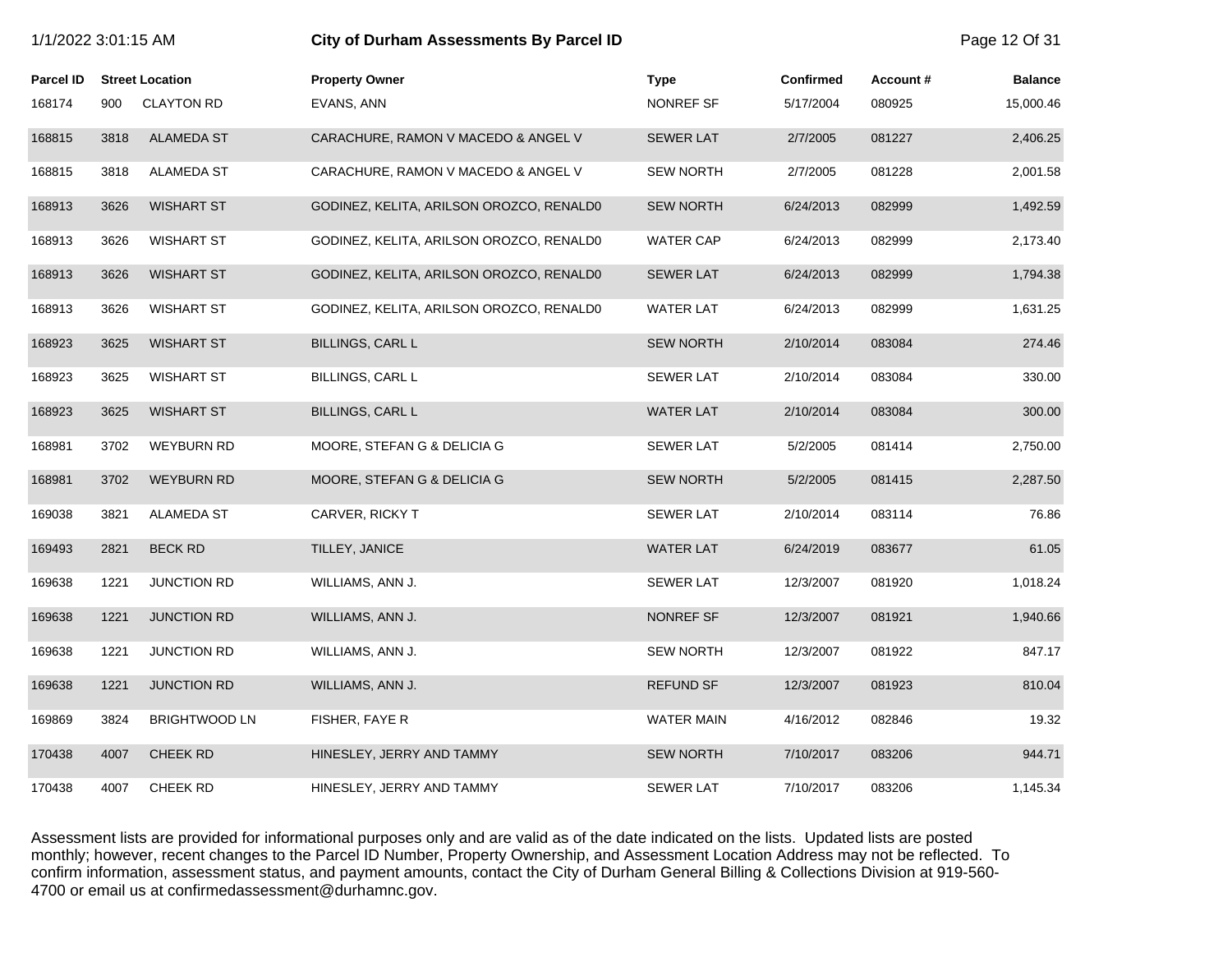|                  | City of Durham Assessments By Parcel ID<br>1/1/2022 3:01:15 AM |                        |                                          | Page 12 Of 31     |                  |          |                |
|------------------|----------------------------------------------------------------|------------------------|------------------------------------------|-------------------|------------------|----------|----------------|
| <b>Parcel ID</b> |                                                                | <b>Street Location</b> | <b>Property Owner</b>                    | <b>Type</b>       | <b>Confirmed</b> | Account# | <b>Balance</b> |
| 168174           | 900                                                            | <b>CLAYTON RD</b>      | EVANS, ANN                               | NONREF SF         | 5/17/2004        | 080925   | 15,000.46      |
| 168815           | 3818                                                           | <b>ALAMEDA ST</b>      | CARACHURE, RAMON V MACEDO & ANGEL V      | <b>SEWER LAT</b>  | 2/7/2005         | 081227   | 2,406.25       |
| 168815           | 3818                                                           | ALAMEDA ST             | CARACHURE, RAMON V MACEDO & ANGEL V      | <b>SEW NORTH</b>  | 2/7/2005         | 081228   | 2,001.58       |
| 168913           | 3626                                                           | <b>WISHART ST</b>      | GODINEZ, KELITA, ARILSON OROZCO, RENALD0 | <b>SEW NORTH</b>  | 6/24/2013        | 082999   | 1,492.59       |
| 168913           | 3626                                                           | <b>WISHART ST</b>      | GODINEZ, KELITA, ARILSON OROZCO, RENALD0 | <b>WATER CAP</b>  | 6/24/2013        | 082999   | 2,173.40       |
| 168913           | 3626                                                           | <b>WISHART ST</b>      | GODINEZ, KELITA, ARILSON OROZCO, RENALD0 | <b>SEWER LAT</b>  | 6/24/2013        | 082999   | 1,794.38       |
| 168913           | 3626                                                           | <b>WISHART ST</b>      | GODINEZ, KELITA, ARILSON OROZCO, RENALDO | <b>WATER LAT</b>  | 6/24/2013        | 082999   | 1,631.25       |
| 168923           | 3625                                                           | <b>WISHART ST</b>      | <b>BILLINGS, CARL L</b>                  | <b>SEW NORTH</b>  | 2/10/2014        | 083084   | 274.46         |
| 168923           | 3625                                                           | <b>WISHART ST</b>      | <b>BILLINGS, CARL L</b>                  | <b>SEWER LAT</b>  | 2/10/2014        | 083084   | 330.00         |
| 168923           | 3625                                                           | <b>WISHART ST</b>      | <b>BILLINGS, CARL L</b>                  | <b>WATER LAT</b>  | 2/10/2014        | 083084   | 300.00         |
| 168981           | 3702                                                           | <b>WEYBURN RD</b>      | MOORE, STEFAN G & DELICIA G              | <b>SEWER LAT</b>  | 5/2/2005         | 081414   | 2,750.00       |
| 168981           | 3702                                                           | <b>WEYBURN RD</b>      | MOORE, STEFAN G & DELICIA G              | <b>SEW NORTH</b>  | 5/2/2005         | 081415   | 2,287.50       |
| 169038           | 3821                                                           | ALAMEDA ST             | CARVER, RICKY T                          | <b>SEWER LAT</b>  | 2/10/2014        | 083114   | 76.86          |
| 169493           | 2821                                                           | <b>BECK RD</b>         | TILLEY, JANICE                           | <b>WATER LAT</b>  | 6/24/2019        | 083677   | 61.05          |
| 169638           | 1221                                                           | <b>JUNCTION RD</b>     | WILLIAMS, ANN J.                         | <b>SEWER LAT</b>  | 12/3/2007        | 081920   | 1,018.24       |
| 169638           | 1221                                                           | <b>JUNCTION RD</b>     | WILLIAMS, ANN J.                         | NONREF SF         | 12/3/2007        | 081921   | 1,940.66       |
| 169638           | 1221                                                           | <b>JUNCTION RD</b>     | WILLIAMS, ANN J.                         | <b>SEW NORTH</b>  | 12/3/2007        | 081922   | 847.17         |
| 169638           | 1221                                                           | <b>JUNCTION RD</b>     | WILLIAMS, ANN J.                         | <b>REFUND SF</b>  | 12/3/2007        | 081923   | 810.04         |
| 169869           | 3824                                                           | <b>BRIGHTWOOD LN</b>   | FISHER, FAYE R                           | <b>WATER MAIN</b> | 4/16/2012        | 082846   | 19.32          |
| 170438           | 4007                                                           | <b>CHEEK RD</b>        | HINESLEY, JERRY AND TAMMY                | <b>SEW NORTH</b>  | 7/10/2017        | 083206   | 944.71         |
| 170438           | 4007                                                           | <b>CHEEK RD</b>        | HINESLEY, JERRY AND TAMMY                | <b>SEWER LAT</b>  | 7/10/2017        | 083206   | 1,145.34       |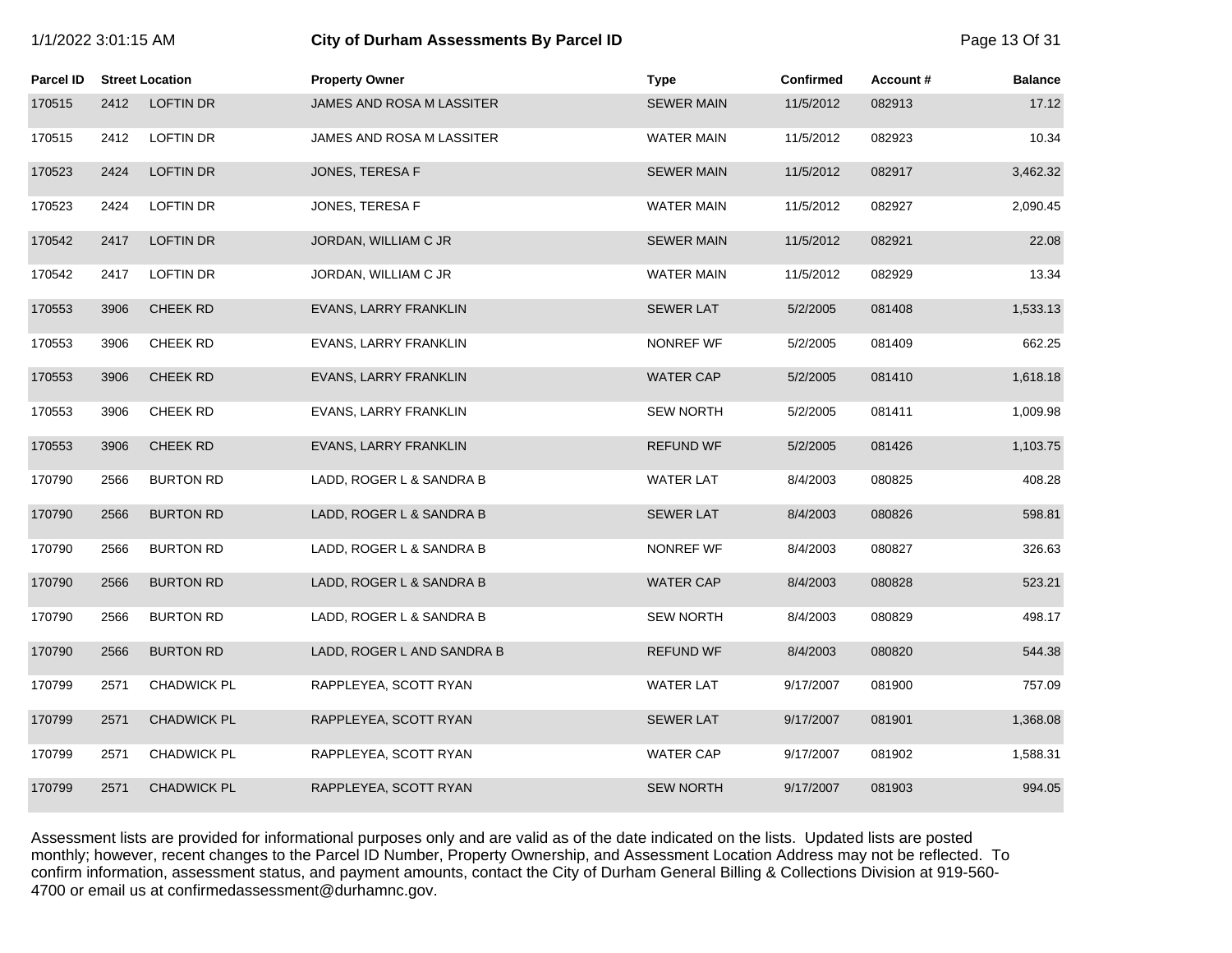| 111202200011101111 |      |                        | ony or Burnam Assessments By Fareer to |                   | $1$ uyu 10 OI UT |          |                |  |
|--------------------|------|------------------------|----------------------------------------|-------------------|------------------|----------|----------------|--|
| Parcel ID          |      | <b>Street Location</b> | <b>Property Owner</b>                  | <b>Type</b>       | <b>Confirmed</b> | Account# | <b>Balance</b> |  |
| 170515             | 2412 | <b>LOFTIN DR</b>       | JAMES AND ROSA M LASSITER              | <b>SEWER MAIN</b> | 11/5/2012        | 082913   | 17.12          |  |
| 170515             | 2412 | <b>LOFTIN DR</b>       | JAMES AND ROSA M LASSITER              | <b>WATER MAIN</b> | 11/5/2012        | 082923   | 10.34          |  |
| 170523             | 2424 | <b>LOFTIN DR</b>       | JONES, TERESA F                        | <b>SEWER MAIN</b> | 11/5/2012        | 082917   | 3,462.32       |  |
| 170523             | 2424 | LOFTIN DR              | JONES, TERESA F                        | <b>WATER MAIN</b> | 11/5/2012        | 082927   | 2,090.45       |  |
| 170542             | 2417 | <b>LOFTIN DR</b>       | JORDAN, WILLIAM C JR                   | <b>SEWER MAIN</b> | 11/5/2012        | 082921   | 22.08          |  |
| 170542             | 2417 | <b>LOFTIN DR</b>       | JORDAN, WILLIAM C JR                   | <b>WATER MAIN</b> | 11/5/2012        | 082929   | 13.34          |  |
| 170553             | 3906 | <b>CHEEK RD</b>        | EVANS, LARRY FRANKLIN                  | <b>SEWER LAT</b>  | 5/2/2005         | 081408   | 1,533.13       |  |
| 170553             | 3906 | CHEEK RD               | EVANS, LARRY FRANKLIN                  | NONREF WF         | 5/2/2005         | 081409   | 662.25         |  |
| 170553             | 3906 | <b>CHEEK RD</b>        | EVANS, LARRY FRANKLIN                  | <b>WATER CAP</b>  | 5/2/2005         | 081410   | 1,618.18       |  |
| 170553             | 3906 | <b>CHEEK RD</b>        | EVANS, LARRY FRANKLIN                  | <b>SEW NORTH</b>  | 5/2/2005         | 081411   | 1,009.98       |  |
| 170553             | 3906 | <b>CHEEK RD</b>        | EVANS, LARRY FRANKLIN                  | <b>REFUND WF</b>  | 5/2/2005         | 081426   | 1,103.75       |  |
| 170790             | 2566 | <b>BURTON RD</b>       | LADD, ROGER L & SANDRA B               | <b>WATER LAT</b>  | 8/4/2003         | 080825   | 408.28         |  |
| 170790             | 2566 | <b>BURTON RD</b>       | LADD, ROGER L & SANDRA B               | <b>SEWER LAT</b>  | 8/4/2003         | 080826   | 598.81         |  |
| 170790             | 2566 | <b>BURTON RD</b>       | LADD, ROGER L & SANDRA B               | NONREF WF         | 8/4/2003         | 080827   | 326.63         |  |
| 170790             | 2566 | <b>BURTON RD</b>       | LADD, ROGER L & SANDRA B               | <b>WATER CAP</b>  | 8/4/2003         | 080828   | 523.21         |  |
| 170790             | 2566 | <b>BURTON RD</b>       | LADD, ROGER L & SANDRA B               | <b>SEW NORTH</b>  | 8/4/2003         | 080829   | 498.17         |  |
| 170790             | 2566 | <b>BURTON RD</b>       | LADD, ROGER L AND SANDRA B             | <b>REFUND WF</b>  | 8/4/2003         | 080820   | 544.38         |  |
| 170799             | 2571 | CHADWICK PL            | RAPPLEYEA, SCOTT RYAN                  | <b>WATER LAT</b>  | 9/17/2007        | 081900   | 757.09         |  |
| 170799             | 2571 | <b>CHADWICK PL</b>     | RAPPLEYEA, SCOTT RYAN                  | <b>SEWER LAT</b>  | 9/17/2007        | 081901   | 1,368.08       |  |
| 170799             | 2571 | <b>CHADWICK PL</b>     | RAPPLEYEA, SCOTT RYAN                  | <b>WATER CAP</b>  | 9/17/2007        | 081902   | 1,588.31       |  |
| 170799             | 2571 | <b>CHADWICK PL</b>     | RAPPLEYEA, SCOTT RYAN                  | <b>SEW NORTH</b>  | 9/17/2007        | 081903   | 994.05         |  |

1/1/2022 3:01:15 AM **City of Durham Assessments By Parcel ID** Page 13 Of 31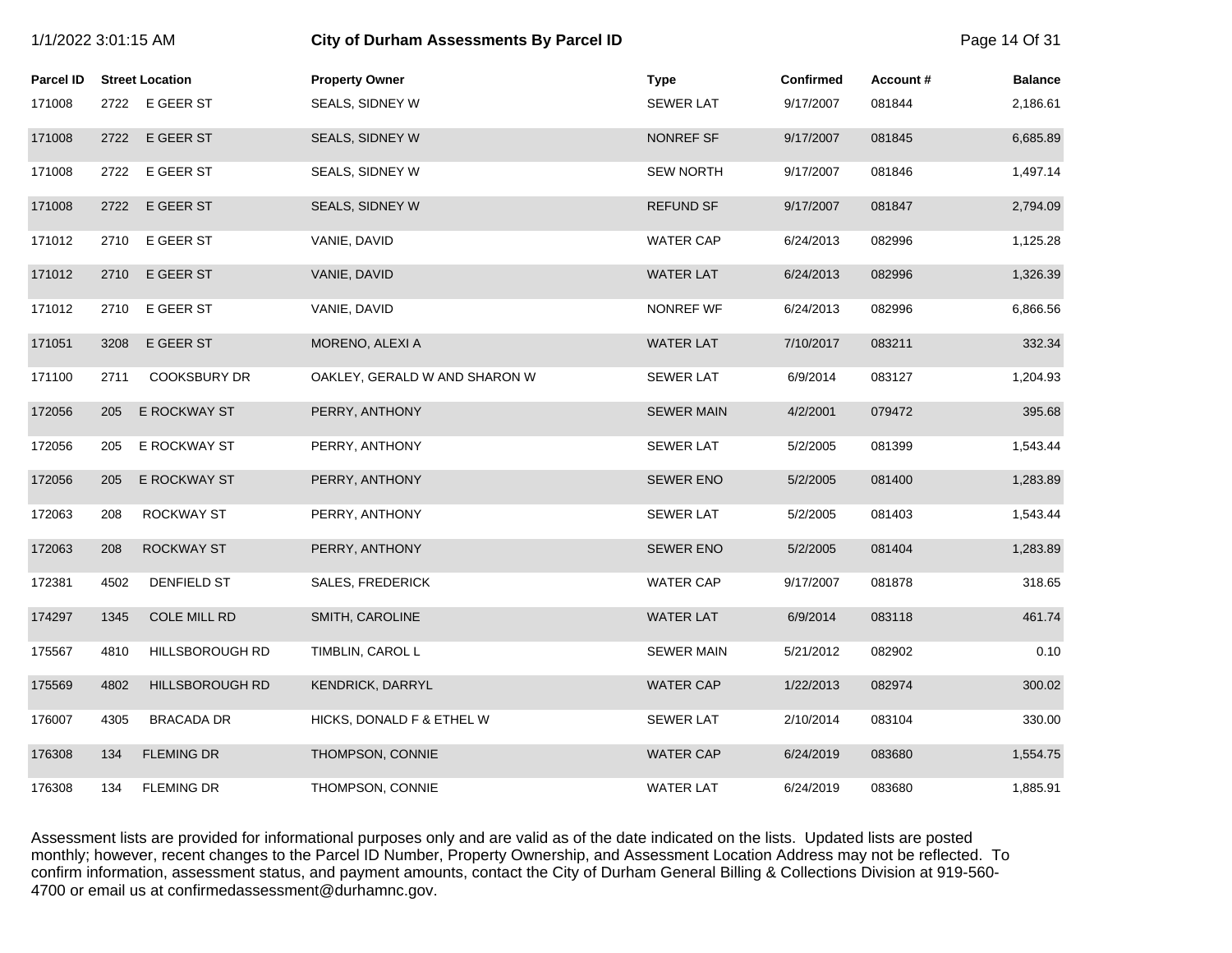| 1/1/2022 3:01:15 AM |      |                        | City of Durham Assessments By Parcel ID |                   |                  |          | Page 14 Of 31  |
|---------------------|------|------------------------|-----------------------------------------|-------------------|------------------|----------|----------------|
| <b>Parcel ID</b>    |      | <b>Street Location</b> | <b>Property Owner</b>                   | <b>Type</b>       | <b>Confirmed</b> | Account# | <b>Balance</b> |
| 171008              |      | 2722 E GEER ST         | SEALS, SIDNEY W                         | <b>SEWER LAT</b>  | 9/17/2007        | 081844   | 2,186.61       |
| 171008              | 2722 | E GEER ST              | SEALS, SIDNEY W                         | NONREF SF         | 9/17/2007        | 081845   | 6,685.89       |
| 171008              | 2722 | E GEER ST              | SEALS, SIDNEY W                         | <b>SEW NORTH</b>  | 9/17/2007        | 081846   | 1,497.14       |
| 171008              | 2722 | E GEER ST              | SEALS, SIDNEY W                         | <b>REFUND SF</b>  | 9/17/2007        | 081847   | 2,794.09       |
| 171012              | 2710 | E GEER ST              | VANIE, DAVID                            | <b>WATER CAP</b>  | 6/24/2013        | 082996   | 1,125.28       |
| 171012              | 2710 | E GEER ST              | VANIE, DAVID                            | <b>WATER LAT</b>  | 6/24/2013        | 082996   | 1,326.39       |
| 171012              | 2710 | E GEER ST              | VANIE, DAVID                            | NONREF WF         | 6/24/2013        | 082996   | 6,866.56       |
| 171051              | 3208 | E GEER ST              | MORENO, ALEXI A                         | <b>WATER LAT</b>  | 7/10/2017        | 083211   | 332.34         |
| 171100              | 2711 | <b>COOKSBURY DR</b>    | OAKLEY, GERALD W AND SHARON W           | <b>SEWER LAT</b>  | 6/9/2014         | 083127   | 1,204.93       |
| 172056              | 205  | E ROCKWAY ST           | PERRY, ANTHONY                          | <b>SEWER MAIN</b> | 4/2/2001         | 079472   | 395.68         |
| 172056              | 205  | E ROCKWAY ST           | PERRY, ANTHONY                          | <b>SEWER LAT</b>  | 5/2/2005         | 081399   | 1,543.44       |
| 172056              | 205  | E ROCKWAY ST           | PERRY, ANTHONY                          | <b>SEWER ENO</b>  | 5/2/2005         | 081400   | 1,283.89       |
| 172063              | 208  | ROCKWAY ST             | PERRY, ANTHONY                          | <b>SEWER LAT</b>  | 5/2/2005         | 081403   | 1,543.44       |
| 172063              | 208  | ROCKWAY ST             | PERRY, ANTHONY                          | <b>SEWER ENO</b>  | 5/2/2005         | 081404   | 1,283.89       |
| 172381              | 4502 | DENFIELD ST            | SALES, FREDERICK                        | <b>WATER CAP</b>  | 9/17/2007        | 081878   | 318.65         |
| 174297              | 1345 | <b>COLE MILL RD</b>    | SMITH, CAROLINE                         | <b>WATER LAT</b>  | 6/9/2014         | 083118   | 461.74         |
| 175567              | 4810 | HILLSBOROUGH RD        | TIMBLIN, CAROL L                        | <b>SEWER MAIN</b> | 5/21/2012        | 082902   | 0.10           |
| 175569              | 4802 | HILLSBOROUGH RD        | KENDRICK, DARRYL                        | <b>WATER CAP</b>  | 1/22/2013        | 082974   | 300.02         |
| 176007              | 4305 | <b>BRACADA DR</b>      | HICKS, DONALD F & ETHEL W               | <b>SEWER LAT</b>  | 2/10/2014        | 083104   | 330.00         |
| 176308              | 134  | <b>FLEMING DR</b>      | THOMPSON, CONNIE                        | <b>WATER CAP</b>  | 6/24/2019        | 083680   | 1,554.75       |
| 176308              | 134  | <b>FLEMING DR</b>      | THOMPSON, CONNIE                        | <b>WATER LAT</b>  | 6/24/2019        | 083680   | 1,885.91       |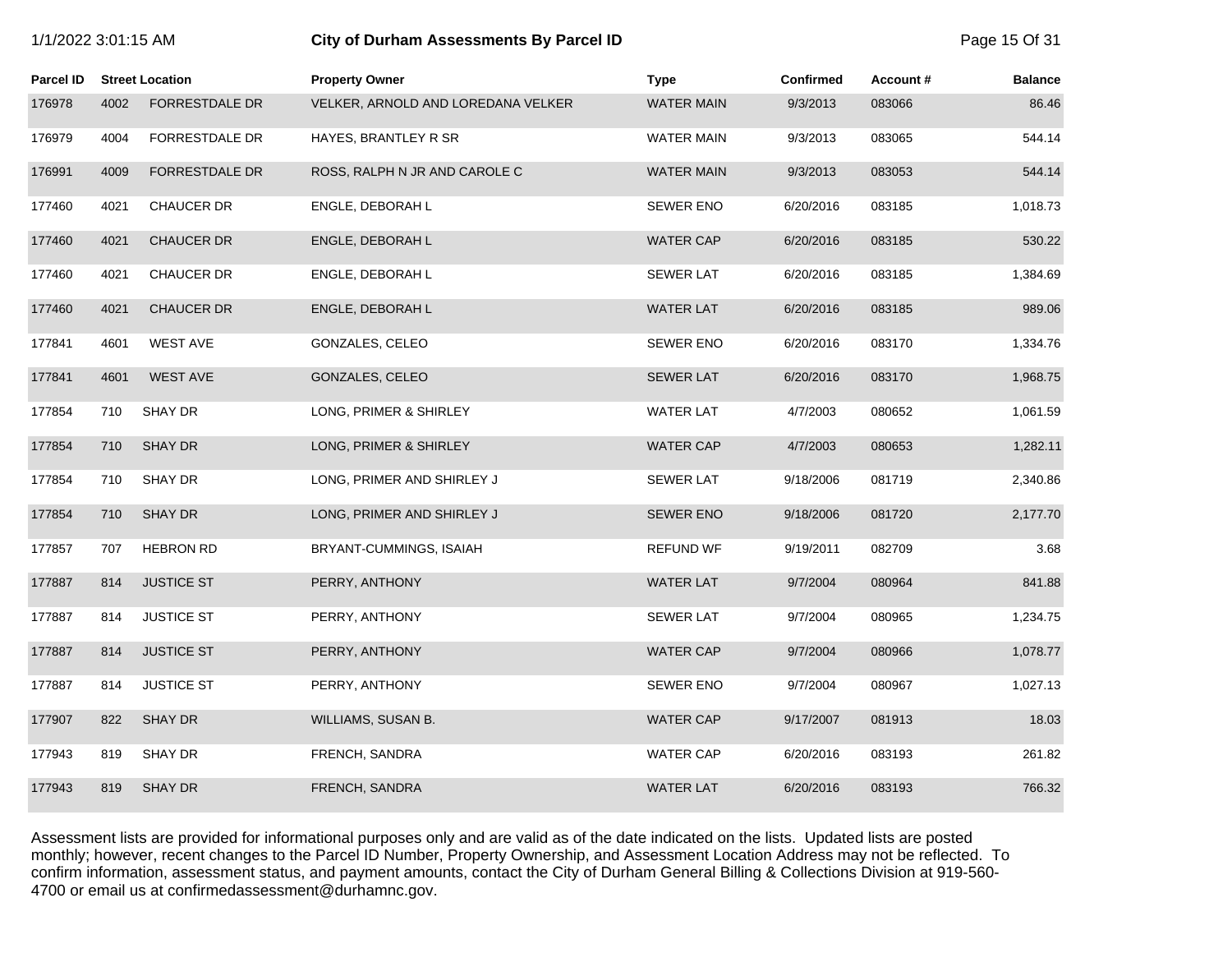| 1/1/2022 3:01:15 AM |  |  |  |
|---------------------|--|--|--|
|---------------------|--|--|--|

### **1/2022 6:01:15 City of Durham Assessments By Parcel ID** Page 15 Of 31

| <b>Parcel ID</b> |      | <b>Street Location</b> | <b>Property Owner</b>              | <b>Type</b>       | Confirmed | Account# | <b>Balance</b> |
|------------------|------|------------------------|------------------------------------|-------------------|-----------|----------|----------------|
| 176978           | 4002 | <b>FORRESTDALE DR</b>  | VELKER, ARNOLD AND LOREDANA VELKER | <b>WATER MAIN</b> | 9/3/2013  | 083066   | 86.46          |
| 176979           | 4004 | <b>FORRESTDALE DR</b>  | HAYES, BRANTLEY R SR               | <b>WATER MAIN</b> | 9/3/2013  | 083065   | 544.14         |
| 176991           | 4009 | <b>FORRESTDALE DR</b>  | ROSS, RALPH N JR AND CAROLE C      | <b>WATER MAIN</b> | 9/3/2013  | 083053   | 544.14         |
| 177460           | 4021 | <b>CHAUCER DR</b>      | ENGLE, DEBORAH L                   | <b>SEWER ENO</b>  | 6/20/2016 | 083185   | 1,018.73       |
| 177460           | 4021 | <b>CHAUCER DR</b>      | ENGLE, DEBORAH L                   | <b>WATER CAP</b>  | 6/20/2016 | 083185   | 530.22         |
| 177460           | 4021 | <b>CHAUCER DR</b>      | ENGLE, DEBORAH L                   | <b>SEWER LAT</b>  | 6/20/2016 | 083185   | 1,384.69       |
| 177460           | 4021 | <b>CHAUCER DR</b>      | ENGLE, DEBORAH L                   | <b>WATER LAT</b>  | 6/20/2016 | 083185   | 989.06         |
| 177841           | 4601 | <b>WEST AVE</b>        | GONZALES, CELEO                    | <b>SEWER ENO</b>  | 6/20/2016 | 083170   | 1,334.76       |
| 177841           | 4601 | <b>WEST AVE</b>        | GONZALES, CELEO                    | <b>SEWER LAT</b>  | 6/20/2016 | 083170   | 1,968.75       |
| 177854           | 710  | SHAY DR                | LONG, PRIMER & SHIRLEY             | <b>WATER LAT</b>  | 4/7/2003  | 080652   | 1,061.59       |
| 177854           | 710  | <b>SHAY DR</b>         | LONG, PRIMER & SHIRLEY             | <b>WATER CAP</b>  | 4/7/2003  | 080653   | 1,282.11       |
| 177854           | 710  | SHAY DR                | LONG, PRIMER AND SHIRLEY J         | <b>SEWER LAT</b>  | 9/18/2006 | 081719   | 2,340.86       |
| 177854           | 710  | <b>SHAY DR</b>         | LONG, PRIMER AND SHIRLEY J         | <b>SEWER ENO</b>  | 9/18/2006 | 081720   | 2,177.70       |
| 177857           | 707  | <b>HEBRON RD</b>       | BRYANT-CUMMINGS, ISAIAH            | <b>REFUND WF</b>  | 9/19/2011 | 082709   | 3.68           |
| 177887           | 814  | <b>JUSTICE ST</b>      | PERRY, ANTHONY                     | <b>WATER LAT</b>  | 9/7/2004  | 080964   | 841.88         |
| 177887           | 814  | <b>JUSTICE ST</b>      | PERRY, ANTHONY                     | <b>SEWER LAT</b>  | 9/7/2004  | 080965   | 1,234.75       |
| 177887           | 814  | <b>JUSTICE ST</b>      | PERRY, ANTHONY                     | <b>WATER CAP</b>  | 9/7/2004  | 080966   | 1,078.77       |
| 177887           | 814  | <b>JUSTICE ST</b>      | PERRY, ANTHONY                     | <b>SEWER ENO</b>  | 9/7/2004  | 080967   | 1,027.13       |
| 177907           | 822  | <b>SHAY DR</b>         | WILLIAMS, SUSAN B.                 | <b>WATER CAP</b>  | 9/17/2007 | 081913   | 18.03          |
| 177943           | 819  | SHAY DR                | FRENCH, SANDRA                     | <b>WATER CAP</b>  | 6/20/2016 | 083193   | 261.82         |
| 177943           | 819  | <b>SHAY DR</b>         | FRENCH, SANDRA                     | <b>WATER LAT</b>  | 6/20/2016 | 083193   | 766.32         |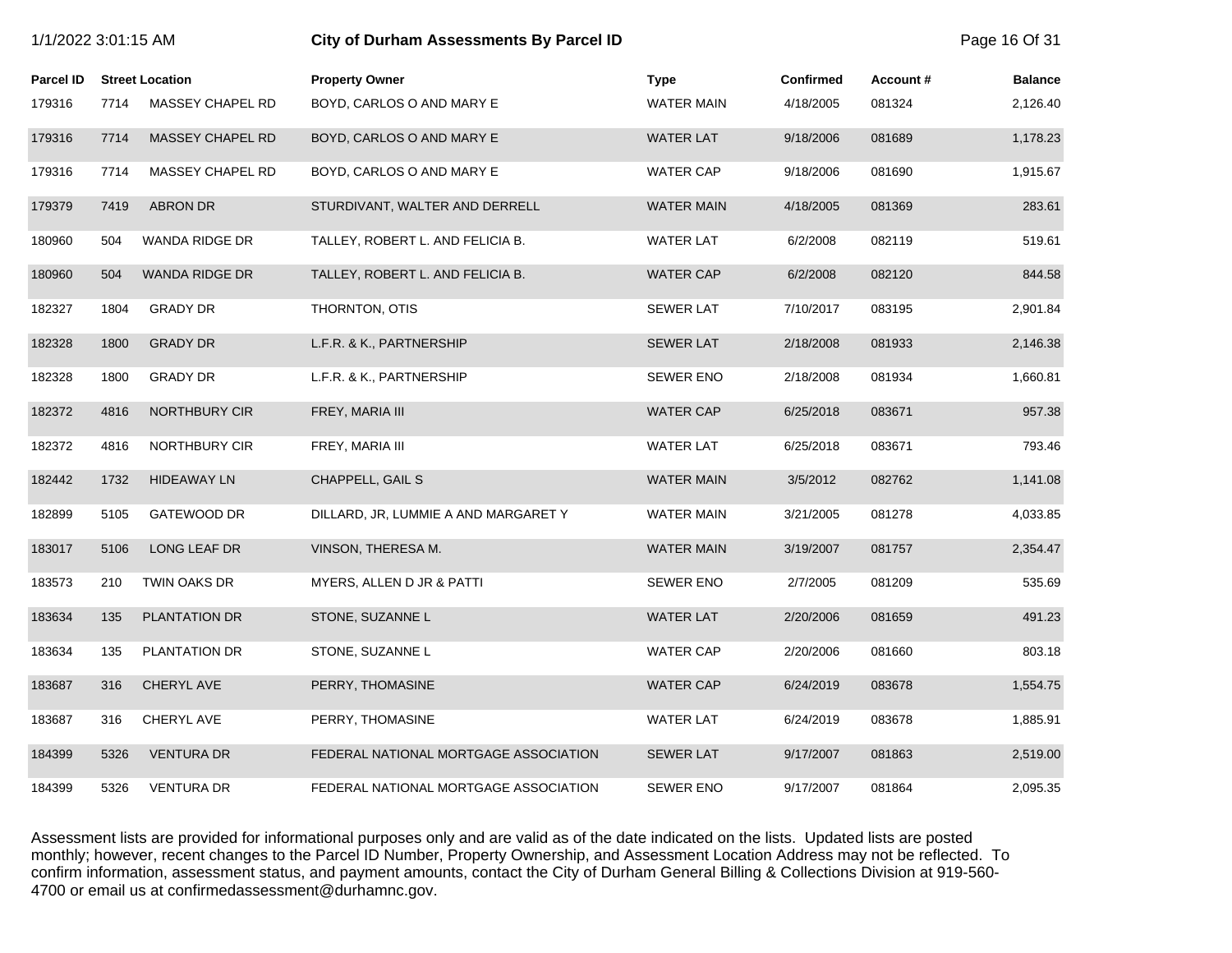|                  | 1/1/2022 3:01:15 AM<br>City of Durham Assessments By Parcel ID |                        |                                       |                   |                  |          |                |
|------------------|----------------------------------------------------------------|------------------------|---------------------------------------|-------------------|------------------|----------|----------------|
| <b>Parcel ID</b> |                                                                | <b>Street Location</b> | <b>Property Owner</b>                 | <b>Type</b>       | <b>Confirmed</b> | Account# | <b>Balance</b> |
| 179316           | 7714                                                           | MASSEY CHAPEL RD       | BOYD, CARLOS O AND MARY E             | WATER MAIN        | 4/18/2005        | 081324   | 2,126.40       |
| 179316           | 7714                                                           | MASSEY CHAPEL RD       | BOYD, CARLOS O AND MARY E             | <b>WATER LAT</b>  | 9/18/2006        | 081689   | 1,178.23       |
| 179316           | 7714                                                           | MASSEY CHAPEL RD       | BOYD, CARLOS O AND MARY E             | <b>WATER CAP</b>  | 9/18/2006        | 081690   | 1,915.67       |
| 179379           | 7419                                                           | <b>ABRON DR</b>        | STURDIVANT, WALTER AND DERRELL        | <b>WATER MAIN</b> | 4/18/2005        | 081369   | 283.61         |
| 180960           | 504                                                            | WANDA RIDGE DR         | TALLEY, ROBERT L. AND FELICIA B.      | <b>WATER LAT</b>  | 6/2/2008         | 082119   | 519.61         |
| 180960           | 504                                                            | WANDA RIDGE DR         | TALLEY, ROBERT L. AND FELICIA B.      | <b>WATER CAP</b>  | 6/2/2008         | 082120   | 844.58         |
| 182327           | 1804                                                           | <b>GRADY DR</b>        | THORNTON, OTIS                        | <b>SEWER LAT</b>  | 7/10/2017        | 083195   | 2,901.84       |
| 182328           | 1800                                                           | <b>GRADY DR</b>        | L.F.R. & K., PARTNERSHIP              | <b>SEWER LAT</b>  | 2/18/2008        | 081933   | 2,146.38       |
| 182328           | 1800                                                           | <b>GRADY DR</b>        | L.F.R. & K., PARTNERSHIP              | <b>SEWER ENO</b>  | 2/18/2008        | 081934   | 1,660.81       |
| 182372           | 4816                                                           | NORTHBURY CIR          | FREY, MARIA III                       | <b>WATER CAP</b>  | 6/25/2018        | 083671   | 957.38         |
| 182372           | 4816                                                           | NORTHBURY CIR          | FREY, MARIA III                       | <b>WATER LAT</b>  | 6/25/2018        | 083671   | 793.46         |
| 182442           | 1732                                                           | <b>HIDEAWAY LN</b>     | CHAPPELL, GAIL S                      | <b>WATER MAIN</b> | 3/5/2012         | 082762   | 1,141.08       |
| 182899           | 5105                                                           | GATEWOOD DR            | DILLARD, JR, LUMMIE A AND MARGARET Y  | WATER MAIN        | 3/21/2005        | 081278   | 4,033.85       |
| 183017           | 5106                                                           | LONG LEAF DR           | VINSON, THERESA M.                    | <b>WATER MAIN</b> | 3/19/2007        | 081757   | 2,354.47       |
| 183573           | 210                                                            | TWIN OAKS DR           | MYERS, ALLEN D JR & PATTI             | <b>SEWER ENO</b>  | 2/7/2005         | 081209   | 535.69         |
| 183634           | 135                                                            | <b>PLANTATION DR</b>   | STONE, SUZANNE L                      | <b>WATER LAT</b>  | 2/20/2006        | 081659   | 491.23         |
| 183634           | 135                                                            | PLANTATION DR          | STONE, SUZANNE L                      | <b>WATER CAP</b>  | 2/20/2006        | 081660   | 803.18         |
| 183687           | 316                                                            | CHERYL AVE             | PERRY, THOMASINE                      | <b>WATER CAP</b>  | 6/24/2019        | 083678   | 1,554.75       |
| 183687           | 316                                                            | CHERYL AVE             | PERRY, THOMASINE                      | <b>WATER LAT</b>  | 6/24/2019        | 083678   | 1,885.91       |
| 184399           | 5326                                                           | <b>VENTURA DR</b>      | FEDERAL NATIONAL MORTGAGE ASSOCIATION | <b>SEWER LAT</b>  | 9/17/2007        | 081863   | 2,519.00       |
| 184399           | 5326                                                           | <b>VENTURA DR</b>      | FEDERAL NATIONAL MORTGAGE ASSOCIATION | <b>SEWER ENO</b>  | 9/17/2007        | 081864   | 2,095.35       |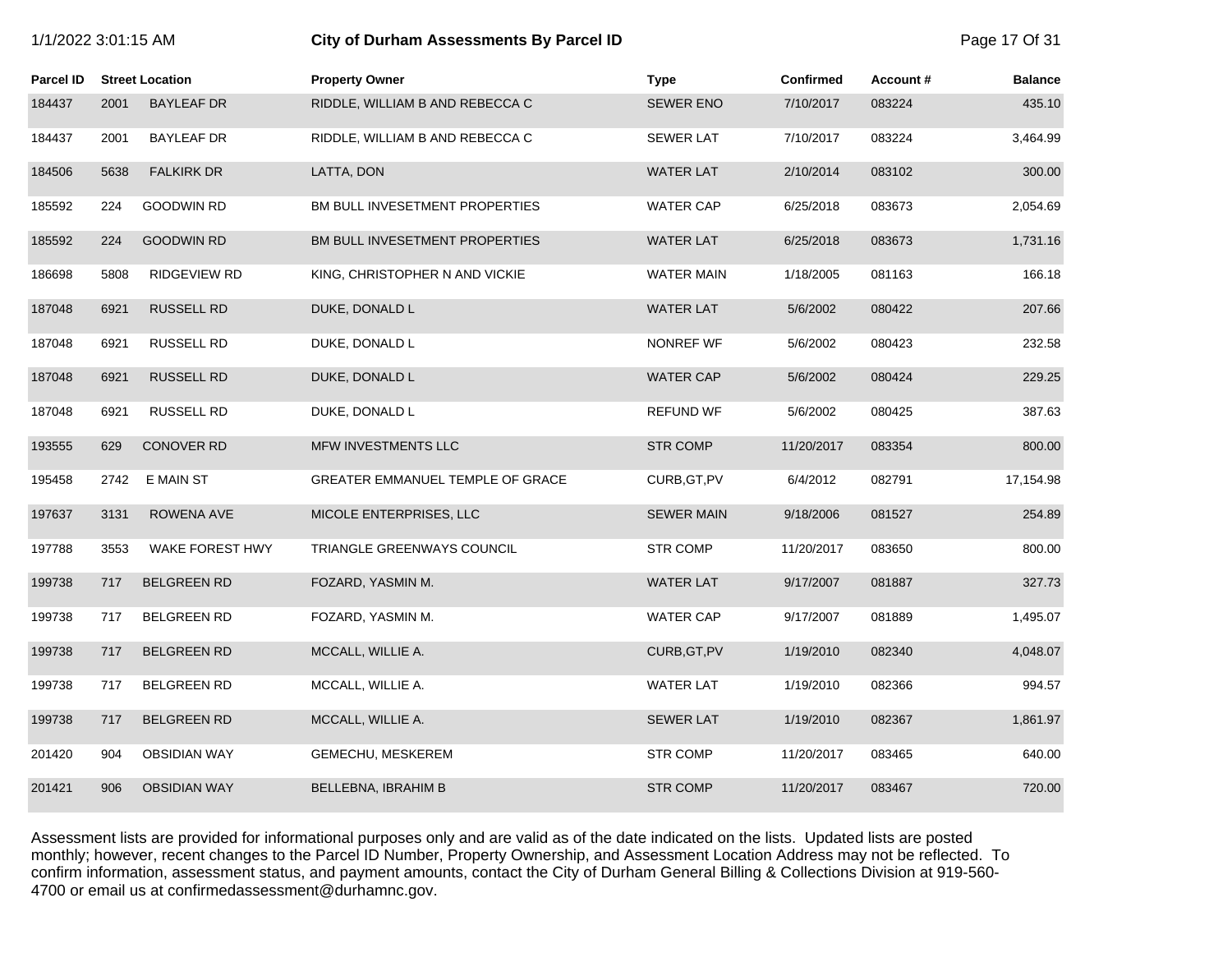| 1/1/2022 3:01:15 AM |      |                        | City of Durham Assessments By Parcel ID | Page 17 Of 31     |                  |          |                |
|---------------------|------|------------------------|-----------------------------------------|-------------------|------------------|----------|----------------|
| Parcel ID           |      | <b>Street Location</b> | <b>Property Owner</b>                   | <b>Type</b>       | <b>Confirmed</b> | Account# | <b>Balance</b> |
| 184437              | 2001 | <b>BAYLEAF DR</b>      | RIDDLE, WILLIAM B AND REBECCA C         | <b>SEWER ENO</b>  | 7/10/2017        | 083224   | 435.10         |
| 184437              | 2001 | <b>BAYLEAF DR</b>      | RIDDLE, WILLIAM B AND REBECCA C         | <b>SEWER LAT</b>  | 7/10/2017        | 083224   | 3,464.99       |
| 184506              | 5638 | <b>FALKIRK DR</b>      | LATTA, DON                              | <b>WATER LAT</b>  | 2/10/2014        | 083102   | 300.00         |
| 185592              | 224  | <b>GOODWIN RD</b>      | BM BULL INVESETMENT PROPERTIES          | <b>WATER CAP</b>  | 6/25/2018        | 083673   | 2,054.69       |
| 185592              | 224  | <b>GOODWIN RD</b>      | BM BULL INVESETMENT PROPERTIES          | <b>WATER LAT</b>  | 6/25/2018        | 083673   | 1,731.16       |
| 186698              | 5808 | <b>RIDGEVIEW RD</b>    | KING, CHRISTOPHER N AND VICKIE          | <b>WATER MAIN</b> | 1/18/2005        | 081163   | 166.18         |
| 187048              | 6921 | <b>RUSSELL RD</b>      | DUKE, DONALD L                          | <b>WATER LAT</b>  | 5/6/2002         | 080422   | 207.66         |
| 187048              | 6921 | <b>RUSSELL RD</b>      | DUKE, DONALD L                          | NONREF WF         | 5/6/2002         | 080423   | 232.58         |
| 187048              | 6921 | <b>RUSSELL RD</b>      | DUKE, DONALD L                          | <b>WATER CAP</b>  | 5/6/2002         | 080424   | 229.25         |
| 187048              | 6921 | <b>RUSSELL RD</b>      | DUKE, DONALD L                          | <b>REFUND WF</b>  | 5/6/2002         | 080425   | 387.63         |
| 193555              | 629  | <b>CONOVER RD</b>      | MFW INVESTMENTS LLC                     | <b>STR COMP</b>   | 11/20/2017       | 083354   | 800.00         |
| 195458              | 2742 | E MAIN ST              | GREATER EMMANUEL TEMPLE OF GRACE        | CURB, GT, PV      | 6/4/2012         | 082791   | 17,154.98      |
| 197637              | 3131 | ROWENA AVE             | MICOLE ENTERPRISES, LLC                 | <b>SEWER MAIN</b> | 9/18/2006        | 081527   | 254.89         |
| 197788              | 3553 | WAKE FOREST HWY        | TRIANGLE GREENWAYS COUNCIL              | <b>STR COMP</b>   | 11/20/2017       | 083650   | 800.00         |
| 199738              | 717  | <b>BELGREEN RD</b>     | FOZARD, YASMIN M.                       | <b>WATER LAT</b>  | 9/17/2007        | 081887   | 327.73         |
| 199738              | 717  | <b>BELGREEN RD</b>     | FOZARD, YASMIN M.                       | <b>WATER CAP</b>  | 9/17/2007        | 081889   | 1,495.07       |
| 199738              | 717  | <b>BELGREEN RD</b>     | MCCALL, WILLIE A.                       | CURB, GT, PV      | 1/19/2010        | 082340   | 4,048.07       |
| 199738              | 717  | <b>BELGREEN RD</b>     | MCCALL, WILLIE A.                       | <b>WATER LAT</b>  | 1/19/2010        | 082366   | 994.57         |
| 199738              | 717  | <b>BELGREEN RD</b>     | MCCALL, WILLIE A.                       | <b>SEWER LAT</b>  | 1/19/2010        | 082367   | 1,861.97       |
| 201420              | 904  | <b>OBSIDIAN WAY</b>    | GEMECHU, MESKEREM                       | <b>STR COMP</b>   | 11/20/2017       | 083465   | 640.00         |
| 201421              | 906  | <b>OBSIDIAN WAY</b>    | <b>BELLEBNA, IBRAHIM B</b>              | <b>STR COMP</b>   | 11/20/2017       | 083467   | 720.00         |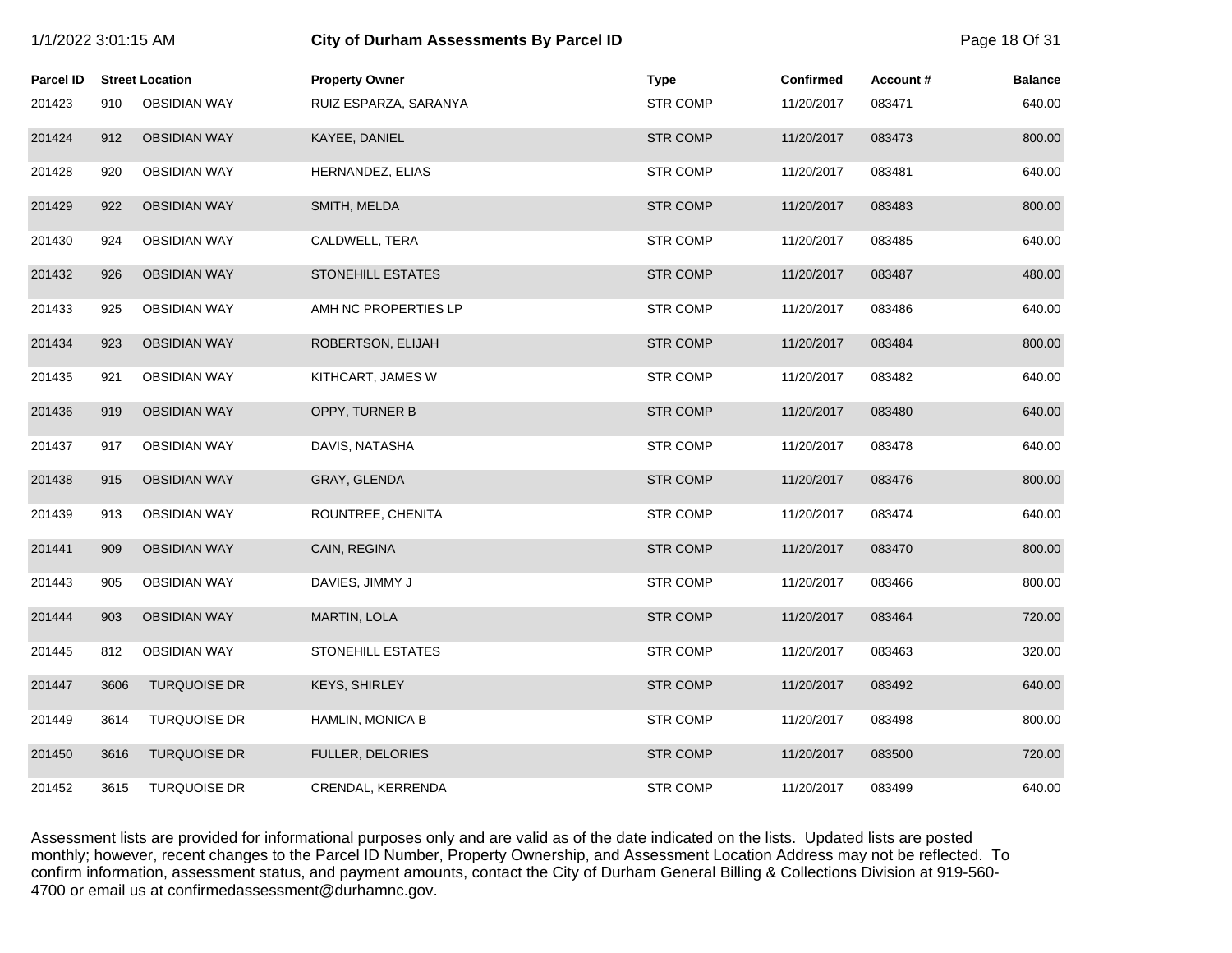|                  | City of Durham Assessments By Parcel ID<br>1/1/2022 3:01:15 AM |                        |                          | Page 18 Of 31   |                  |          |                |
|------------------|----------------------------------------------------------------|------------------------|--------------------------|-----------------|------------------|----------|----------------|
| <b>Parcel ID</b> |                                                                | <b>Street Location</b> | <b>Property Owner</b>    | <b>Type</b>     | <b>Confirmed</b> | Account# | <b>Balance</b> |
| 201423           | 910                                                            | <b>OBSIDIAN WAY</b>    | RUIZ ESPARZA, SARANYA    | <b>STR COMP</b> | 11/20/2017       | 083471   | 640.00         |
| 201424           | 912                                                            | <b>OBSIDIAN WAY</b>    | KAYEE, DANIEL            | <b>STR COMP</b> | 11/20/2017       | 083473   | 800.00         |
| 201428           | 920                                                            | <b>OBSIDIAN WAY</b>    | HERNANDEZ, ELIAS         | <b>STR COMP</b> | 11/20/2017       | 083481   | 640.00         |
| 201429           | 922                                                            | <b>OBSIDIAN WAY</b>    | SMITH, MELDA             | <b>STR COMP</b> | 11/20/2017       | 083483   | 800.00         |
| 201430           | 924                                                            | <b>OBSIDIAN WAY</b>    | CALDWELL, TERA           | <b>STR COMP</b> | 11/20/2017       | 083485   | 640.00         |
| 201432           | 926                                                            | <b>OBSIDIAN WAY</b>    | <b>STONEHILL ESTATES</b> | <b>STR COMP</b> | 11/20/2017       | 083487   | 480.00         |
| 201433           | 925                                                            | <b>OBSIDIAN WAY</b>    | AMH NC PROPERTIES LP     | <b>STR COMP</b> | 11/20/2017       | 083486   | 640.00         |
| 201434           | 923                                                            | <b>OBSIDIAN WAY</b>    | ROBERTSON, ELIJAH        | <b>STR COMP</b> | 11/20/2017       | 083484   | 800.00         |
| 201435           | 921                                                            | <b>OBSIDIAN WAY</b>    | KITHCART, JAMES W        | <b>STR COMP</b> | 11/20/2017       | 083482   | 640.00         |
| 201436           | 919                                                            | <b>OBSIDIAN WAY</b>    | OPPY, TURNER B           | <b>STR COMP</b> | 11/20/2017       | 083480   | 640.00         |
| 201437           | 917                                                            | <b>OBSIDIAN WAY</b>    | DAVIS, NATASHA           | <b>STR COMP</b> | 11/20/2017       | 083478   | 640.00         |
| 201438           | 915                                                            | <b>OBSIDIAN WAY</b>    | GRAY, GLENDA             | <b>STR COMP</b> | 11/20/2017       | 083476   | 800.00         |
| 201439           | 913                                                            | <b>OBSIDIAN WAY</b>    | ROUNTREE, CHENITA        | <b>STR COMP</b> | 11/20/2017       | 083474   | 640.00         |
| 201441           | 909                                                            | <b>OBSIDIAN WAY</b>    | CAIN, REGINA             | <b>STR COMP</b> | 11/20/2017       | 083470   | 800.00         |
| 201443           | 905                                                            | <b>OBSIDIAN WAY</b>    | DAVIES, JIMMY J          | <b>STR COMP</b> | 11/20/2017       | 083466   | 800.00         |
| 201444           | 903                                                            | <b>OBSIDIAN WAY</b>    | MARTIN, LOLA             | <b>STR COMP</b> | 11/20/2017       | 083464   | 720.00         |
| 201445           | 812                                                            | <b>OBSIDIAN WAY</b>    | STONEHILL ESTATES        | <b>STR COMP</b> | 11/20/2017       | 083463   | 320.00         |
| 201447           | 3606                                                           | <b>TURQUOISE DR</b>    | KEYS, SHIRLEY            | <b>STR COMP</b> | 11/20/2017       | 083492   | 640.00         |
| 201449           | 3614                                                           | <b>TURQUOISE DR</b>    | <b>HAMLIN, MONICA B</b>  | <b>STR COMP</b> | 11/20/2017       | 083498   | 800.00         |
| 201450           | 3616                                                           | <b>TURQUOISE DR</b>    | FULLER, DELORIES         | <b>STR COMP</b> | 11/20/2017       | 083500   | 720.00         |
| 201452           | 3615                                                           | <b>TURQUOISE DR</b>    | CRENDAL, KERRENDA        | <b>STR COMP</b> | 11/20/2017       | 083499   | 640.00         |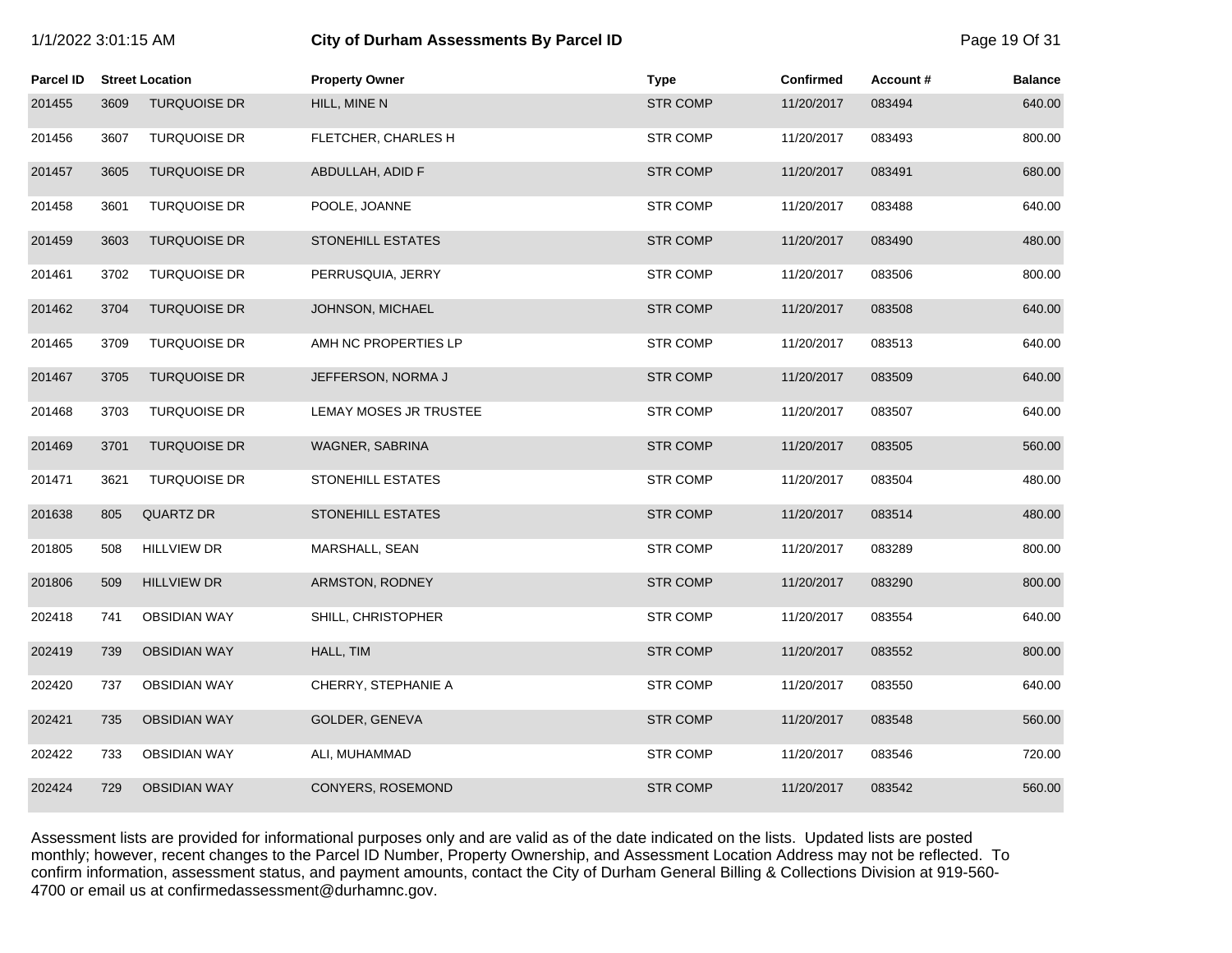| <b>Parcel ID</b> |      | <b>Street Location</b> | <b>Property Owner</b>    | <b>Type</b>     | <b>Confirmed</b> | Account# | <b>Balance</b> |
|------------------|------|------------------------|--------------------------|-----------------|------------------|----------|----------------|
| 201455           | 3609 | <b>TURQUOISE DR</b>    | HILL, MINE N             | <b>STR COMP</b> | 11/20/2017       | 083494   | 640.00         |
| 201456           | 3607 | <b>TURQUOISE DR</b>    | FLETCHER, CHARLES H      | <b>STR COMP</b> | 11/20/2017       | 083493   | 800.00         |
| 201457           | 3605 | <b>TURQUOISE DR</b>    | ABDULLAH, ADID F         | <b>STR COMP</b> | 11/20/2017       | 083491   | 680.00         |
| 201458           | 3601 | <b>TURQUOISE DR</b>    | POOLE, JOANNE            | <b>STR COMP</b> | 11/20/2017       | 083488   | 640.00         |
| 201459           | 3603 | <b>TURQUOISE DR</b>    | <b>STONEHILL ESTATES</b> | <b>STR COMP</b> | 11/20/2017       | 083490   | 480.00         |
| 201461           | 3702 | <b>TURQUOISE DR</b>    | PERRUSQUIA, JERRY        | <b>STR COMP</b> | 11/20/2017       | 083506   | 800.00         |
| 201462           | 3704 | <b>TURQUOISE DR</b>    | JOHNSON, MICHAEL         | <b>STR COMP</b> | 11/20/2017       | 083508   | 640.00         |
| 201465           | 3709 | <b>TURQUOISE DR</b>    | AMH NC PROPERTIES LP     | <b>STR COMP</b> | 11/20/2017       | 083513   | 640.00         |
| 201467           | 3705 | <b>TURQUOISE DR</b>    | JEFFERSON, NORMA J       | <b>STR COMP</b> | 11/20/2017       | 083509   | 640.00         |
| 201468           | 3703 | <b>TURQUOISE DR</b>    | LEMAY MOSES JR TRUSTEE   | <b>STR COMP</b> | 11/20/2017       | 083507   | 640.00         |
| 201469           | 3701 | <b>TURQUOISE DR</b>    | WAGNER, SABRINA          | <b>STR COMP</b> | 11/20/2017       | 083505   | 560.00         |
| 201471           | 3621 | <b>TURQUOISE DR</b>    | STONEHILL ESTATES        | <b>STR COMP</b> | 11/20/2017       | 083504   | 480.00         |
| 201638           | 805  | <b>QUARTZ DR</b>       | <b>STONEHILL ESTATES</b> | <b>STR COMP</b> | 11/20/2017       | 083514   | 480.00         |
| 201805           | 508  | <b>HILLVIEW DR</b>     | MARSHALL, SEAN           | <b>STR COMP</b> | 11/20/2017       | 083289   | 800.00         |
| 201806           | 509  | <b>HILLVIEW DR</b>     | ARMSTON, RODNEY          | <b>STR COMP</b> | 11/20/2017       | 083290   | 800.00         |
| 202418           | 741  | <b>OBSIDIAN WAY</b>    | SHILL, CHRISTOPHER       | <b>STR COMP</b> | 11/20/2017       | 083554   | 640.00         |
| 202419           | 739  | <b>OBSIDIAN WAY</b>    | HALL, TIM                | <b>STR COMP</b> | 11/20/2017       | 083552   | 800.00         |
| 202420           | 737  | <b>OBSIDIAN WAY</b>    | CHERRY, STEPHANIE A      | <b>STR COMP</b> | 11/20/2017       | 083550   | 640.00         |
| 202421           | 735  | <b>OBSIDIAN WAY</b>    | GOLDER, GENEVA           | <b>STR COMP</b> | 11/20/2017       | 083548   | 560.00         |
| 202422           | 733  | <b>OBSIDIAN WAY</b>    | ALI, MUHAMMAD            | <b>STR COMP</b> | 11/20/2017       | 083546   | 720.00         |
| 202424           | 729  | <b>OBSIDIAN WAY</b>    | CONYERS, ROSEMOND        | <b>STR COMP</b> | 11/20/2017       | 083542   | 560.00         |

1/1/2022 3:01:15 AM **City of Durham Assessments By Parcel ID** Page 19 Of 31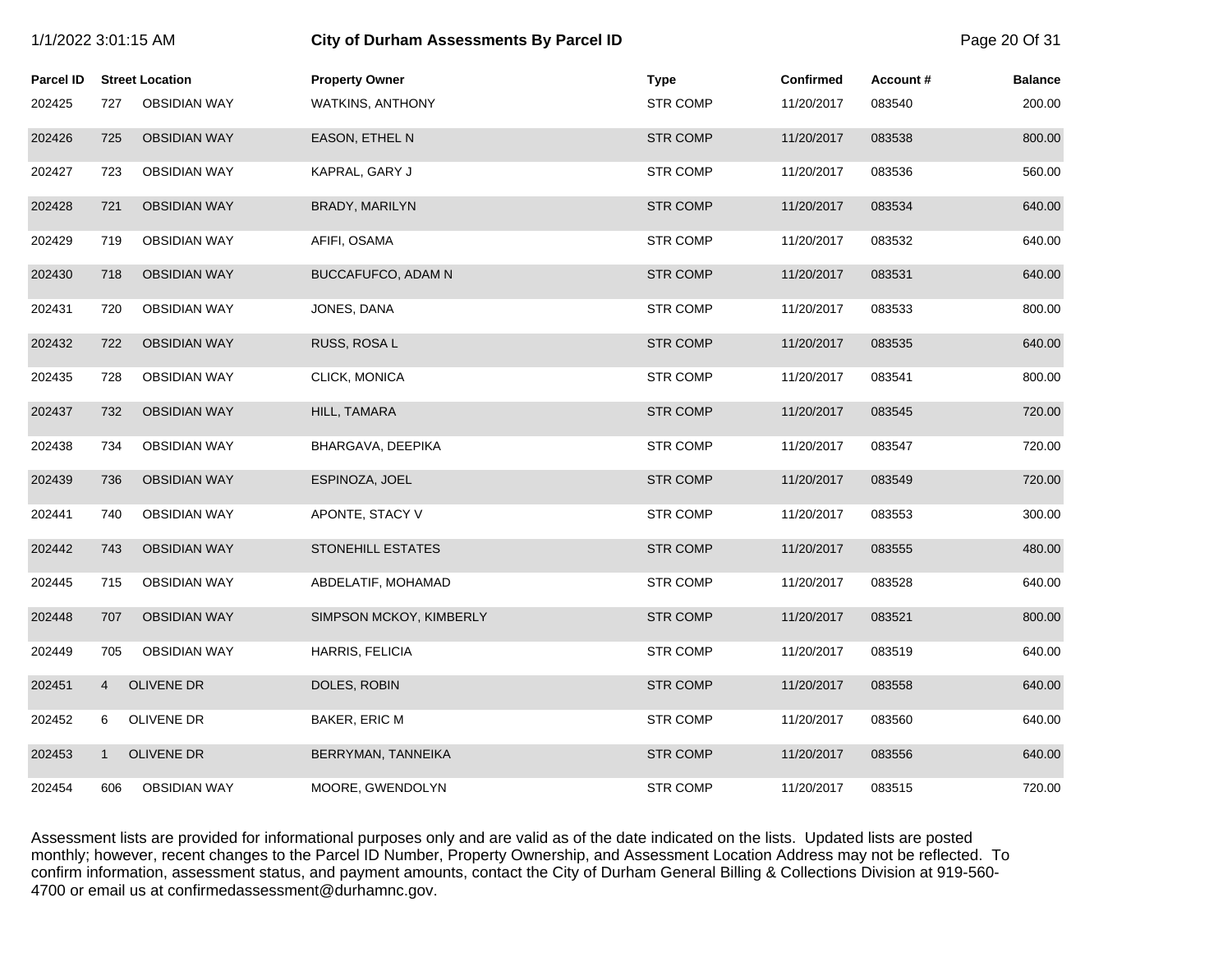| 1/1/2022 3:01:15 AM |                |                        | <b>City of Durham Assessments By Parcel ID</b> | Page 20 Of 31   |                  |          |                |
|---------------------|----------------|------------------------|------------------------------------------------|-----------------|------------------|----------|----------------|
| <b>Parcel ID</b>    |                | <b>Street Location</b> | <b>Property Owner</b>                          | <b>Type</b>     | <b>Confirmed</b> | Account# | <b>Balance</b> |
| 202425              | 727            | <b>OBSIDIAN WAY</b>    | <b>WATKINS, ANTHONY</b>                        | <b>STR COMP</b> | 11/20/2017       | 083540   | 200.00         |
| 202426              | 725            | <b>OBSIDIAN WAY</b>    | EASON, ETHEL N                                 | <b>STR COMP</b> | 11/20/2017       | 083538   | 800.00         |
| 202427              | 723            | <b>OBSIDIAN WAY</b>    | KAPRAL, GARY J                                 | <b>STR COMP</b> | 11/20/2017       | 083536   | 560.00         |
| 202428              | 721            | <b>OBSIDIAN WAY</b>    | BRADY, MARILYN                                 | <b>STR COMP</b> | 11/20/2017       | 083534   | 640.00         |
| 202429              | 719            | <b>OBSIDIAN WAY</b>    | AFIFI, OSAMA                                   | <b>STR COMP</b> | 11/20/2017       | 083532   | 640.00         |
| 202430              | 718            | <b>OBSIDIAN WAY</b>    | BUCCAFUFCO, ADAM N                             | <b>STR COMP</b> | 11/20/2017       | 083531   | 640.00         |
| 202431              | 720            | <b>OBSIDIAN WAY</b>    | JONES, DANA                                    | <b>STR COMP</b> | 11/20/2017       | 083533   | 800.00         |
| 202432              | 722            | <b>OBSIDIAN WAY</b>    | RUSS, ROSA L                                   | <b>STR COMP</b> | 11/20/2017       | 083535   | 640.00         |
| 202435              | 728            | <b>OBSIDIAN WAY</b>    | CLICK, MONICA                                  | <b>STR COMP</b> | 11/20/2017       | 083541   | 800.00         |
| 202437              | 732            | <b>OBSIDIAN WAY</b>    | HILL, TAMARA                                   | <b>STR COMP</b> | 11/20/2017       | 083545   | 720.00         |
| 202438              | 734            | <b>OBSIDIAN WAY</b>    | BHARGAVA, DEEPIKA                              | <b>STR COMP</b> | 11/20/2017       | 083547   | 720.00         |
| 202439              | 736            | <b>OBSIDIAN WAY</b>    | ESPINOZA, JOEL                                 | <b>STR COMP</b> | 11/20/2017       | 083549   | 720.00         |
| 202441              | 740            | <b>OBSIDIAN WAY</b>    | APONTE, STACY V                                | <b>STR COMP</b> | 11/20/2017       | 083553   | 300.00         |
| 202442              | 743            | <b>OBSIDIAN WAY</b>    | <b>STONEHILL ESTATES</b>                       | <b>STR COMP</b> | 11/20/2017       | 083555   | 480.00         |
| 202445              | 715            | <b>OBSIDIAN WAY</b>    | ABDELATIF, MOHAMAD                             | <b>STR COMP</b> | 11/20/2017       | 083528   | 640.00         |
| 202448              | 707            | <b>OBSIDIAN WAY</b>    | SIMPSON MCKOY, KIMBERLY                        | <b>STR COMP</b> | 11/20/2017       | 083521   | 800.00         |
| 202449              | 705            | <b>OBSIDIAN WAY</b>    | HARRIS, FELICIA                                | <b>STR COMP</b> | 11/20/2017       | 083519   | 640.00         |
| 202451              | $\overline{4}$ | <b>OLIVENE DR</b>      | DOLES, ROBIN                                   | <b>STR COMP</b> | 11/20/2017       | 083558   | 640.00         |
| 202452              | 6              | OLIVENE DR             | BAKER, ERIC M                                  | <b>STR COMP</b> | 11/20/2017       | 083560   | 640.00         |
| 202453              | $\mathbf{1}$   | <b>OLIVENE DR</b>      | BERRYMAN, TANNEIKA                             | <b>STR COMP</b> | 11/20/2017       | 083556   | 640.00         |
| 202454              | 606            | <b>OBSIDIAN WAY</b>    | MOORE, GWENDOLYN                               | <b>STR COMP</b> | 11/20/2017       | 083515   | 720.00         |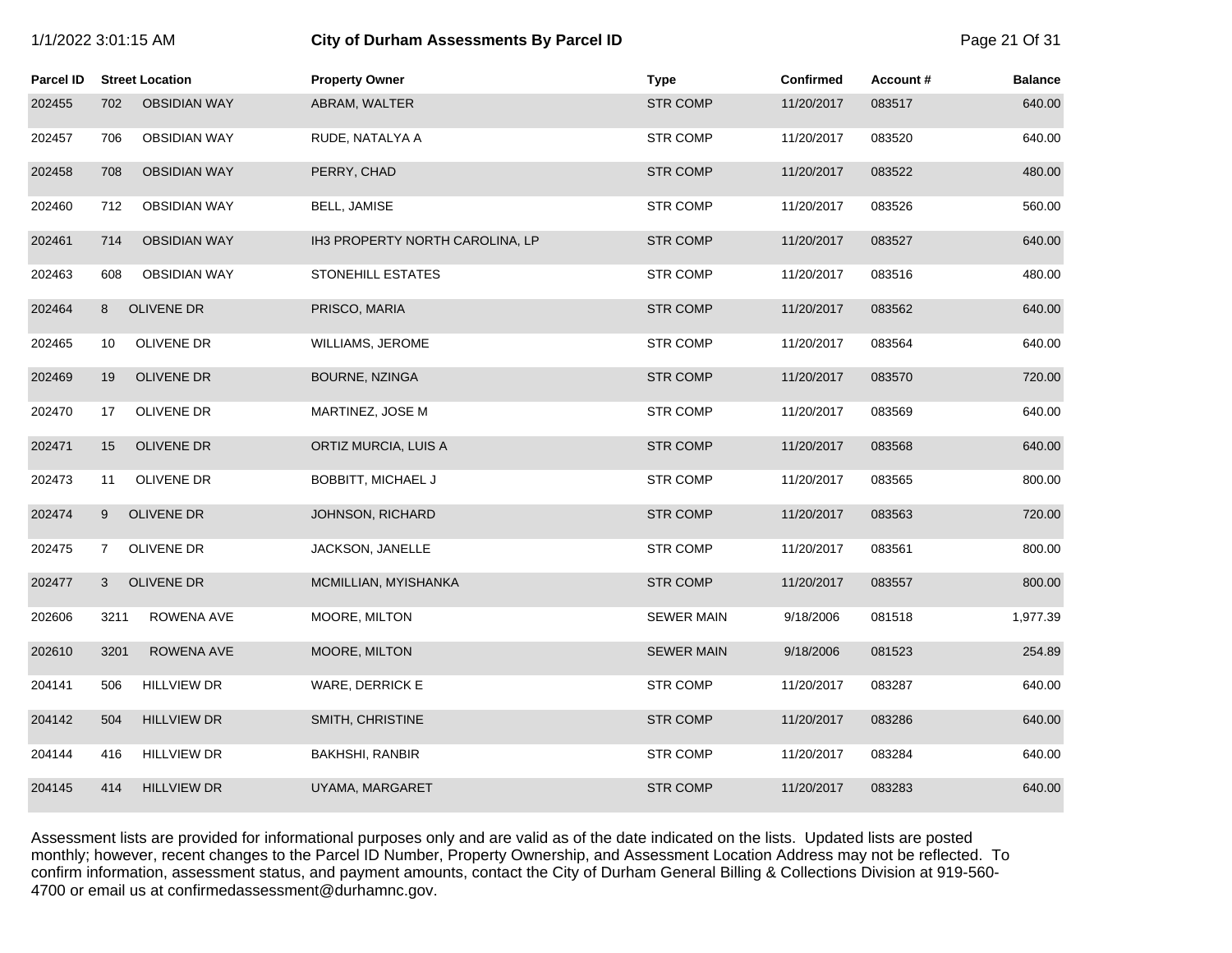| 1/1/2022 3:01:15 AM |  |  |  |  |  |
|---------------------|--|--|--|--|--|
|---------------------|--|--|--|--|--|

# **1/2022 6:01:15 City of Durham Assessments By Parcel ID** Page 21 Of 31

| Parcel ID | <b>Street Location</b>     | <b>Property Owner</b>           | <b>Type</b>       | <b>Confirmed</b> | Account# | <b>Balance</b> |
|-----------|----------------------------|---------------------------------|-------------------|------------------|----------|----------------|
| 202455    | <b>OBSIDIAN WAY</b><br>702 | ABRAM, WALTER                   | <b>STR COMP</b>   | 11/20/2017       | 083517   | 640.00         |
| 202457    | <b>OBSIDIAN WAY</b><br>706 | RUDE, NATALYA A                 | <b>STR COMP</b>   | 11/20/2017       | 083520   | 640.00         |
| 202458    | 708<br><b>OBSIDIAN WAY</b> | PERRY, CHAD                     | <b>STR COMP</b>   | 11/20/2017       | 083522   | 480.00         |
| 202460    | 712<br><b>OBSIDIAN WAY</b> | BELL, JAMISE                    | <b>STR COMP</b>   | 11/20/2017       | 083526   | 560.00         |
| 202461    | <b>OBSIDIAN WAY</b><br>714 | IH3 PROPERTY NORTH CAROLINA, LP | <b>STR COMP</b>   | 11/20/2017       | 083527   | 640.00         |
| 202463    | 608<br><b>OBSIDIAN WAY</b> | STONEHILL ESTATES               | <b>STR COMP</b>   | 11/20/2017       | 083516   | 480.00         |
| 202464    | <b>OLIVENE DR</b><br>8     | PRISCO, MARIA                   | <b>STR COMP</b>   | 11/20/2017       | 083562   | 640.00         |
| 202465    | OLIVENE DR<br>10           | WILLIAMS, JEROME                | <b>STR COMP</b>   | 11/20/2017       | 083564   | 640.00         |
| 202469    | <b>OLIVENE DR</b><br>19    | BOURNE, NZINGA                  | <b>STR COMP</b>   | 11/20/2017       | 083570   | 720.00         |
| 202470    | OLIVENE DR<br>17           | MARTINEZ, JOSE M                | <b>STR COMP</b>   | 11/20/2017       | 083569   | 640.00         |
| 202471    | 15<br><b>OLIVENE DR</b>    | ORTIZ MURCIA, LUIS A            | <b>STR COMP</b>   | 11/20/2017       | 083568   | 640.00         |
| 202473    | OLIVENE DR<br>11           | <b>BOBBITT, MICHAEL J</b>       | <b>STR COMP</b>   | 11/20/2017       | 083565   | 800.00         |
| 202474    | OLIVENE DR<br>9            | JOHNSON, RICHARD                | <b>STR COMP</b>   | 11/20/2017       | 083563   | 720.00         |
| 202475    | OLIVENE DR<br>7            | JACKSON, JANELLE                | <b>STR COMP</b>   | 11/20/2017       | 083561   | 800.00         |
| 202477    | <b>OLIVENE DR</b><br>3     | MCMILLIAN, MYISHANKA            | <b>STR COMP</b>   | 11/20/2017       | 083557   | 800.00         |
| 202606    | ROWENA AVE<br>3211         | MOORE, MILTON                   | <b>SEWER MAIN</b> | 9/18/2006        | 081518   | 1,977.39       |
| 202610    | 3201<br>ROWENA AVE         | MOORE, MILTON                   | <b>SEWER MAIN</b> | 9/18/2006        | 081523   | 254.89         |
| 204141    | <b>HILLVIEW DR</b><br>506  | WARE, DERRICK E                 | <b>STR COMP</b>   | 11/20/2017       | 083287   | 640.00         |
| 204142    | 504<br><b>HILLVIEW DR</b>  | SMITH, CHRISTINE                | <b>STR COMP</b>   | 11/20/2017       | 083286   | 640.00         |
| 204144    | 416<br><b>HILLVIEW DR</b>  | <b>BAKHSHI, RANBIR</b>          | <b>STR COMP</b>   | 11/20/2017       | 083284   | 640.00         |
| 204145    | 414<br><b>HILLVIEW DR</b>  | UYAMA, MARGARET                 | <b>STR COMP</b>   | 11/20/2017       | 083283   | 640.00         |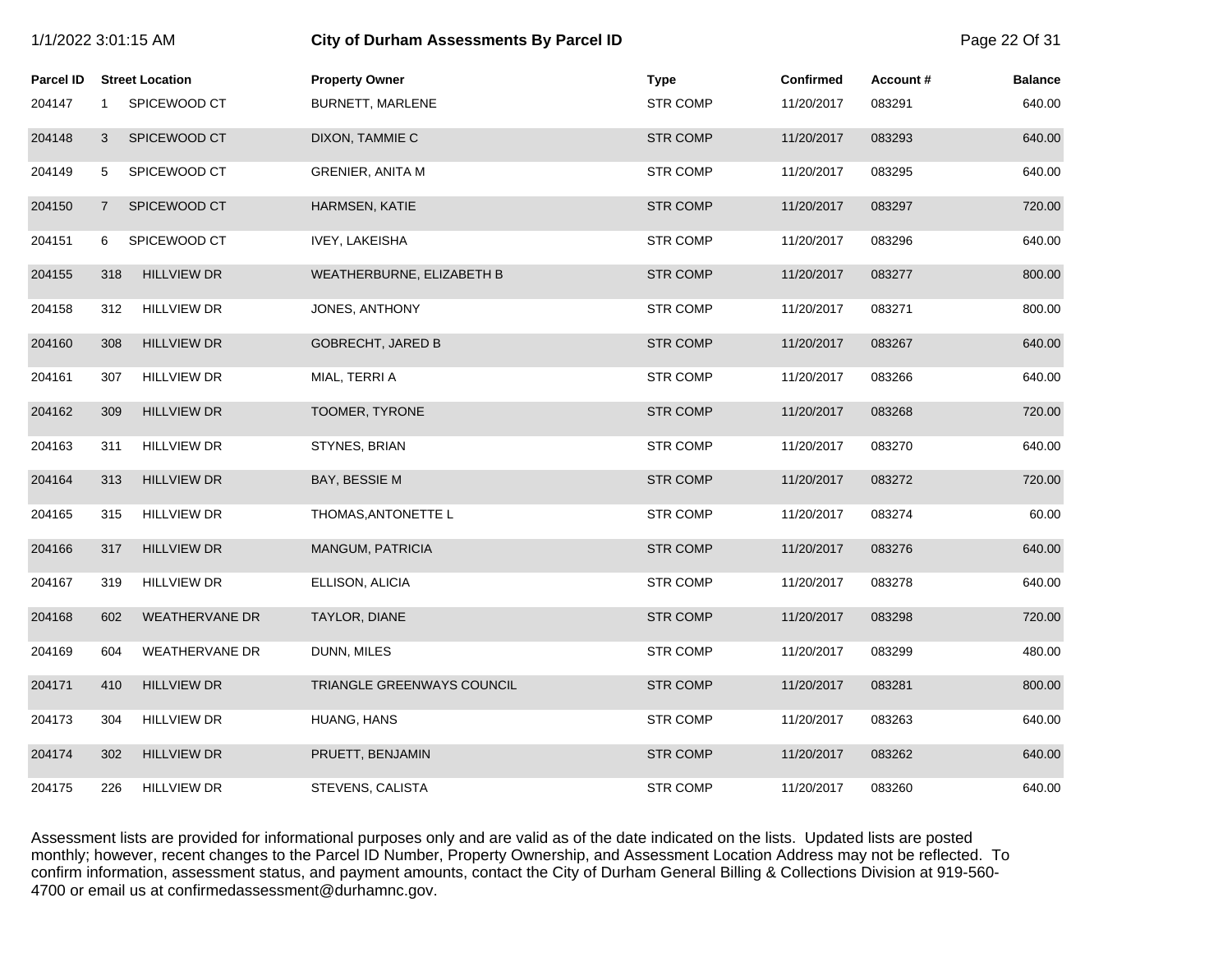| 1/1/2022 3:01:15 AM |                |                        | <b>City of Durham Assessments By Parcel ID</b> |                 |                  |          | Page 22 Of 31  |
|---------------------|----------------|------------------------|------------------------------------------------|-----------------|------------------|----------|----------------|
| Parcel ID           |                | <b>Street Location</b> | <b>Property Owner</b>                          | <b>Type</b>     | <b>Confirmed</b> | Account# | <b>Balance</b> |
| 204147              | $\mathbf{1}$   | SPICEWOOD CT           | BURNETT, MARLENE                               | <b>STR COMP</b> | 11/20/2017       | 083291   | 640.00         |
| 204148              | 3              | SPICEWOOD CT           | DIXON, TAMMIE C                                | <b>STR COMP</b> | 11/20/2017       | 083293   | 640.00         |
| 204149              | 5              | SPICEWOOD CT           | <b>GRENIER, ANITA M</b>                        | <b>STR COMP</b> | 11/20/2017       | 083295   | 640.00         |
| 204150              | $\overline{7}$ | SPICEWOOD CT           | <b>HARMSEN, KATIE</b>                          | <b>STR COMP</b> | 11/20/2017       | 083297   | 720.00         |
| 204151              | 6              | SPICEWOOD CT           | <b>IVEY, LAKEISHA</b>                          | <b>STR COMP</b> | 11/20/2017       | 083296   | 640.00         |
| 204155              | 318            | <b>HILLVIEW DR</b>     | WEATHERBURNE, ELIZABETH B                      | <b>STR COMP</b> | 11/20/2017       | 083277   | 800.00         |
| 204158              | 312            | <b>HILLVIEW DR</b>     | JONES, ANTHONY                                 | <b>STR COMP</b> | 11/20/2017       | 083271   | 800.00         |
| 204160              | 308            | <b>HILLVIEW DR</b>     | <b>GOBRECHT, JARED B</b>                       | <b>STR COMP</b> | 11/20/2017       | 083267   | 640.00         |
| 204161              | 307            | <b>HILLVIEW DR</b>     | MIAL, TERRI A                                  | <b>STR COMP</b> | 11/20/2017       | 083266   | 640.00         |
| 204162              | 309            | <b>HILLVIEW DR</b>     | TOOMER, TYRONE                                 | <b>STR COMP</b> | 11/20/2017       | 083268   | 720.00         |
| 204163              | 311            | <b>HILLVIEW DR</b>     | STYNES, BRIAN                                  | <b>STR COMP</b> | 11/20/2017       | 083270   | 640.00         |
| 204164              | 313            | <b>HILLVIEW DR</b>     | BAY, BESSIE M                                  | <b>STR COMP</b> | 11/20/2017       | 083272   | 720.00         |
| 204165              | 315            | <b>HILLVIEW DR</b>     | THOMAS, ANTONETTE L                            | <b>STR COMP</b> | 11/20/2017       | 083274   | 60.00          |
| 204166              | 317            | <b>HILLVIEW DR</b>     | MANGUM, PATRICIA                               | <b>STR COMP</b> | 11/20/2017       | 083276   | 640.00         |
| 204167              | 319            | <b>HILLVIEW DR</b>     | ELLISON, ALICIA                                | <b>STR COMP</b> | 11/20/2017       | 083278   | 640.00         |
| 204168              | 602            | <b>WEATHERVANE DR</b>  | TAYLOR, DIANE                                  | <b>STR COMP</b> | 11/20/2017       | 083298   | 720.00         |
| 204169              | 604            | <b>WEATHERVANE DR</b>  | DUNN, MILES                                    | <b>STR COMP</b> | 11/20/2017       | 083299   | 480.00         |
| 204171              | 410            | <b>HILLVIEW DR</b>     | TRIANGLE GREENWAYS COUNCIL                     | <b>STR COMP</b> | 11/20/2017       | 083281   | 800.00         |
| 204173              | 304            | <b>HILLVIEW DR</b>     | HUANG, HANS                                    | <b>STR COMP</b> | 11/20/2017       | 083263   | 640.00         |
| 204174              | 302            | <b>HILLVIEW DR</b>     | PRUETT, BENJAMIN                               | <b>STR COMP</b> | 11/20/2017       | 083262   | 640.00         |
| 204175              | 226            | <b>HILLVIEW DR</b>     | STEVENS, CALISTA                               | <b>STR COMP</b> | 11/20/2017       | 083260   | 640.00         |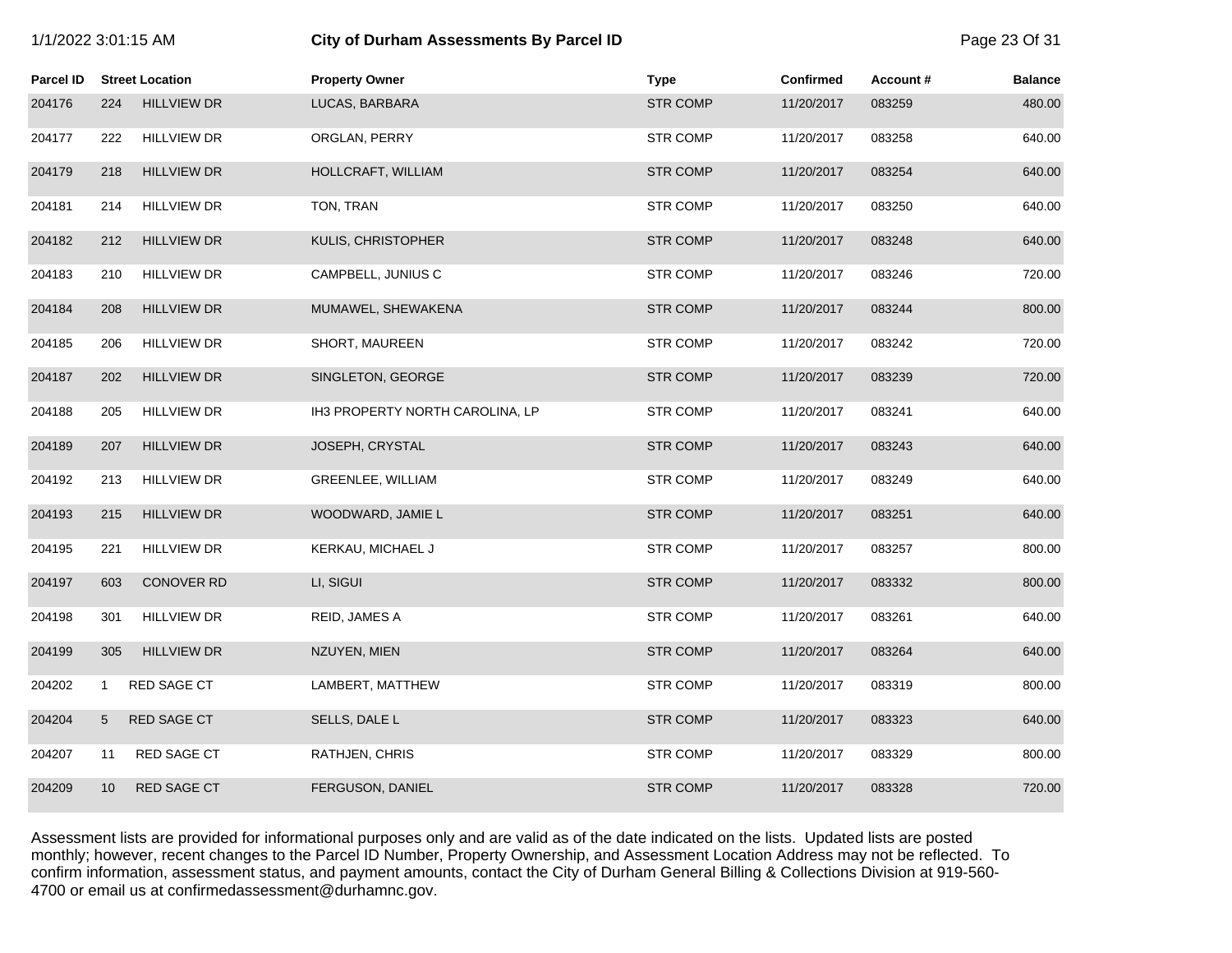| 1/1/2022 3:01:15 AM |  |  |  |
|---------------------|--|--|--|
|---------------------|--|--|--|

# **1/2022 6:01 City of Durham Assessments By Parcel ID** Page 23 Of 31

| Parcel ID |     | <b>Street Location</b> | <b>Property Owner</b>           | <b>Type</b>     | <b>Confirmed</b> | Account# | <b>Balance</b> |
|-----------|-----|------------------------|---------------------------------|-----------------|------------------|----------|----------------|
| 204176    | 224 | <b>HILLVIEW DR</b>     | LUCAS, BARBARA                  | <b>STR COMP</b> | 11/20/2017       | 083259   | 480.00         |
| 204177    | 222 | <b>HILLVIEW DR</b>     | ORGLAN, PERRY                   | <b>STR COMP</b> | 11/20/2017       | 083258   | 640.00         |
| 204179    | 218 | <b>HILLVIEW DR</b>     | HOLLCRAFT, WILLIAM              | <b>STR COMP</b> | 11/20/2017       | 083254   | 640.00         |
| 204181    | 214 | <b>HILLVIEW DR</b>     | TON, TRAN                       | <b>STR COMP</b> | 11/20/2017       | 083250   | 640.00         |
| 204182    | 212 | <b>HILLVIEW DR</b>     | KULIS, CHRISTOPHER              | <b>STR COMP</b> | 11/20/2017       | 083248   | 640.00         |
| 204183    | 210 | <b>HILLVIEW DR</b>     | CAMPBELL, JUNIUS C              | <b>STR COMP</b> | 11/20/2017       | 083246   | 720.00         |
| 204184    | 208 | <b>HILLVIEW DR</b>     | MUMAWEL, SHEWAKENA              | <b>STR COMP</b> | 11/20/2017       | 083244   | 800.00         |
| 204185    | 206 | <b>HILLVIEW DR</b>     | SHORT, MAUREEN                  | <b>STR COMP</b> | 11/20/2017       | 083242   | 720.00         |
| 204187    | 202 | <b>HILLVIEW DR</b>     | SINGLETON, GEORGE               | <b>STR COMP</b> | 11/20/2017       | 083239   | 720.00         |
| 204188    | 205 | <b>HILLVIEW DR</b>     | IH3 PROPERTY NORTH CAROLINA, LP | <b>STR COMP</b> | 11/20/2017       | 083241   | 640.00         |
| 204189    | 207 | <b>HILLVIEW DR</b>     | JOSEPH, CRYSTAL                 | <b>STR COMP</b> | 11/20/2017       | 083243   | 640.00         |
| 204192    | 213 | <b>HILLVIEW DR</b>     | GREENLEE, WILLIAM               | <b>STR COMP</b> | 11/20/2017       | 083249   | 640.00         |
| 204193    | 215 | <b>HILLVIEW DR</b>     | WOODWARD, JAMIE L               | <b>STR COMP</b> | 11/20/2017       | 083251   | 640.00         |
| 204195    | 221 | <b>HILLVIEW DR</b>     | KERKAU, MICHAEL J               | <b>STR COMP</b> | 11/20/2017       | 083257   | 800.00         |
| 204197    | 603 | <b>CONOVER RD</b>      | LI, SIGUI                       | <b>STR COMP</b> | 11/20/2017       | 083332   | 800.00         |
| 204198    | 301 | <b>HILLVIEW DR</b>     | REID, JAMES A                   | <b>STR COMP</b> | 11/20/2017       | 083261   | 640.00         |
| 204199    | 305 | <b>HILLVIEW DR</b>     | NZUYEN, MIEN                    | <b>STR COMP</b> | 11/20/2017       | 083264   | 640.00         |
| 204202    | 1   | RED SAGE CT            | LAMBERT, MATTHEW                | <b>STR COMP</b> | 11/20/2017       | 083319   | 800.00         |
| 204204    | 5   | <b>RED SAGE CT</b>     | SELLS, DALE L                   | <b>STR COMP</b> | 11/20/2017       | 083323   | 640.00         |
| 204207    | 11  | RED SAGE CT            | RATHJEN, CHRIS                  | <b>STR COMP</b> | 11/20/2017       | 083329   | 800.00         |
| 204209    | 10  | <b>RED SAGE CT</b>     | FERGUSON, DANIEL                | <b>STR COMP</b> | 11/20/2017       | 083328   | 720.00         |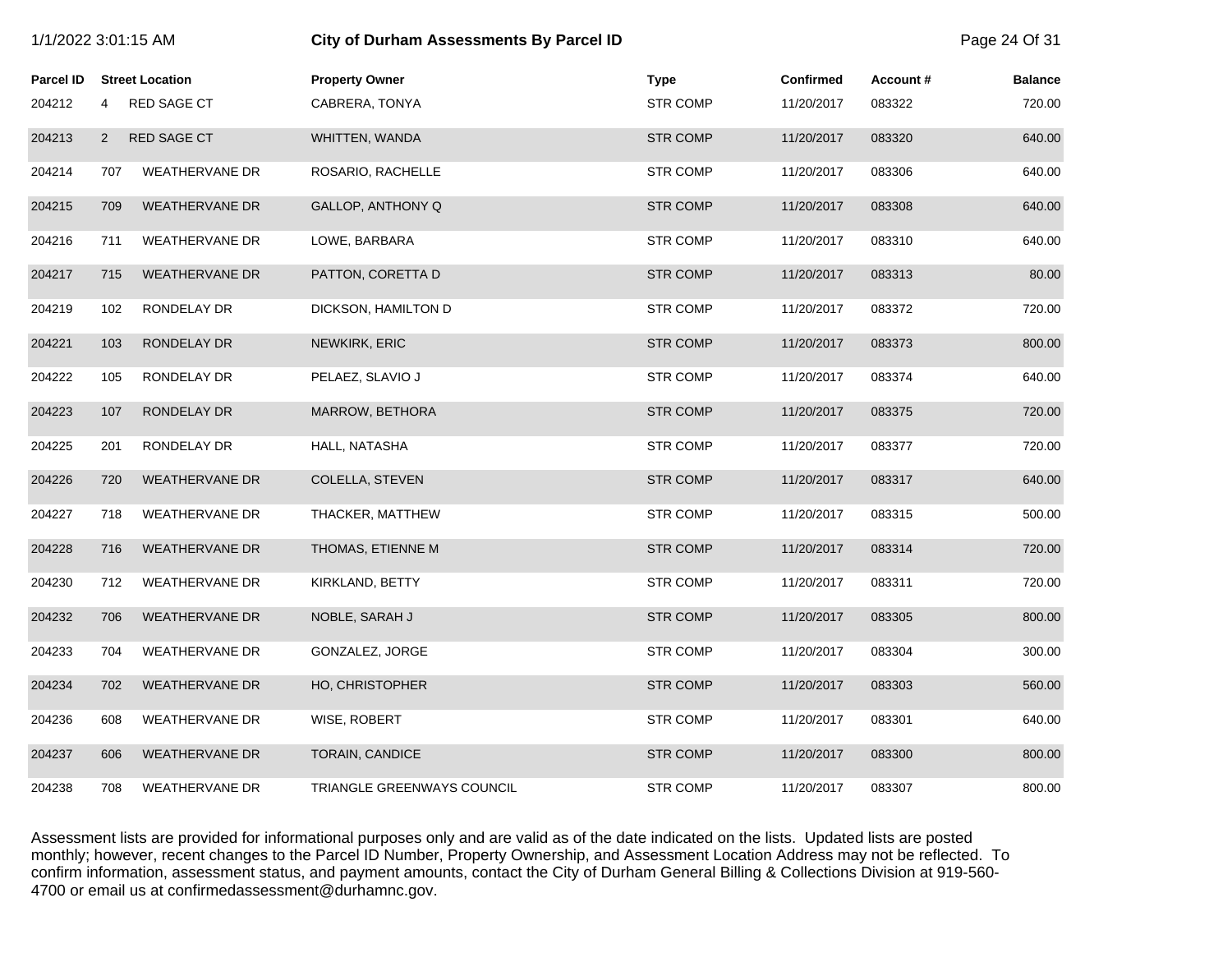| 1/1/2022 3:01:15 AM |                |                        | <b>City of Durham Assessments By Parcel ID</b> |                 |                  |          |                |
|---------------------|----------------|------------------------|------------------------------------------------|-----------------|------------------|----------|----------------|
| <b>Parcel ID</b>    |                | <b>Street Location</b> | <b>Property Owner</b>                          | <b>Type</b>     | <b>Confirmed</b> | Account# | <b>Balance</b> |
| 204212              | 4              | RED SAGE CT            | CABRERA, TONYA                                 | <b>STR COMP</b> | 11/20/2017       | 083322   | 720.00         |
| 204213              | $\overline{2}$ | RED SAGE CT            | WHITTEN, WANDA                                 | <b>STR COMP</b> | 11/20/2017       | 083320   | 640.00         |
| 204214              | 707            | <b>WEATHERVANE DR</b>  | ROSARIO, RACHELLE                              | <b>STR COMP</b> | 11/20/2017       | 083306   | 640.00         |
| 204215              | 709            | <b>WEATHERVANE DR</b>  | GALLOP, ANTHONY Q                              | <b>STR COMP</b> | 11/20/2017       | 083308   | 640.00         |
| 204216              | 711            | <b>WEATHERVANE DR</b>  | LOWE, BARBARA                                  | <b>STR COMP</b> | 11/20/2017       | 083310   | 640.00         |
| 204217              | 715            | <b>WEATHERVANE DR</b>  | PATTON, CORETTA D                              | <b>STR COMP</b> | 11/20/2017       | 083313   | 80.00          |
| 204219              | 102            | RONDELAY DR            | DICKSON, HAMILTON D                            | <b>STR COMP</b> | 11/20/2017       | 083372   | 720.00         |
| 204221              | 103            | RONDELAY DR            | NEWKIRK, ERIC                                  | <b>STR COMP</b> | 11/20/2017       | 083373   | 800.00         |
| 204222              | 105            | RONDELAY DR            | PELAEZ, SLAVIO J                               | <b>STR COMP</b> | 11/20/2017       | 083374   | 640.00         |
| 204223              | 107            | RONDELAY DR            | MARROW, BETHORA                                | <b>STR COMP</b> | 11/20/2017       | 083375   | 720.00         |
| 204225              | 201            | RONDELAY DR            | HALL, NATASHA                                  | <b>STR COMP</b> | 11/20/2017       | 083377   | 720.00         |
| 204226              | 720            | <b>WEATHERVANE DR</b>  | COLELLA, STEVEN                                | <b>STR COMP</b> | 11/20/2017       | 083317   | 640.00         |
| 204227              | 718            | <b>WEATHERVANE DR</b>  | THACKER, MATTHEW                               | <b>STR COMP</b> | 11/20/2017       | 083315   | 500.00         |
| 204228              | 716            | <b>WEATHERVANE DR</b>  | THOMAS, ETIENNE M                              | <b>STR COMP</b> | 11/20/2017       | 083314   | 720.00         |
| 204230              | 712            | <b>WEATHERVANE DR</b>  | KIRKLAND, BETTY                                | <b>STR COMP</b> | 11/20/2017       | 083311   | 720.00         |
| 204232              | 706            | <b>WEATHERVANE DR</b>  | NOBLE, SARAH J                                 | <b>STR COMP</b> | 11/20/2017       | 083305   | 800.00         |
| 204233              | 704            | <b>WEATHERVANE DR</b>  | GONZALEZ, JORGE                                | <b>STR COMP</b> | 11/20/2017       | 083304   | 300.00         |
| 204234              | 702            | <b>WEATHERVANE DR</b>  | <b>HO, CHRISTOPHER</b>                         | <b>STR COMP</b> | 11/20/2017       | 083303   | 560.00         |
| 204236              | 608            | <b>WEATHERVANE DR</b>  | WISE, ROBERT                                   | <b>STR COMP</b> | 11/20/2017       | 083301   | 640.00         |
| 204237              | 606            | <b>WEATHERVANE DR</b>  | TORAIN, CANDICE                                | <b>STR COMP</b> | 11/20/2017       | 083300   | 800.00         |
| 204238              | 708            | <b>WEATHERVANE DR</b>  | TRIANGLE GREENWAYS COUNCIL                     | <b>STR COMP</b> | 11/20/2017       | 083307   | 800.00         |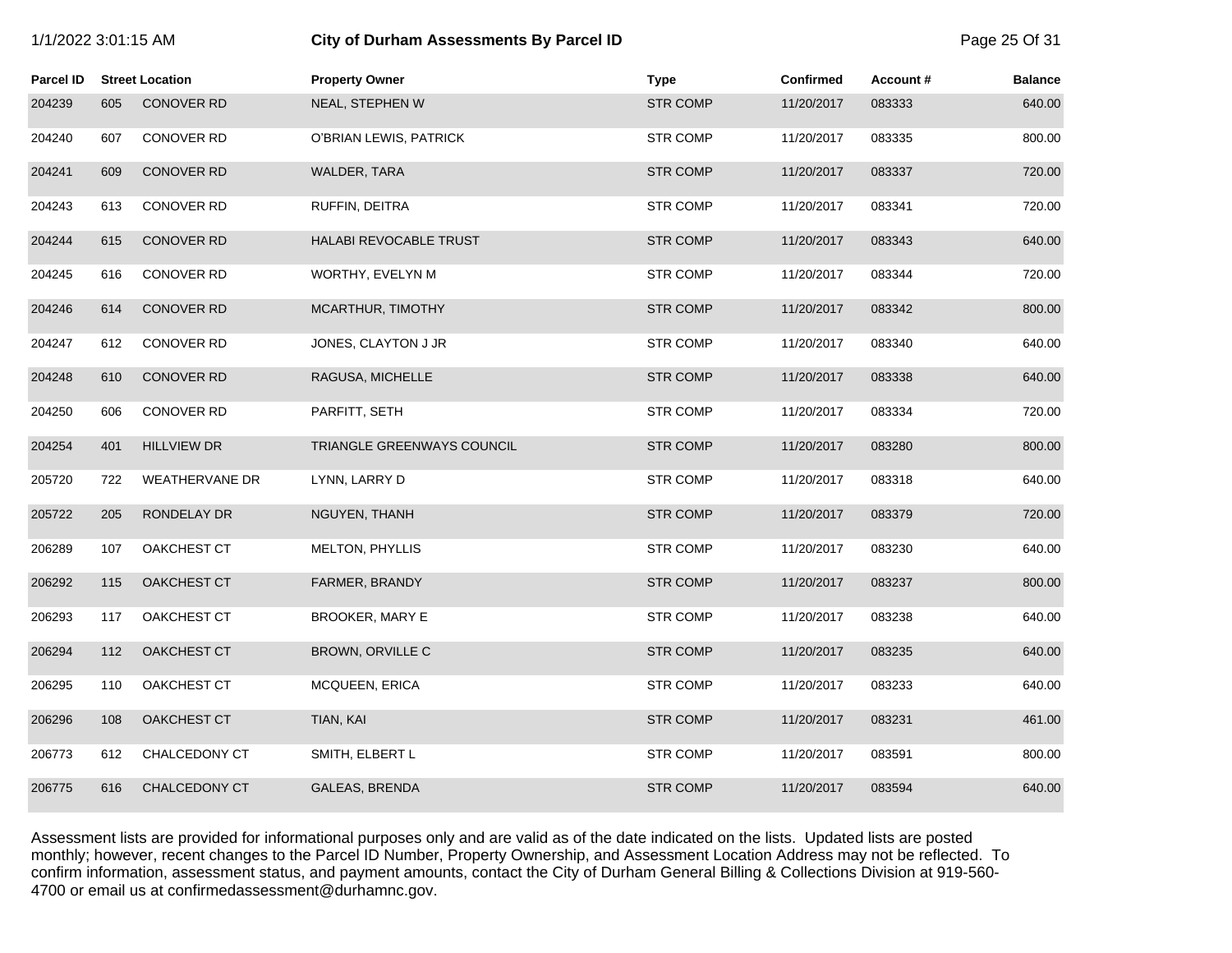| 1/1/2022 3:01:15 AM |     |                        | City of Durham Assessments By Parcel ID |                 |                  | Page 25 Of 31 |                |
|---------------------|-----|------------------------|-----------------------------------------|-----------------|------------------|---------------|----------------|
| Parcel ID           |     | <b>Street Location</b> | <b>Property Owner</b>                   | <b>Type</b>     | <b>Confirmed</b> | Account#      | <b>Balance</b> |
| 204239              | 605 | <b>CONOVER RD</b>      | NEAL, STEPHEN W                         | <b>STR COMP</b> | 11/20/2017       | 083333        | 640.00         |
| 204240              | 607 | <b>CONOVER RD</b>      | O'BRIAN LEWIS, PATRICK                  | <b>STR COMP</b> | 11/20/2017       | 083335        | 800.00         |
| 204241              | 609 | <b>CONOVER RD</b>      | WALDER, TARA                            | <b>STR COMP</b> | 11/20/2017       | 083337        | 720.00         |
| 204243              | 613 | CONOVER RD             | RUFFIN, DEITRA                          | <b>STR COMP</b> | 11/20/2017       | 083341        | 720.00         |
| 204244              | 615 | <b>CONOVER RD</b>      | <b>HALABI REVOCABLE TRUST</b>           | <b>STR COMP</b> | 11/20/2017       | 083343        | 640.00         |
| 204245              | 616 | <b>CONOVER RD</b>      | WORTHY, EVELYN M                        | <b>STR COMP</b> | 11/20/2017       | 083344        | 720.00         |
| 204246              | 614 | <b>CONOVER RD</b>      | MCARTHUR, TIMOTHY                       | <b>STR COMP</b> | 11/20/2017       | 083342        | 800.00         |
| 204247              | 612 | <b>CONOVER RD</b>      | JONES, CLAYTON J JR                     | <b>STR COMP</b> | 11/20/2017       | 083340        | 640.00         |
| 204248              | 610 | <b>CONOVER RD</b>      | RAGUSA, MICHELLE                        | <b>STR COMP</b> | 11/20/2017       | 083338        | 640.00         |
| 204250              | 606 | <b>CONOVER RD</b>      | PARFITT, SETH                           | <b>STR COMP</b> | 11/20/2017       | 083334        | 720.00         |
| 204254              | 401 | <b>HILLVIEW DR</b>     | TRIANGLE GREENWAYS COUNCIL              | <b>STR COMP</b> | 11/20/2017       | 083280        | 800.00         |
| 205720              | 722 | <b>WEATHERVANE DR</b>  | LYNN, LARRY D                           | <b>STR COMP</b> | 11/20/2017       | 083318        | 640.00         |
| 205722              | 205 | RONDELAY DR            | NGUYEN, THANH                           | <b>STR COMP</b> | 11/20/2017       | 083379        | 720.00         |
| 206289              | 107 | OAKCHEST CT            | MELTON, PHYLLIS                         | <b>STR COMP</b> | 11/20/2017       | 083230        | 640.00         |
| 206292              | 115 | OAKCHEST CT            | FARMER, BRANDY                          | <b>STR COMP</b> | 11/20/2017       | 083237        | 800.00         |
| 206293              | 117 | OAKCHEST CT            | <b>BROOKER, MARY E</b>                  | <b>STR COMP</b> | 11/20/2017       | 083238        | 640.00         |
| 206294              | 112 | <b>OAKCHEST CT</b>     | BROWN, ORVILLE C                        | <b>STR COMP</b> | 11/20/2017       | 083235        | 640.00         |
| 206295              | 110 | OAKCHEST CT            | MCQUEEN, ERICA                          | <b>STR COMP</b> | 11/20/2017       | 083233        | 640.00         |
| 206296              | 108 | OAKCHEST CT            | TIAN, KAI                               | <b>STR COMP</b> | 11/20/2017       | 083231        | 461.00         |
| 206773              | 612 | CHALCEDONY CT          | SMITH, ELBERT L                         | <b>STR COMP</b> | 11/20/2017       | 083591        | 800.00         |
| 206775              | 616 | <b>CHALCEDONY CT</b>   | <b>GALEAS, BRENDA</b>                   | <b>STR COMP</b> | 11/20/2017       | 083594        | 640.00         |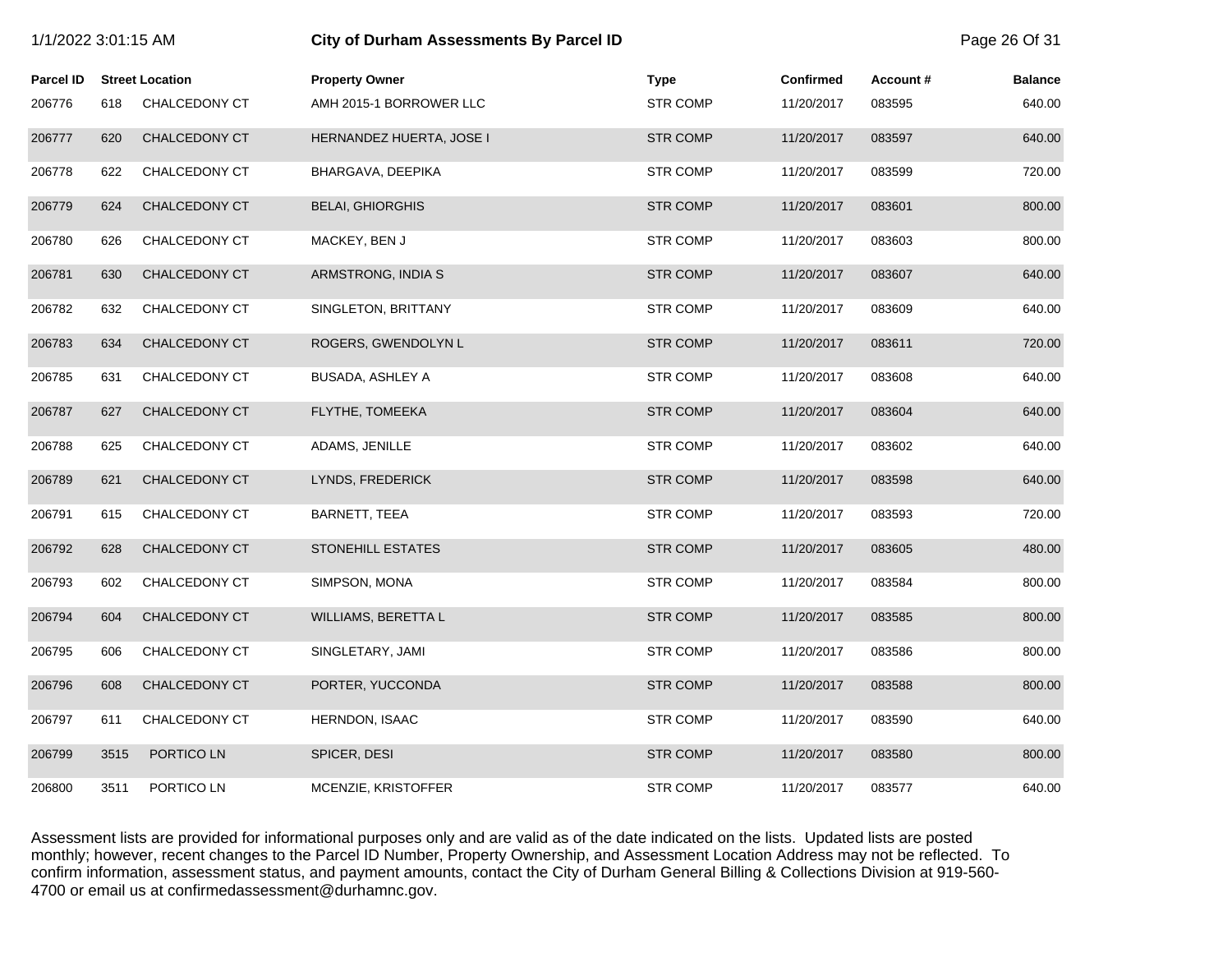| 1/1/2022 3:01:15 AM |      |                        | City of Durham Assessments By Parcel ID |                 |                  |          | Page 26 Of 31  |
|---------------------|------|------------------------|-----------------------------------------|-----------------|------------------|----------|----------------|
| <b>Parcel ID</b>    |      | <b>Street Location</b> | <b>Property Owner</b>                   | <b>Type</b>     | <b>Confirmed</b> | Account# | <b>Balance</b> |
| 206776              | 618  | CHALCEDONY CT          | AMH 2015-1 BORROWER LLC                 | <b>STR COMP</b> | 11/20/2017       | 083595   | 640.00         |
| 206777              | 620  | <b>CHALCEDONY CT</b>   | HERNANDEZ HUERTA, JOSE I                | <b>STR COMP</b> | 11/20/2017       | 083597   | 640.00         |
| 206778              | 622  | CHALCEDONY CT          | BHARGAVA, DEEPIKA                       | <b>STR COMP</b> | 11/20/2017       | 083599   | 720.00         |
| 206779              | 624  | CHALCEDONY CT          | <b>BELAI, GHIORGHIS</b>                 | <b>STR COMP</b> | 11/20/2017       | 083601   | 800.00         |
| 206780              | 626  | CHALCEDONY CT          | MACKEY, BEN J                           | <b>STR COMP</b> | 11/20/2017       | 083603   | 800.00         |
| 206781              | 630  | CHALCEDONY CT          | ARMSTRONG, INDIA S                      | <b>STR COMP</b> | 11/20/2017       | 083607   | 640.00         |
| 206782              | 632  | CHALCEDONY CT          | SINGLETON, BRITTANY                     | <b>STR COMP</b> | 11/20/2017       | 083609   | 640.00         |
| 206783              | 634  | CHALCEDONY CT          | ROGERS, GWENDOLYN L                     | <b>STR COMP</b> | 11/20/2017       | 083611   | 720.00         |
| 206785              | 631  | CHALCEDONY CT          | BUSADA, ASHLEY A                        | <b>STR COMP</b> | 11/20/2017       | 083608   | 640.00         |
| 206787              | 627  | CHALCEDONY CT          | FLYTHE, TOMEEKA                         | <b>STR COMP</b> | 11/20/2017       | 083604   | 640.00         |
| 206788              | 625  | CHALCEDONY CT          | ADAMS, JENILLE                          | <b>STR COMP</b> | 11/20/2017       | 083602   | 640.00         |
| 206789              | 621  | CHALCEDONY CT          | LYNDS, FREDERICK                        | <b>STR COMP</b> | 11/20/2017       | 083598   | 640.00         |
| 206791              | 615  | CHALCEDONY CT          | BARNETT, TEEA                           | <b>STR COMP</b> | 11/20/2017       | 083593   | 720.00         |
| 206792              | 628  | CHALCEDONY CT          | <b>STONEHILL ESTATES</b>                | <b>STR COMP</b> | 11/20/2017       | 083605   | 480.00         |
| 206793              | 602  | CHALCEDONY CT          | SIMPSON, MONA                           | <b>STR COMP</b> | 11/20/2017       | 083584   | 800.00         |
| 206794              | 604  | CHALCEDONY CT          | WILLIAMS, BERETTA L                     | <b>STR COMP</b> | 11/20/2017       | 083585   | 800.00         |
| 206795              | 606  | CHALCEDONY CT          | SINGLETARY, JAMI                        | <b>STR COMP</b> | 11/20/2017       | 083586   | 800.00         |
| 206796              | 608  | <b>CHALCEDONY CT</b>   | PORTER, YUCCONDA                        | <b>STR COMP</b> | 11/20/2017       | 083588   | 800.00         |
| 206797              | 611  | CHALCEDONY CT          | HERNDON, ISAAC                          | <b>STR COMP</b> | 11/20/2017       | 083590   | 640.00         |
| 206799              | 3515 | PORTICO LN             | SPICER, DESI                            | <b>STR COMP</b> | 11/20/2017       | 083580   | 800.00         |
| 206800              | 3511 | PORTICO LN             | MCENZIE, KRISTOFFER                     | <b>STR COMP</b> | 11/20/2017       | 083577   | 640.00         |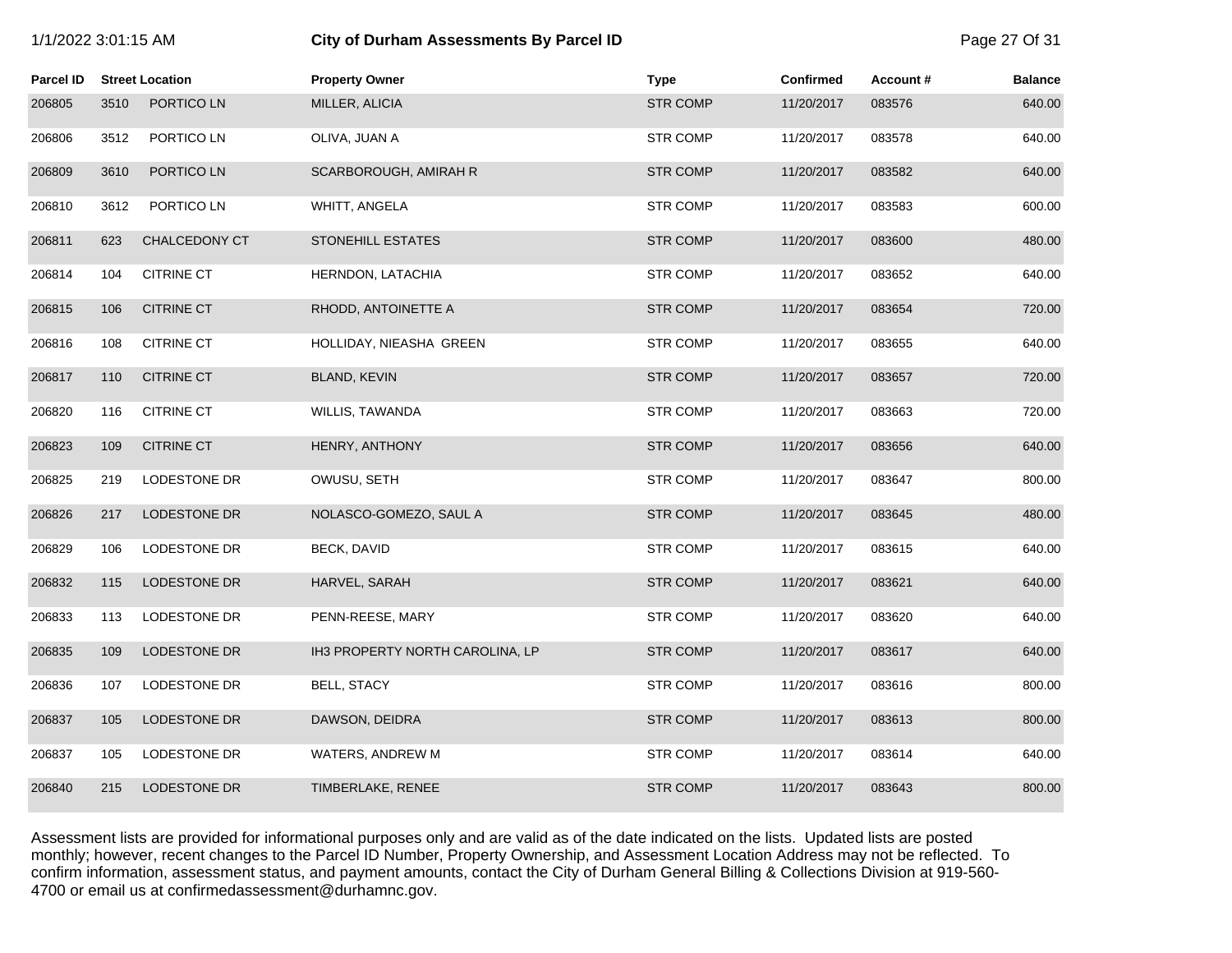| 1/1/2022 3:01:15 AM |  |  |  |  |  |
|---------------------|--|--|--|--|--|
|---------------------|--|--|--|--|--|

# **1/2022 3:01:15 City of Durham Assessments By Parcel ID** Page 27 Of 31

| <b>Parcel ID</b> |      | <b>Street Location</b> | <b>Property Owner</b>           | <b>Type</b>     | Confirmed  | Account# | <b>Balance</b> |
|------------------|------|------------------------|---------------------------------|-----------------|------------|----------|----------------|
| 206805           | 3510 | PORTICO LN             | MILLER, ALICIA                  | <b>STR COMP</b> | 11/20/2017 | 083576   | 640.00         |
| 206806           | 3512 | PORTICO LN             | OLIVA, JUAN A                   | <b>STR COMP</b> | 11/20/2017 | 083578   | 640.00         |
| 206809           | 3610 | PORTICO LN             | SCARBOROUGH, AMIRAH R           | <b>STR COMP</b> | 11/20/2017 | 083582   | 640.00         |
| 206810           | 3612 | PORTICO LN             | WHITT, ANGELA                   | <b>STR COMP</b> | 11/20/2017 | 083583   | 600.00         |
| 206811           | 623  | CHALCEDONY CT          | STONEHILL ESTATES               | <b>STR COMP</b> | 11/20/2017 | 083600   | 480.00         |
| 206814           | 104  | <b>CITRINE CT</b>      | HERNDON, LATACHIA               | <b>STR COMP</b> | 11/20/2017 | 083652   | 640.00         |
| 206815           | 106  | <b>CITRINE CT</b>      | RHODD, ANTOINETTE A             | <b>STR COMP</b> | 11/20/2017 | 083654   | 720.00         |
| 206816           | 108  | <b>CITRINE CT</b>      | HOLLIDAY, NIEASHA GREEN         | <b>STR COMP</b> | 11/20/2017 | 083655   | 640.00         |
| 206817           | 110  | <b>CITRINE CT</b>      | BLAND, KEVIN                    | <b>STR COMP</b> | 11/20/2017 | 083657   | 720.00         |
| 206820           | 116  | <b>CITRINE CT</b>      | WILLIS, TAWANDA                 | <b>STR COMP</b> | 11/20/2017 | 083663   | 720.00         |
| 206823           | 109  | <b>CITRINE CT</b>      | HENRY, ANTHONY                  | <b>STR COMP</b> | 11/20/2017 | 083656   | 640.00         |
| 206825           | 219  | LODESTONE DR           | OWUSU, SETH                     | <b>STR COMP</b> | 11/20/2017 | 083647   | 800.00         |
| 206826           | 217  | LODESTONE DR           | NOLASCO-GOMEZO, SAUL A          | <b>STR COMP</b> | 11/20/2017 | 083645   | 480.00         |
| 206829           | 106  | LODESTONE DR           | <b>BECK, DAVID</b>              | <b>STR COMP</b> | 11/20/2017 | 083615   | 640.00         |
| 206832           | 115  | LODESTONE DR           | HARVEL, SARAH                   | <b>STR COMP</b> | 11/20/2017 | 083621   | 640.00         |
| 206833           | 113  | LODESTONE DR           | PENN-REESE, MARY                | <b>STR COMP</b> | 11/20/2017 | 083620   | 640.00         |
| 206835           | 109  | LODESTONE DR           | IH3 PROPERTY NORTH CAROLINA, LP | <b>STR COMP</b> | 11/20/2017 | 083617   | 640.00         |
| 206836           | 107  | LODESTONE DR           | <b>BELL, STACY</b>              | <b>STR COMP</b> | 11/20/2017 | 083616   | 800.00         |
| 206837           | 105  | LODESTONE DR           | DAWSON, DEIDRA                  | <b>STR COMP</b> | 11/20/2017 | 083613   | 800.00         |
| 206837           | 105  | LODESTONE DR           | WATERS, ANDREW M                | <b>STR COMP</b> | 11/20/2017 | 083614   | 640.00         |
| 206840           | 215  | <b>LODESTONE DR</b>    | TIMBERLAKE, RENEE               | <b>STR COMP</b> | 11/20/2017 | 083643   | 800.00         |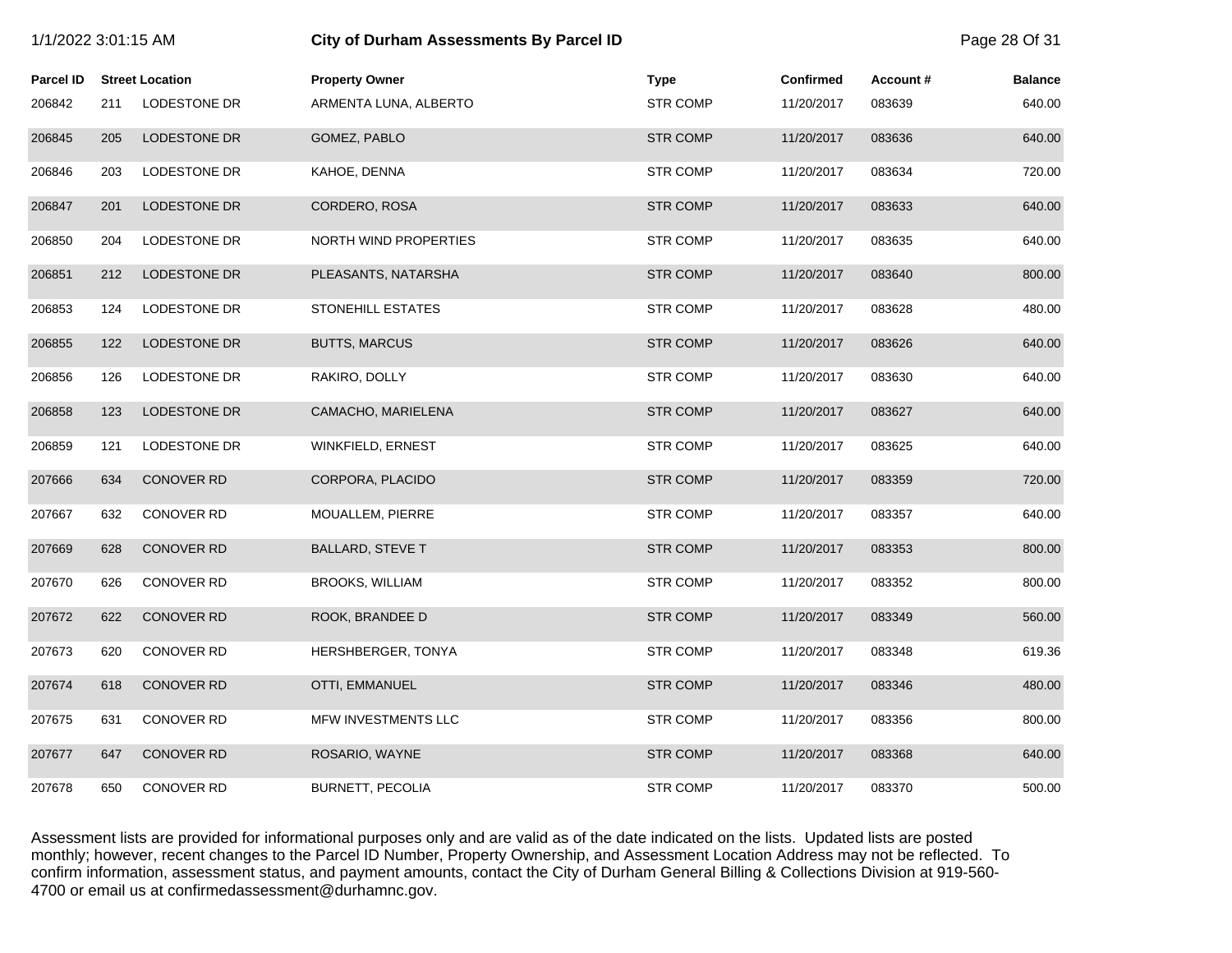| 1/1/2022 3:01:15 AM |     |                        | City of Durham Assessments By Parcel ID |                 |                  |          | Page 28 Of 31  |
|---------------------|-----|------------------------|-----------------------------------------|-----------------|------------------|----------|----------------|
| <b>Parcel ID</b>    |     | <b>Street Location</b> | <b>Property Owner</b>                   | <b>Type</b>     | <b>Confirmed</b> | Account# | <b>Balance</b> |
| 206842              | 211 | LODESTONE DR           | ARMENTA LUNA, ALBERTO                   | <b>STR COMP</b> | 11/20/2017       | 083639   | 640.00         |
| 206845              | 205 | LODESTONE DR           | GOMEZ, PABLO                            | <b>STR COMP</b> | 11/20/2017       | 083636   | 640.00         |
| 206846              | 203 | LODESTONE DR           | KAHOE, DENNA                            | <b>STR COMP</b> | 11/20/2017       | 083634   | 720.00         |
| 206847              | 201 | LODESTONE DR           | CORDERO, ROSA                           | <b>STR COMP</b> | 11/20/2017       | 083633   | 640.00         |
| 206850              | 204 | LODESTONE DR           | <b>NORTH WIND PROPERTIES</b>            | <b>STR COMP</b> | 11/20/2017       | 083635   | 640.00         |
| 206851              | 212 | <b>LODESTONE DR</b>    | PLEASANTS, NATARSHA                     | <b>STR COMP</b> | 11/20/2017       | 083640   | 800.00         |
| 206853              | 124 | LODESTONE DR           | STONEHILL ESTATES                       | <b>STR COMP</b> | 11/20/2017       | 083628   | 480.00         |
| 206855              | 122 | <b>LODESTONE DR</b>    | <b>BUTTS, MARCUS</b>                    | <b>STR COMP</b> | 11/20/2017       | 083626   | 640.00         |
| 206856              | 126 | LODESTONE DR           | RAKIRO, DOLLY                           | <b>STR COMP</b> | 11/20/2017       | 083630   | 640.00         |
| 206858              | 123 | LODESTONE DR           | CAMACHO, MARIELENA                      | <b>STR COMP</b> | 11/20/2017       | 083627   | 640.00         |
| 206859              | 121 | LODESTONE DR           | WINKFIELD, ERNEST                       | <b>STR COMP</b> | 11/20/2017       | 083625   | 640.00         |
| 207666              | 634 | <b>CONOVER RD</b>      | CORPORA, PLACIDO                        | <b>STR COMP</b> | 11/20/2017       | 083359   | 720.00         |
| 207667              | 632 | <b>CONOVER RD</b>      | MOUALLEM, PIERRE                        | <b>STR COMP</b> | 11/20/2017       | 083357   | 640.00         |
| 207669              | 628 | <b>CONOVER RD</b>      | <b>BALLARD, STEVE T</b>                 | <b>STR COMP</b> | 11/20/2017       | 083353   | 800.00         |
| 207670              | 626 | <b>CONOVER RD</b>      | <b>BROOKS, WILLIAM</b>                  | <b>STR COMP</b> | 11/20/2017       | 083352   | 800.00         |
| 207672              | 622 | <b>CONOVER RD</b>      | ROOK, BRANDEE D                         | <b>STR COMP</b> | 11/20/2017       | 083349   | 560.00         |
| 207673              | 620 | <b>CONOVER RD</b>      | HERSHBERGER, TONYA                      | <b>STR COMP</b> | 11/20/2017       | 083348   | 619.36         |
| 207674              | 618 | <b>CONOVER RD</b>      | OTTI, EMMANUEL                          | <b>STR COMP</b> | 11/20/2017       | 083346   | 480.00         |
| 207675              | 631 | CONOVER RD             | MFW INVESTMENTS LLC                     | <b>STR COMP</b> | 11/20/2017       | 083356   | 800.00         |
| 207677              | 647 | <b>CONOVER RD</b>      | ROSARIO, WAYNE                          | <b>STR COMP</b> | 11/20/2017       | 083368   | 640.00         |
| 207678              | 650 | <b>CONOVER RD</b>      | <b>BURNETT, PECOLIA</b>                 | <b>STR COMP</b> | 11/20/2017       | 083370   | 500.00         |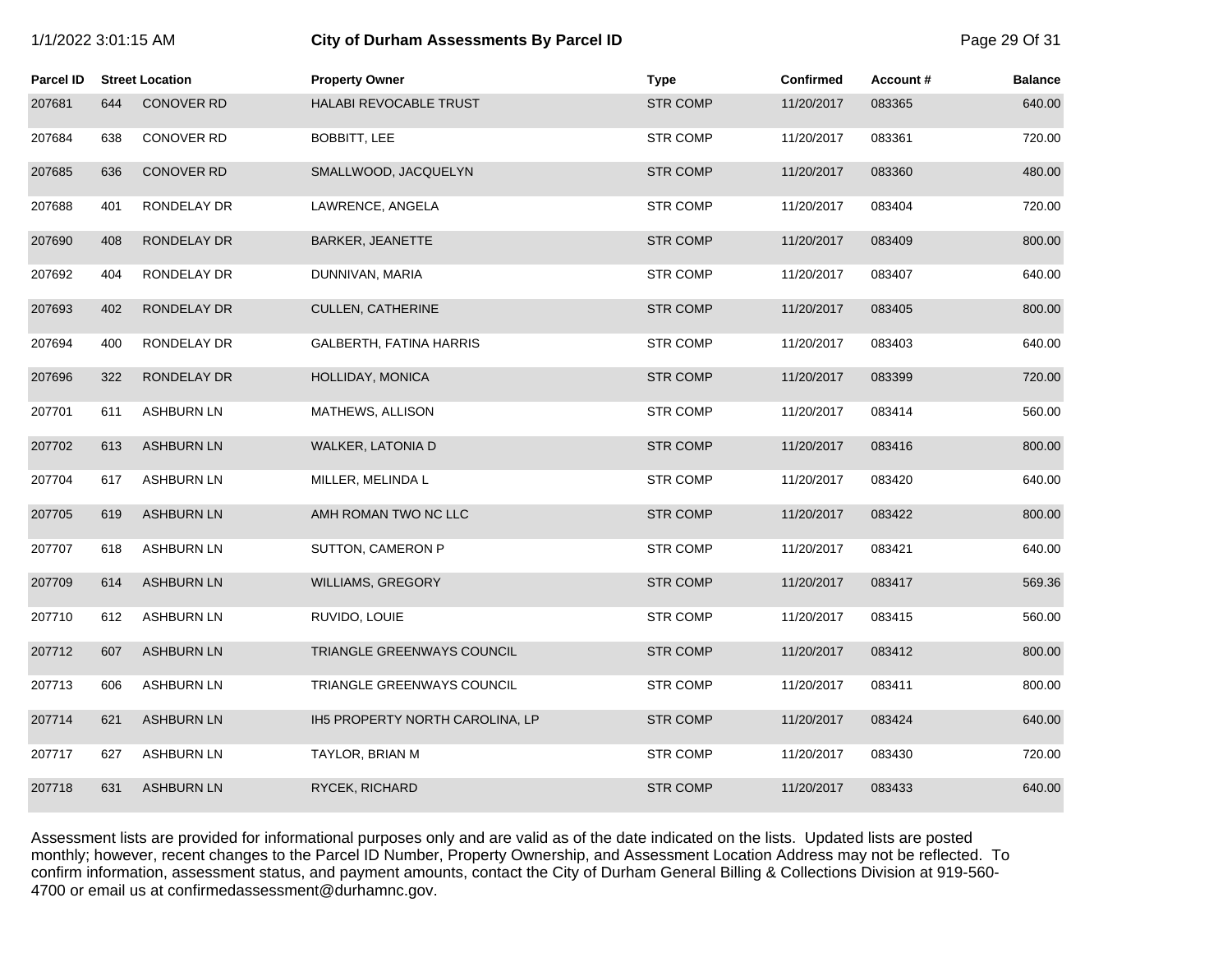| /1/2022 3:01:15 AM |  |
|--------------------|--|
|--------------------|--|

# 1/1/2022 3:01:15 AM **City of Durham Assessments By Parcel ID** Page 29 Of 31

| <b>Parcel ID</b> |     | <b>Street Location</b> | <b>Property Owner</b>           | <b>Type</b>     | <b>Confirmed</b> | Account# | <b>Balance</b> |
|------------------|-----|------------------------|---------------------------------|-----------------|------------------|----------|----------------|
| 207681           | 644 | <b>CONOVER RD</b>      | HALABI REVOCABLE TRUST          | <b>STR COMP</b> | 11/20/2017       | 083365   | 640.00         |
| 207684           | 638 | CONOVER RD             | BOBBITT, LEE                    | <b>STR COMP</b> | 11/20/2017       | 083361   | 720.00         |
| 207685           | 636 | <b>CONOVER RD</b>      | SMALLWOOD, JACQUELYN            | <b>STR COMP</b> | 11/20/2017       | 083360   | 480.00         |
| 207688           | 401 | RONDELAY DR            | LAWRENCE, ANGELA                | <b>STR COMP</b> | 11/20/2017       | 083404   | 720.00         |
| 207690           | 408 | RONDELAY DR            | <b>BARKER, JEANETTE</b>         | <b>STR COMP</b> | 11/20/2017       | 083409   | 800.00         |
| 207692           | 404 | RONDELAY DR            | DUNNIVAN, MARIA                 | <b>STR COMP</b> | 11/20/2017       | 083407   | 640.00         |
| 207693           | 402 | RONDELAY DR            | <b>CULLEN, CATHERINE</b>        | <b>STR COMP</b> | 11/20/2017       | 083405   | 800.00         |
| 207694           | 400 | RONDELAY DR            | GALBERTH, FATINA HARRIS         | <b>STR COMP</b> | 11/20/2017       | 083403   | 640.00         |
| 207696           | 322 | RONDELAY DR            | HOLLIDAY, MONICA                | <b>STR COMP</b> | 11/20/2017       | 083399   | 720.00         |
| 207701           | 611 | <b>ASHBURN LN</b>      | MATHEWS, ALLISON                | <b>STR COMP</b> | 11/20/2017       | 083414   | 560.00         |
| 207702           | 613 | <b>ASHBURN LN</b>      | WALKER, LATONIA D               | <b>STR COMP</b> | 11/20/2017       | 083416   | 800.00         |
| 207704           | 617 | <b>ASHBURN LN</b>      | MILLER, MELINDA L               | <b>STR COMP</b> | 11/20/2017       | 083420   | 640.00         |
| 207705           | 619 | <b>ASHBURN LN</b>      | AMH ROMAN TWO NC LLC            | <b>STR COMP</b> | 11/20/2017       | 083422   | 800.00         |
| 207707           | 618 | <b>ASHBURN LN</b>      | SUTTON, CAMERON P               | <b>STR COMP</b> | 11/20/2017       | 083421   | 640.00         |
| 207709           | 614 | <b>ASHBURN LN</b>      | WILLIAMS, GREGORY               | <b>STR COMP</b> | 11/20/2017       | 083417   | 569.36         |
| 207710           | 612 | <b>ASHBURN LN</b>      | RUVIDO, LOUIE                   | <b>STR COMP</b> | 11/20/2017       | 083415   | 560.00         |
| 207712           | 607 | <b>ASHBURN LN</b>      | TRIANGLE GREENWAYS COUNCIL      | <b>STR COMP</b> | 11/20/2017       | 083412   | 800.00         |
| 207713           | 606 | <b>ASHBURN LN</b>      | TRIANGLE GREENWAYS COUNCIL      | <b>STR COMP</b> | 11/20/2017       | 083411   | 800.00         |
| 207714           | 621 | <b>ASHBURN LN</b>      | IH5 PROPERTY NORTH CAROLINA, LP | <b>STR COMP</b> | 11/20/2017       | 083424   | 640.00         |
| 207717           | 627 | <b>ASHBURN LN</b>      | TAYLOR, BRIAN M                 | <b>STR COMP</b> | 11/20/2017       | 083430   | 720.00         |
| 207718           | 631 | <b>ASHBURN LN</b>      | RYCEK, RICHARD                  | <b>STR COMP</b> | 11/20/2017       | 083433   | 640.00         |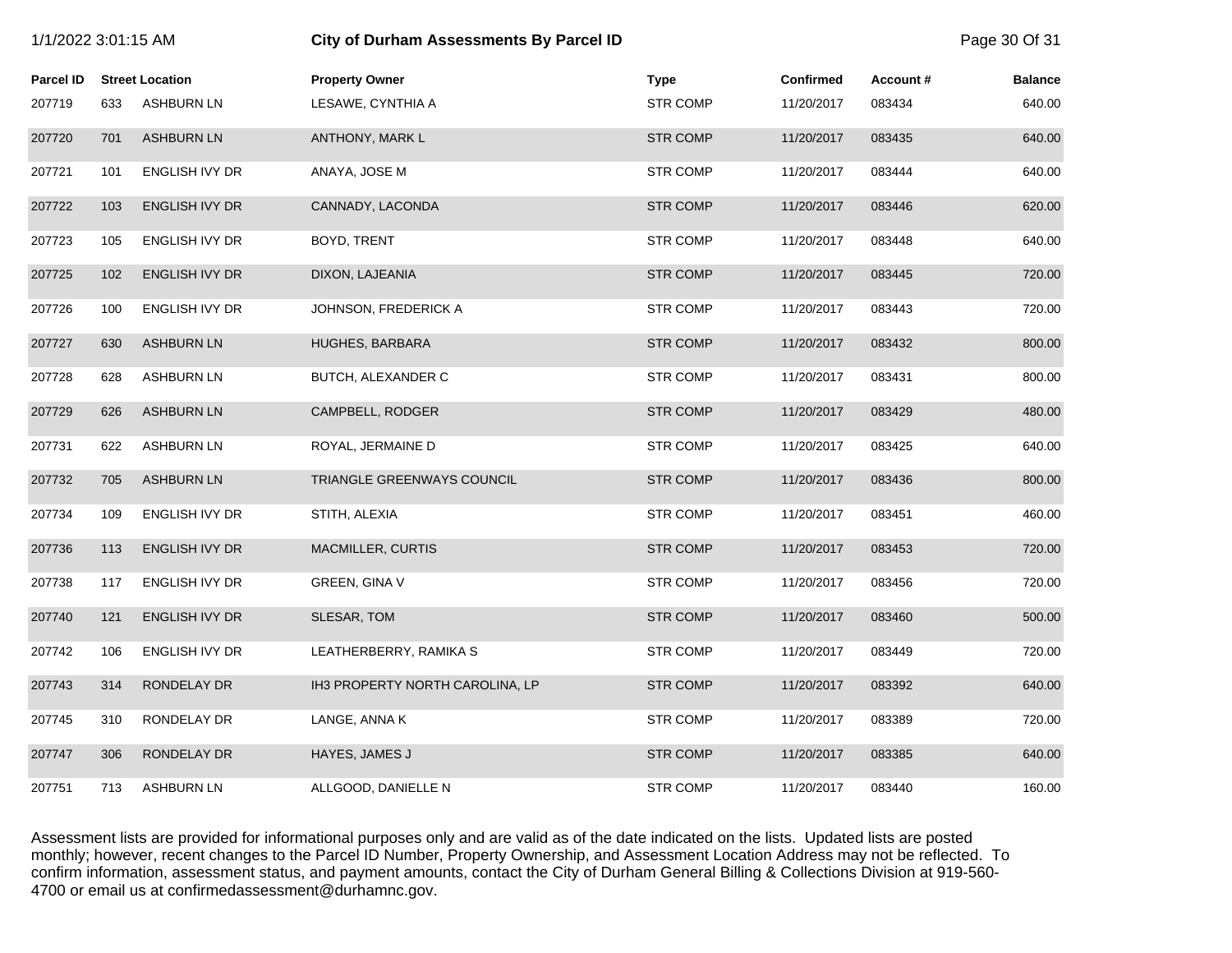| 1/1/2022 3:01:15 AM |     |                        | <b>City of Durham Assessments By Parcel ID</b> | Page 30 Of 31   |                  |          |                |
|---------------------|-----|------------------------|------------------------------------------------|-----------------|------------------|----------|----------------|
| <b>Parcel ID</b>    |     | <b>Street Location</b> | <b>Property Owner</b>                          | <b>Type</b>     | <b>Confirmed</b> | Account# | <b>Balance</b> |
| 207719              | 633 | <b>ASHBURN LN</b>      | LESAWE, CYNTHIA A                              | <b>STR COMP</b> | 11/20/2017       | 083434   | 640.00         |
| 207720              | 701 | <b>ASHBURN LN</b>      | ANTHONY, MARK L                                | <b>STR COMP</b> | 11/20/2017       | 083435   | 640.00         |
| 207721              | 101 | ENGLISH IVY DR         | ANAYA, JOSE M                                  | <b>STR COMP</b> | 11/20/2017       | 083444   | 640.00         |
| 207722              | 103 | ENGLISH IVY DR         | CANNADY, LACONDA                               | <b>STR COMP</b> | 11/20/2017       | 083446   | 620.00         |
| 207723              | 105 | ENGLISH IVY DR         | BOYD, TRENT                                    | <b>STR COMP</b> | 11/20/2017       | 083448   | 640.00         |
| 207725              | 102 | ENGLISH IVY DR         | DIXON, LAJEANIA                                | <b>STR COMP</b> | 11/20/2017       | 083445   | 720.00         |
| 207726              | 100 | ENGLISH IVY DR         | JOHNSON, FREDERICK A                           | <b>STR COMP</b> | 11/20/2017       | 083443   | 720.00         |
| 207727              | 630 | <b>ASHBURN LN</b>      | HUGHES, BARBARA                                | <b>STR COMP</b> | 11/20/2017       | 083432   | 800.00         |
| 207728              | 628 | <b>ASHBURN LN</b>      | BUTCH, ALEXANDER C                             | <b>STR COMP</b> | 11/20/2017       | 083431   | 800.00         |
| 207729              | 626 | <b>ASHBURN LN</b>      | CAMPBELL, RODGER                               | <b>STR COMP</b> | 11/20/2017       | 083429   | 480.00         |
| 207731              | 622 | <b>ASHBURN LN</b>      | ROYAL, JERMAINE D                              | <b>STR COMP</b> | 11/20/2017       | 083425   | 640.00         |
| 207732              | 705 | <b>ASHBURN LN</b>      | TRIANGLE GREENWAYS COUNCIL                     | <b>STR COMP</b> | 11/20/2017       | 083436   | 800.00         |
| 207734              | 109 | ENGLISH IVY DR         | STITH, ALEXIA                                  | <b>STR COMP</b> | 11/20/2017       | 083451   | 460.00         |
| 207736              | 113 | <b>ENGLISH IVY DR</b>  | <b>MACMILLER, CURTIS</b>                       | <b>STR COMP</b> | 11/20/2017       | 083453   | 720.00         |
| 207738              | 117 | ENGLISH IVY DR         | GREEN, GINA V                                  | <b>STR COMP</b> | 11/20/2017       | 083456   | 720.00         |
| 207740              | 121 | ENGLISH IVY DR         | SLESAR, TOM                                    | <b>STR COMP</b> | 11/20/2017       | 083460   | 500.00         |
| 207742              | 106 | ENGLISH IVY DR         | LEATHERBERRY, RAMIKA S                         | <b>STR COMP</b> | 11/20/2017       | 083449   | 720.00         |
| 207743              | 314 | RONDELAY DR            | IH3 PROPERTY NORTH CAROLINA, LP                | <b>STR COMP</b> | 11/20/2017       | 083392   | 640.00         |
| 207745              | 310 | RONDELAY DR            | LANGE, ANNA K                                  | <b>STR COMP</b> | 11/20/2017       | 083389   | 720.00         |
| 207747              | 306 | RONDELAY DR            | HAYES, JAMES J                                 | <b>STR COMP</b> | 11/20/2017       | 083385   | 640.00         |
| 207751              | 713 | <b>ASHBURN LN</b>      | ALLGOOD, DANIELLE N                            | <b>STR COMP</b> | 11/20/2017       | 083440   | 160.00         |